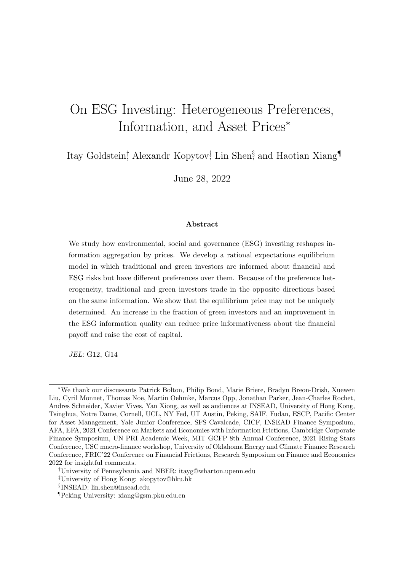# On ESG Investing: Heterogeneous Preferences, Information, and Asset Prices<sup>∗</sup>

Itay Goldstein<sup>†</sup> Alexandr Kopytov<sup>‡</sup> Lin Shen<sup>§</sup> and Haotian Xiang<sup>¶</sup>

June 28, 2022

#### Abstract

We study how environmental, social and governance (ESG) investing reshapes information aggregation by prices. We develop a rational expectations equilibrium model in which traditional and green investors are informed about financial and ESG risks but have different preferences over them. Because of the preference heterogeneity, traditional and green investors trade in the opposite directions based on the same information. We show that the equilibrium price may not be uniquely determined. An increase in the fraction of green investors and an improvement in the ESG information quality can reduce price informativeness about the financial payoff and raise the cost of capital.

JEL: G12, G14

<sup>∗</sup>We thank our discussants Patrick Bolton, Philip Bond, Marie Briere, Bradyn Breon-Drish, Xuewen Liu, Cyril Monnet, Thomas Noe, Martin Oehmke, Marcus Opp, Jonathan Parker, Jean-Charles Rochet, Andres Schneider, Xavier Vives, Yan Xiong, as well as audiences at INSEAD, University of Hong Kong, Tsinghua, Notre Dame, Cornell, UCL, NY Fed, UT Austin, Peking, SAIF, Fudan, ESCP, Pacific Center for Asset Management, Yale Junior Conference, SFS Cavalcade, CICF, INSEAD Finance Symposium, AFA, EFA, 2021 Conference on Markets and Economies with Information Frictions, Cambridge Corporate Finance Symposium, UN PRI Academic Week, MIT GCFP 8th Annual Conference, 2021 Rising Stars Conference, USC macro-finance workshop, University of Oklahoma Energy and Climate Finance Research Conference, FRIC'22 Conference on Financial Frictions, Research Symposium on Finance and Economics 2022 for insightful comments.

<sup>†</sup>University of Pennsylvania and NBER: itayg@wharton.upenn.edu

<sup>‡</sup>University of Hong Kong: akopytov@hku.hk

<sup>§</sup> INSEAD: lin.shen@insead.edu

<sup>¶</sup>Peking University: xiang@gsm.pku.edu.cn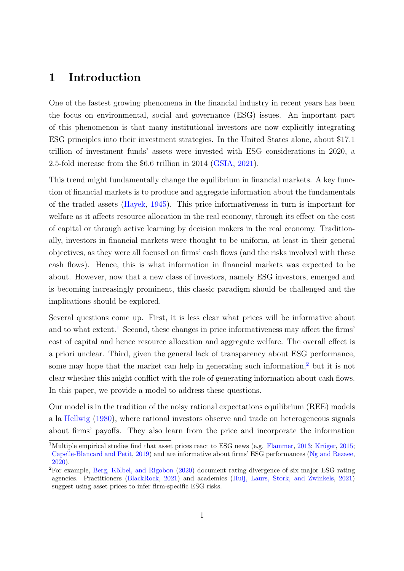### 1 Introduction

One of the fastest growing phenomena in the financial industry in recent years has been the focus on environmental, social and governance (ESG) issues. An important part of this phenomenon is that many institutional investors are now explicitly integrating ESG principles into their investment strategies. In the United States alone, about \$17.1 trillion of investment funds' assets were invested with ESG considerations in 2020, a 2.5-fold increase from the \$6.6 trillion in 2014 [\(GSIA,](#page-39-0) [2021\)](#page-39-0).

This trend might fundamentally change the equilibrium in financial markets. A key function of financial markets is to produce and aggregate information about the fundamentals of the traded assets [\(Hayek,](#page-39-1) [1945\)](#page-39-1). This price informativeness in turn is important for welfare as it affects resource allocation in the real economy, through its effect on the cost of capital or through active learning by decision makers in the real economy. Traditionally, investors in financial markets were thought to be uniform, at least in their general objectives, as they were all focused on firms' cash flows (and the risks involved with these cash flows). Hence, this is what information in financial markets was expected to be about. However, now that a new class of investors, namely ESG investors, emerged and is becoming increasingly prominent, this classic paradigm should be challenged and the implications should be explored.

Several questions come up. First, it is less clear what prices will be informative about and to what extent.<sup>[1](#page-1-0)</sup> Second, these changes in price informativeness may affect the firms' cost of capital and hence resource allocation and aggregate welfare. The overall effect is a priori unclear. Third, given the general lack of transparency about ESG performance, some may hope that the market can help in generating such information,<sup>[2](#page-1-1)</sup> but it is not clear whether this might conflict with the role of generating information about cash flows. In this paper, we provide a model to address these questions.

Our model is in the tradition of the noisy rational expectations equilibrium (REE) models a la [Hellwig](#page-39-2) [\(1980\)](#page-39-2), where rational investors observe and trade on heterogeneous signals about firms' payoffs. They also learn from the price and incorporate the information

<span id="page-1-0"></span><sup>&</sup>lt;sup>1</sup>Multiple empirical studies find that asset prices react to ESG news (e.g. [Flammer,](#page-38-0) [2013;](#page-38-0) Krüger, [2015;](#page-40-0) [Capelle-Blancard and Petit,](#page-37-0) [2019\)](#page-37-0) and are informative about firms' ESG performances [\(Ng and Rezaee,](#page-40-1) [2020\)](#page-40-1).

<span id="page-1-1"></span> ${}^{2}$ For example, Berg, Kölbel, and Rigobon [\(2020\)](#page-36-0) document rating divergence of six major ESG rating agencies. Practitioners [\(BlackRock,](#page-36-1) [2021\)](#page-36-1) and academics [\(Huij, Laurs, Stork, and Zwinkels,](#page-39-3) [2021\)](#page-39-3) suggest using asset prices to infer firm-specific ESG risks.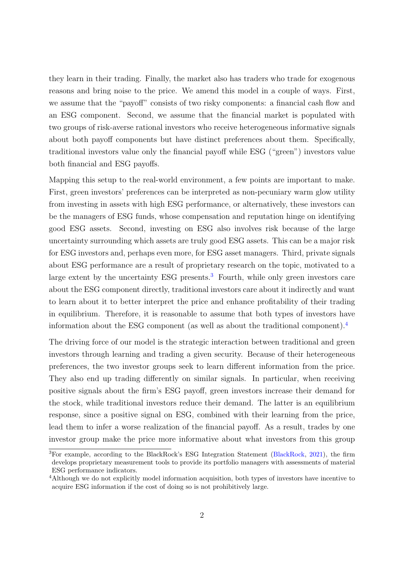they learn in their trading. Finally, the market also has traders who trade for exogenous reasons and bring noise to the price. We amend this model in a couple of ways. First, we assume that the "payoff" consists of two risky components: a financial cash flow and an ESG component. Second, we assume that the financial market is populated with two groups of risk-averse rational investors who receive heterogeneous informative signals about both payoff components but have distinct preferences about them. Specifically, traditional investors value only the financial payoff while ESG ("green") investors value both financial and ESG payoffs.

Mapping this setup to the real-world environment, a few points are important to make. First, green investors' preferences can be interpreted as non-pecuniary warm glow utility from investing in assets with high ESG performance, or alternatively, these investors can be the managers of ESG funds, whose compensation and reputation hinge on identifying good ESG assets. Second, investing on ESG also involves risk because of the large uncertainty surrounding which assets are truly good ESG assets. This can be a major risk for ESG investors and, perhaps even more, for ESG asset managers. Third, private signals about ESG performance are a result of proprietary research on the topic, motivated to a large extent by the uncertainty ESG presents.<sup>[3](#page-2-0)</sup> Fourth, while only green investors care about the ESG component directly, traditional investors care about it indirectly and want to learn about it to better interpret the price and enhance profitability of their trading in equilibrium. Therefore, it is reasonable to assume that both types of investors have information about the ESG component (as well as about the traditional component).[4](#page-2-1)

The driving force of our model is the strategic interaction between traditional and green investors through learning and trading a given security. Because of their heterogeneous preferences, the two investor groups seek to learn different information from the price. They also end up trading differently on similar signals. In particular, when receiving positive signals about the firm's ESG payoff, green investors increase their demand for the stock, while traditional investors reduce their demand. The latter is an equilibrium response, since a positive signal on ESG, combined with their learning from the price, lead them to infer a worse realization of the financial payoff. As a result, trades by one investor group make the price more informative about what investors from this group

<span id="page-2-0"></span><sup>3</sup>For example, according to the BlackRock's ESG Integration Statement [\(BlackRock,](#page-36-1) [2021\)](#page-36-1), the firm develops proprietary measurement tools to provide its portfolio managers with assessments of material ESG performance indicators.

<span id="page-2-1"></span><sup>4</sup>Although we do not explicitly model information acquisition, both types of investors have incentive to acquire ESG information if the cost of doing so is not prohibitively large.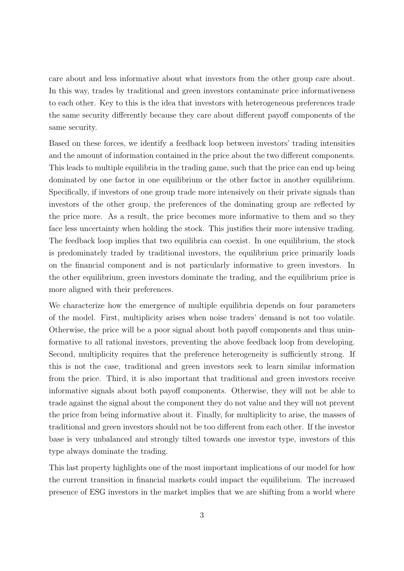care about and less informative about what investors from the other group care about. In this way, trades by traditional and green investors contaminate price informativeness to each other. Key to this is the idea that investors with heterogeneous preferences trade the same security differently because they care about different payoff components of the same security.

Based on these forces, we identify a feedback loop between investors' trading intensities and the amount of information contained in the price about the two different components. This leads to multiple equilibria in the trading game, such that the price can end up being dominated by one factor in one equilibrium or the other factor in another equilibrium. Specifically, if investors of one group trade more intensively on their private signals than investors of the other group, the preferences of the dominating group are reflected by the price more. As a result, the price becomes more informative to them and so they face less uncertainty when holding the stock. This justifies their more intensive trading. The feedback loop implies that two equilibria can coexist. In one equilibrium, the stock is predominately traded by traditional investors, the equilibrium price primarily loads on the financial component and is not particularly informative to green investors. In the other equilibrium, green investors dominate the trading, and the equilibrium price is more aligned with their preferences.

We characterize how the emergence of multiple equilibria depends on four parameters of the model. First, multiplicity arises when noise traders' demand is not too volatile. Otherwise, the price will be a poor signal about both payoff components and thus uninformative to all rational investors, preventing the above feedback loop from developing. Second, multiplicity requires that the preference heterogeneity is sufficiently strong. If this is not the case, traditional and green investors seek to learn similar information from the price. Third, it is also important that traditional and green investors receive informative signals about both payoff components. Otherwise, they will not be able to trade against the signal about the component they do not value and they will not prevent the price from being informative about it. Finally, for multiplicity to arise, the masses of traditional and green investors should not be too different from each other. If the investor base is very unbalanced and strongly tilted towards one investor type, investors of this type always dominate the trading.

This last property highlights one of the most important implications of our model for how the current transition in financial markets could impact the equilibrium. The increased presence of ESG investors in the market implies that we are shifting from a world where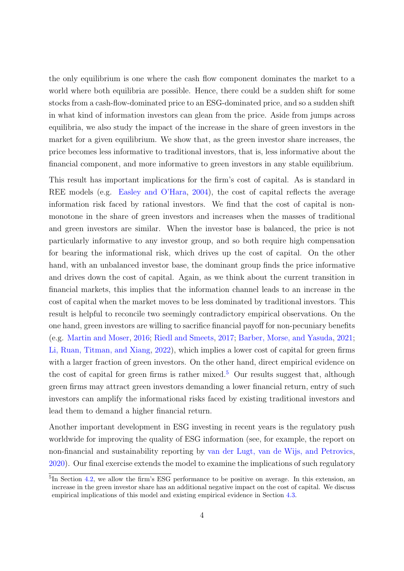the only equilibrium is one where the cash flow component dominates the market to a world where both equilibria are possible. Hence, there could be a sudden shift for some stocks from a cash-flow-dominated price to an ESG-dominated price, and so a sudden shift in what kind of information investors can glean from the price. Aside from jumps across equilibria, we also study the impact of the increase in the share of green investors in the market for a given equilibrium. We show that, as the green investor share increases, the price becomes less informative to traditional investors, that is, less informative about the financial component, and more informative to green investors in any stable equilibrium.

This result has important implications for the firm's cost of capital. As is standard in REE models (e.g. [Easley and O'Hara,](#page-38-1) [2004\)](#page-38-1), the cost of capital reflects the average information risk faced by rational investors. We find that the cost of capital is nonmonotone in the share of green investors and increases when the masses of traditional and green investors are similar. When the investor base is balanced, the price is not particularly informative to any investor group, and so both require high compensation for bearing the informational risk, which drives up the cost of capital. On the other hand, with an unbalanced investor base, the dominant group finds the price informative and drives down the cost of capital. Again, as we think about the current transition in financial markets, this implies that the information channel leads to an increase in the cost of capital when the market moves to be less dominated by traditional investors. This result is helpful to reconcile two seemingly contradictory empirical observations. On the one hand, green investors are willing to sacrifice financial payoff for non-pecuniary benefits (e.g. [Martin and Moser,](#page-40-2) [2016;](#page-40-2) [Riedl and Smeets,](#page-41-0) [2017;](#page-41-0) [Barber, Morse, and Yasuda,](#page-36-2) [2021;](#page-36-2) [Li, Ruan, Titman, and Xiang,](#page-40-3) [2022\)](#page-40-3), which implies a lower cost of capital for green firms with a larger fraction of green investors. On the other hand, direct empirical evidence on the cost of capital for green firms is rather mixed.<sup>[5](#page-4-0)</sup> Our results suggest that, although green firms may attract green investors demanding a lower financial return, entry of such investors can amplify the informational risks faced by existing traditional investors and lead them to demand a higher financial return.

Another important development in ESG investing in recent years is the regulatory push worldwide for improving the quality of ESG information (see, for example, the report on non-financial and sustainability reporting by [van der Lugt, van de Wijs, and Petrovics,](#page-41-1) [2020\)](#page-41-1). Our final exercise extends the model to examine the implications of such regulatory

<span id="page-4-0"></span><sup>&</sup>lt;sup>5</sup>In Section [4.2,](#page-23-0) we allow the firm's ESG performance to be positive on average. In this extension, an increase in the green investor share has an additional negative impact on the cost of capital. We discuss empirical implications of this model and existing empirical evidence in Section [4.3.](#page-26-0)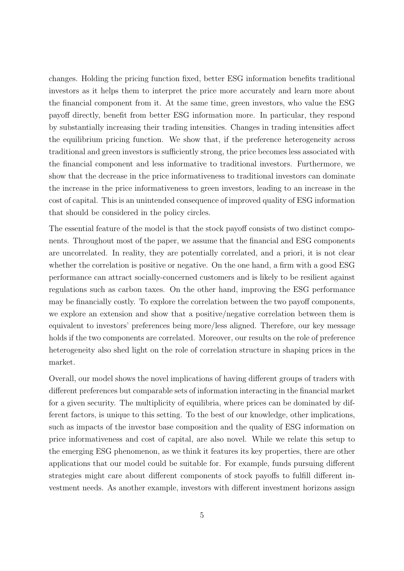changes. Holding the pricing function fixed, better ESG information benefits traditional investors as it helps them to interpret the price more accurately and learn more about the financial component from it. At the same time, green investors, who value the ESG payoff directly, benefit from better ESG information more. In particular, they respond by substantially increasing their trading intensities. Changes in trading intensities affect the equilibrium pricing function. We show that, if the preference heterogeneity across traditional and green investors is sufficiently strong, the price becomes less associated with the financial component and less informative to traditional investors. Furthermore, we show that the decrease in the price informativeness to traditional investors can dominate the increase in the price informativeness to green investors, leading to an increase in the cost of capital. This is an unintended consequence of improved quality of ESG information that should be considered in the policy circles.

The essential feature of the model is that the stock payoff consists of two distinct components. Throughout most of the paper, we assume that the financial and ESG components are uncorrelated. In reality, they are potentially correlated, and a priori, it is not clear whether the correlation is positive or negative. On the one hand, a firm with a good ESG performance can attract socially-concerned customers and is likely to be resilient against regulations such as carbon taxes. On the other hand, improving the ESG performance may be financially costly. To explore the correlation between the two payoff components, we explore an extension and show that a positive/negative correlation between them is equivalent to investors' preferences being more/less aligned. Therefore, our key message holds if the two components are correlated. Moreover, our results on the role of preference heterogeneity also shed light on the role of correlation structure in shaping prices in the market.

Overall, our model shows the novel implications of having different groups of traders with different preferences but comparable sets of information interacting in the financial market for a given security. The multiplicity of equilibria, where prices can be dominated by different factors, is unique to this setting. To the best of our knowledge, other implications, such as impacts of the investor base composition and the quality of ESG information on price informativeness and cost of capital, are also novel. While we relate this setup to the emerging ESG phenomenon, as we think it features its key properties, there are other applications that our model could be suitable for. For example, funds pursuing different strategies might care about different components of stock payoffs to fulfill different investment needs. As another example, investors with different investment horizons assign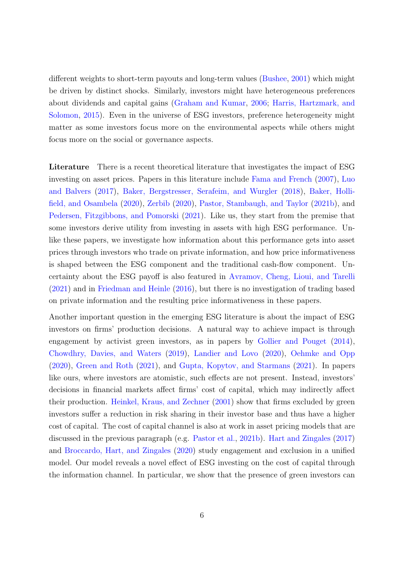different weights to short-term payouts and long-term values [\(Bushee,](#page-37-1) [2001\)](#page-37-1) which might be driven by distinct shocks. Similarly, investors might have heterogeneous preferences about dividends and capital gains [\(Graham and Kumar,](#page-38-2) [2006;](#page-38-2) [Harris, Hartzmark, and](#page-39-4) [Solomon,](#page-39-4) [2015\)](#page-39-4). Even in the universe of ESG investors, preference heterogeneity might matter as some investors focus more on the environmental aspects while others might focus more on the social or governance aspects.

Literature There is a recent theoretical literature that investigates the impact of ESG investing on asset prices. Papers in this literature include [Fama and French](#page-38-3) [\(2007\)](#page-38-3), [Luo](#page-40-4) [and Balvers](#page-40-4) [\(2017\)](#page-40-4), [Baker, Bergstresser, Serafeim, and Wurgler](#page-36-3) [\(2018\)](#page-36-3), [Baker, Holli](#page-36-4)[field, and Osambela](#page-36-4) [\(2020\)](#page-36-4), [Zerbib](#page-42-0) [\(2020\)](#page-42-0), [Pastor, Stambaugh, and Taylor](#page-41-2) [\(2021b\)](#page-41-2), and [Pedersen, Fitzgibbons, and Pomorski](#page-41-3) [\(2021\)](#page-41-3). Like us, they start from the premise that some investors derive utility from investing in assets with high ESG performance. Unlike these papers, we investigate how information about this performance gets into asset prices through investors who trade on private information, and how price informativeness is shaped between the ESG component and the traditional cash-flow component. Uncertainty about the ESG payoff is also featured in [Avramov, Cheng, Lioui, and Tarelli](#page-36-5) [\(2021\)](#page-36-5) and in [Friedman and Heinle](#page-38-4) [\(2016\)](#page-38-4), but there is no investigation of trading based on private information and the resulting price informativeness in these papers.

Another important question in the emerging ESG literature is about the impact of ESG investors on firms' production decisions. A natural way to achieve impact is through engagement by activist green investors, as in papers by [Gollier and Pouget](#page-38-5) [\(2014\)](#page-38-5), [Chowdhry, Davies, and Waters](#page-37-2) [\(2019\)](#page-37-2), [Landier and Lovo](#page-40-5) [\(2020\)](#page-40-5), [Oehmke and Opp](#page-40-6) [\(2020\)](#page-40-6), [Green and Roth](#page-39-5) [\(2021\)](#page-39-5), and [Gupta, Kopytov, and Starmans](#page-39-6) [\(2021\)](#page-39-6). In papers like ours, where investors are atomistic, such effects are not present. Instead, investors' decisions in financial markets affect firms' cost of capital, which may indirectly affect their production. [Heinkel, Kraus, and Zechner](#page-39-7) [\(2001\)](#page-39-7) show that firms excluded by green investors suffer a reduction in risk sharing in their investor base and thus have a higher cost of capital. The cost of capital channel is also at work in asset pricing models that are discussed in the previous paragraph (e.g. [Pastor et al.,](#page-41-2) [2021b\)](#page-41-2). [Hart and Zingales](#page-39-8) [\(2017\)](#page-39-8) and [Broccardo, Hart, and Zingales](#page-36-6) [\(2020\)](#page-36-6) study engagement and exclusion in a unified model. Our model reveals a novel effect of ESG investing on the cost of capital through the information channel. In particular, we show that the presence of green investors can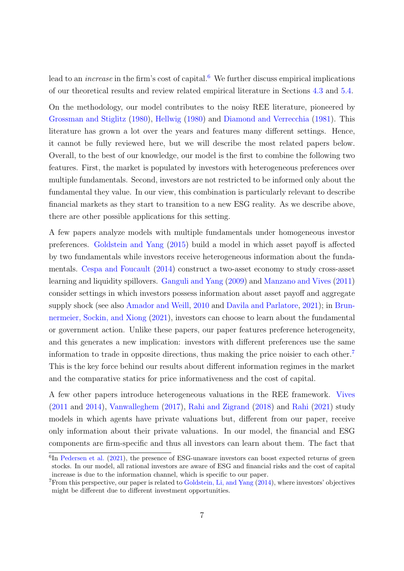lead to an *increase* in the firm's cost of capital.<sup>[6](#page-7-0)</sup> We further discuss empirical implications of our theoretical results and review related empirical literature in Sections [4.3](#page-26-0) and [5.4.](#page-33-0)

On the methodology, our model contributes to the noisy REE literature, pioneered by [Grossman and Stiglitz](#page-39-9) [\(1980\)](#page-39-9), [Hellwig](#page-39-2) [\(1980\)](#page-39-2) and [Diamond and Verrecchia](#page-37-3) [\(1981\)](#page-37-3). This literature has grown a lot over the years and features many different settings. Hence, it cannot be fully reviewed here, but we will describe the most related papers below. Overall, to the best of our knowledge, our model is the first to combine the following two features. First, the market is populated by investors with heterogeneous preferences over multiple fundamentals. Second, investors are not restricted to be informed only about the fundamental they value. In our view, this combination is particularly relevant to describe financial markets as they start to transition to a new ESG reality. As we describe above, there are other possible applications for this setting.

A few papers analyze models with multiple fundamentals under homogeneous investor preferences. [Goldstein and Yang](#page-38-6) [\(2015\)](#page-38-6) build a model in which asset payoff is affected by two fundamentals while investors receive heterogeneous information about the fundamentals. [Cespa and Foucault](#page-37-4) [\(2014\)](#page-37-4) construct a two-asset economy to study cross-asset learning and liquidity spillovers. [Ganguli and Yang](#page-38-7) [\(2009\)](#page-38-7) and [Manzano and Vives](#page-40-7) [\(2011\)](#page-40-7) consider settings in which investors possess information about asset payoff and aggregate supply shock (see also [Amador and Weill,](#page-36-7) [2010](#page-36-7) and [Davila and Parlatore,](#page-37-5) [2021\)](#page-37-5); in [Brun](#page-36-8)[nermeier, Sockin, and Xiong](#page-36-8) [\(2021\)](#page-36-8), investors can choose to learn about the fundamental or government action. Unlike these papers, our paper features preference heterogeneity, and this generates a new implication: investors with different preferences use the same information to trade in opposite directions, thus making the price noisier to each other.<sup>[7](#page-7-1)</sup> This is the key force behind our results about different information regimes in the market and the comparative statics for price informativeness and the cost of capital.

A few other papers introduce heterogeneous valuations in the REE framework. [Vives](#page-41-4) [\(2011](#page-41-4) and [2014\)](#page-41-5), [Vanwalleghem](#page-41-6) [\(2017\)](#page-41-6), [Rahi and Zigrand](#page-41-7) [\(2018\)](#page-41-7) and [Rahi](#page-41-8) [\(2021\)](#page-41-8) study models in which agents have private valuations but, different from our paper, receive only information about their private valuations. In our model, the financial and ESG components are firm-specific and thus all investors can learn about them. The fact that

<span id="page-7-0"></span><sup>&</sup>lt;sup>6</sup>In [Pedersen et al.](#page-41-3) [\(2021\)](#page-41-3), the presence of ESG-unaware investors can boost expected returns of green stocks. In our model, all rational investors are aware of ESG and financial risks and the cost of capital increase is due to the information channel, which is specific to our paper.

<span id="page-7-1"></span><sup>7</sup>From this perspective, our paper is related to [Goldstein, Li, and Yang](#page-38-8) [\(2014\)](#page-38-8), where investors' objectives might be different due to different investment opportunities.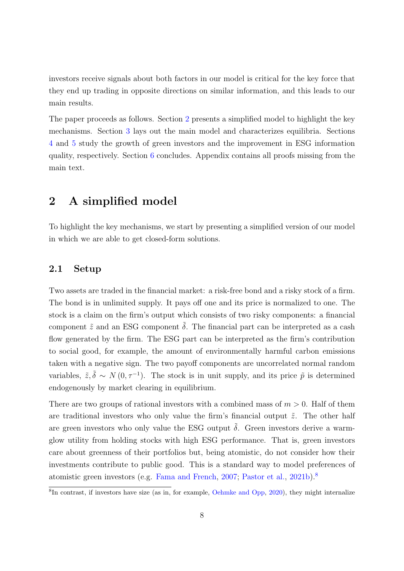investors receive signals about both factors in our model is critical for the key force that they end up trading in opposite directions on similar information, and this leads to our main results.

The paper proceeds as follows. Section [2](#page-8-0) presents a simplified model to highlight the key mechanisms. Section [3](#page-17-0) lays out the main model and characterizes equilibria. Sections [4](#page-21-0) and [5](#page-29-0) study the growth of green investors and the improvement in ESG information quality, respectively. Section [6](#page-34-0) concludes. Appendix contains all proofs missing from the main text.

# <span id="page-8-0"></span>2 A simplified model

To highlight the key mechanisms, we start by presenting a simplified version of our model in which we are able to get closed-form solutions.

#### 2.1 Setup

Two assets are traded in the financial market: a risk-free bond and a risky stock of a firm. The bond is in unlimited supply. It pays off one and its price is normalized to one. The stock is a claim on the firm's output which consists of two risky components: a financial component  $\tilde{z}$  and an ESG component  $\tilde{\delta}$ . The financial part can be interpreted as a cash flow generated by the firm. The ESG part can be interpreted as the firm's contribution to social good, for example, the amount of environmentally harmful carbon emissions taken with a negative sign. The two payoff components are uncorrelated normal random variables,  $\tilde{z}, \tilde{\delta} \sim N(0, \tau^{-1})$ . The stock is in unit supply, and its price  $\tilde{p}$  is determined endogenously by market clearing in equilibrium.

There are two groups of rational investors with a combined mass of  $m > 0$ . Half of them are traditional investors who only value the firm's financial output  $\tilde{z}$ . The other half are green investors who only value the ESG output  $\delta$ . Green investors derive a warmglow utility from holding stocks with high ESG performance. That is, green investors care about greenness of their portfolios but, being atomistic, do not consider how their investments contribute to public good. This is a standard way to model preferences of atomistic green investors (e.g. [Fama and French,](#page-38-3) [2007;](#page-38-3) [Pastor et al.,](#page-41-2) [2021b\)](#page-41-2).[8](#page-8-1)

<span id="page-8-1"></span><sup>8</sup> In contrast, if investors have size (as in, for example, [Oehmke and Opp,](#page-40-6) [2020\)](#page-40-6), they might internalize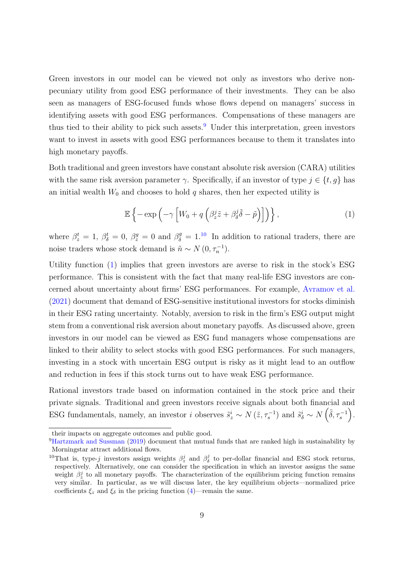Green investors in our model can be viewed not only as investors who derive nonpecuniary utility from good ESG performance of their investments. They can be also seen as managers of ESG-focused funds whose flows depend on managers' success in identifying assets with good ESG performances. Compensations of these managers are thus tied to their ability to pick such assets.<sup>[9](#page-9-0)</sup> Under this interpretation, green investors want to invest in assets with good ESG performances because to them it translates into high monetary payoffs.

Both traditional and green investors have constant absolute risk aversion (CARA) utilities with the same risk aversion parameter  $\gamma$ . Specifically, if an investor of type  $j \in \{t, g\}$  has an initial wealth  $W_0$  and chooses to hold q shares, then her expected utility is

<span id="page-9-2"></span>
$$
\mathbb{E}\left\{-\exp\left(-\gamma\left[W_0+q\left(\beta_z^j\tilde{z}+\beta_\delta^j\tilde{\delta}-\tilde{p}\right)\right]\right)\right\},\tag{1}
$$

where  $\beta_z^t = 1$ ,  $\beta_{\delta}^t = 0$ ,  $\beta_z^g = 0$  and  $\beta_{\delta}^g = 1$ .<sup>[10](#page-9-1)</sup> In addition to rational traders, there are noise traders whose stock demand is  $\tilde{n} \sim N(0, \tau_n^{-1}).$ 

Utility function [\(1\)](#page-9-2) implies that green investors are averse to risk in the stock's ESG performance. This is consistent with the fact that many real-life ESG investors are concerned about uncertainty about firms' ESG performances. For example, [Avramov et al.](#page-36-5) [\(2021\)](#page-36-5) document that demand of ESG-sensitive institutional investors for stocks diminish in their ESG rating uncertainty. Notably, aversion to risk in the firm's ESG output might stem from a conventional risk aversion about monetary payoffs. As discussed above, green investors in our model can be viewed as ESG fund managers whose compensations are linked to their ability to select stocks with good ESG performances. For such managers, investing in a stock with uncertain ESG output is risky as it might lead to an outflow and reduction in fees if this stock turns out to have weak ESG performance.

Rational investors trade based on information contained in the stock price and their private signals. Traditional and green investors receive signals about both financial and ESG fundamentals, namely, an investor i observes  $\tilde{s}_z^i \sim N(\tilde{z}, \tau_s^{-1})$  and  $\tilde{s}_\delta^i \sim N(\tilde{\delta}, \tau_s^{-1})$ .

their impacts on aggregate outcomes and public good.

<span id="page-9-0"></span><sup>9</sup>[Hartzmark and Sussman](#page-39-10) [\(2019\)](#page-39-10) document that mutual funds that are ranked high in sustainability by Morningstar attract additional flows.

<span id="page-9-1"></span><sup>&</sup>lt;sup>10</sup>That is, type-j investors assign weights  $\beta_z^j$  and  $\beta_\delta^j$  to per-dollar financial and ESG stock returns, respectively. Alternatively, one can consider the specification in which an investor assigns the same weight  $\beta_z^j$  to all monetary payoffs. The characterization of the equilibrium pricing function remains very similar. In particular, as we will discuss later, the key equilibrium objects—normalized price coefficients  $\xi_z$  and  $\xi_\delta$  in the pricing function [\(4\)](#page-11-0)—remain the same.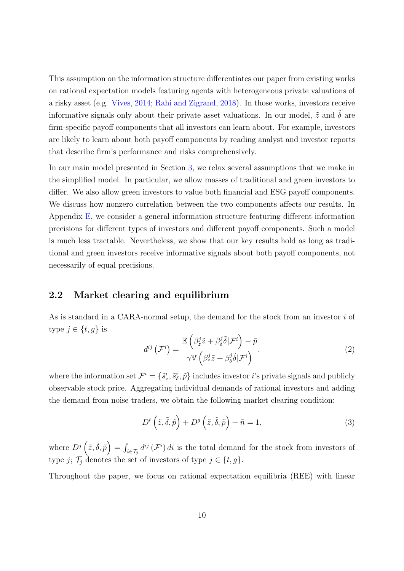This assumption on the information structure differentiates our paper from existing works on rational expectation models featuring agents with heterogeneous private valuations of a risky asset (e.g. [Vives,](#page-41-5) [2014;](#page-41-5) [Rahi and Zigrand,](#page-41-7) [2018\)](#page-41-7). In those works, investors receive informative signals only about their private asset valuations. In our model,  $\tilde{z}$  and  $\tilde{\delta}$  are firm-specific payoff components that all investors can learn about. For example, investors are likely to learn about both payoff components by reading analyst and investor reports that describe firm's performance and risks comprehensively.

In our main model presented in Section [3,](#page-17-0) we relax several assumptions that we make in the simplified model. In particular, we allow masses of traditional and green investors to differ. We also allow green investors to value both financial and ESG payoff components. We discuss how nonzero correlation between the two components affects our results. In Appendix [E,](#page-68-0) we consider a general information structure featuring different information precisions for different types of investors and different payoff components. Such a model is much less tractable. Nevertheless, we show that our key results hold as long as traditional and green investors receive informative signals about both payoff components, not necessarily of equal precisions.

### 2.2 Market clearing and equilibrium

As is standard in a CARA-normal setup, the demand for the stock from an investor i of type  $j \in \{t, g\}$  is

<span id="page-10-0"></span>
$$
d^{ij}\left(\mathcal{F}^i\right) = \frac{\mathbb{E}\left(\beta_z^j \tilde{z} + \beta_\delta^j \tilde{\delta}|\mathcal{F}^i\right) - \tilde{p}}{\gamma \mathbb{V}\left(\beta_z^j \tilde{z} + \beta_\delta^j \tilde{\delta}|\mathcal{F}^i\right)},\tag{2}
$$

where the information set  $\mathcal{F}^i = \{\tilde{s}^i_z, \tilde{s}^i_\delta, \tilde{p}\}\$  includes investor i's private signals and publicly observable stock price. Aggregating individual demands of rational investors and adding the demand from noise traders, we obtain the following market clearing condition:

<span id="page-10-1"></span>
$$
D^{t}\left(\tilde{z},\tilde{\delta},\tilde{p}\right) + D^{g}\left(\tilde{z},\tilde{\delta},\tilde{p}\right) + \tilde{n} = 1,
$$
\n(3)

where  $D^j\left(\tilde{z},\tilde{\delta},\tilde{p}\right)=\int_{i\in\mathcal{T}_j}d^{ij}\left(\mathcal{F}^i\right)di$  is the total demand for the stock from investors of type j;  $\mathcal{T}_j$  denotes the set of investors of type  $j \in \{t, g\}.$ 

Throughout the paper, we focus on rational expectation equilibria (REE) with linear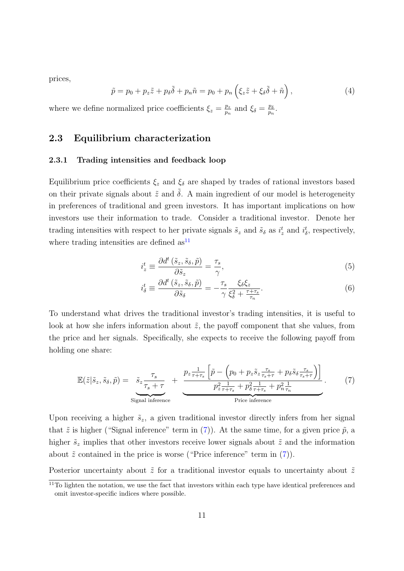prices,

<span id="page-11-0"></span>
$$
\tilde{p} = p_0 + p_z \tilde{z} + p_\delta \tilde{\delta} + p_n \tilde{n} = p_0 + p_n \left( \xi_z \tilde{z} + \xi_\delta \tilde{\delta} + \tilde{n} \right),\tag{4}
$$

where we define normalized price coefficients  $\xi_z = \frac{p_z}{p_x}$  $\frac{p_z}{p_n}$  and  $\xi_\delta = \frac{p_\delta}{p_n}$  $\frac{p_\delta}{p_n}.$ 

### 2.3 Equilibrium characterization

#### 2.3.1 Trading intensities and feedback loop

Equilibrium price coefficients  $\xi_z$  and  $\xi_\delta$  are shaped by trades of rational investors based on their private signals about  $\tilde{z}$  and  $\tilde{\delta}$ . A main ingredient of our model is heterogeneity in preferences of traditional and green investors. It has important implications on how investors use their information to trade. Consider a traditional investor. Denote her trading intensities with respect to her private signals  $\tilde{s}_z$  and  $\tilde{s}_\delta$  as  $i_z^t$  and  $i_\delta^t$ , respectively, where trading intensities are defined  $as<sup>11</sup>$  $as<sup>11</sup>$  $as<sup>11</sup>$ 

<span id="page-11-3"></span>
$$
i_z^t \equiv \frac{\partial d^t \left(\tilde{s}_z, \tilde{s}_\delta, \tilde{p}\right)}{\partial \tilde{s}_z} = \frac{\tau_s}{\gamma},\tag{5}
$$

<span id="page-11-4"></span><span id="page-11-2"></span>
$$
i_{\delta}^{t} \equiv \frac{\partial d^{t} \left(\tilde{s}_{z}, \tilde{s}_{\delta}, \tilde{p}\right)}{\partial \tilde{s}_{\delta}} = -\frac{\tau_{s}}{\gamma} \frac{\xi_{\delta} \xi_{z}}{\xi_{\delta}^{2} + \frac{\tau + \tau_{s}}{\tau_{n}}}.
$$
\n
$$
(6)
$$

To understand what drives the traditional investor's trading intensities, it is useful to look at how she infers information about  $\tilde{z}$ , the payoff component that she values, from the price and her signals. Specifically, she expects to receive the following payoff from holding one share:

$$
\mathbb{E}(\tilde{z}|\tilde{s}_z,\tilde{s}_\delta,\tilde{p}) = \frac{\tilde{s}_z \frac{\tau_s}{\tau_s + \tau}}{\tau_s + \tau} + \frac{p_z \frac{1}{\tau + \tau_s} \left[ \tilde{p} - \left( p_0 + p_z \tilde{s}_z \frac{\tau_s}{\tau_s + \tau} + p_\delta \tilde{s}_\delta \frac{\tau_s}{\tau_s + \tau} \right) \right]}{\frac{p_z^2}{\tau + \tau_s} + p_\delta^2 \frac{1}{\tau + \tau_s} + p_n^2 \frac{1}{\tau_n}}.
$$
(7)

Upon receiving a higher  $\tilde{s}_z$ , a given traditional investor directly infers from her signal that  $\tilde{z}$  is higher ("Signal inference" term in [\(7\)](#page-11-2)). At the same time, for a given price  $\tilde{p}$ , a higher  $\tilde{s}_z$  implies that other investors receive lower signals about  $\tilde{z}$  and the information about  $\tilde{z}$  contained in the price is worse ("Price inference" term in [\(7\)](#page-11-2)).

Posterior uncertainty about  $\tilde{z}$  for a traditional investor equals to uncertainty about  $\tilde{z}$ 

<span id="page-11-1"></span> $11$ To lighten the notation, we use the fact that investors within each type have identical preferences and omit investor-specific indices where possible.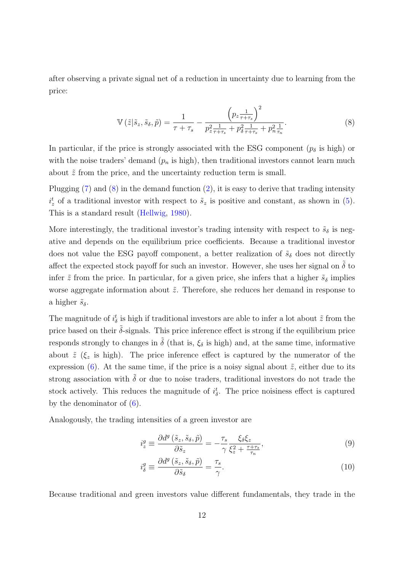after observing a private signal net of a reduction in uncertainty due to learning from the price:

<span id="page-12-0"></span>
$$
\mathbb{V}\left(\tilde{z}|\tilde{s}_{z},\tilde{s}_{\delta},\tilde{p}\right) = \frac{1}{\tau+\tau_{s}} - \frac{\left(p_{z}\frac{1}{\tau+\tau_{s}}\right)^{2}}{p_{z}\frac{1}{\tau+\tau_{s}} + p_{\delta}\frac{1}{\tau+\tau_{s}} + p_{n}\frac{1}{\tau_{n}}}. \tag{8}
$$

In particular, if the price is strongly associated with the ESG component  $(p<sub>\delta</sub>$  is high) or with the noise traders' demand  $(p_n$  is high), then traditional investors cannot learn much about  $\tilde{z}$  from the price, and the uncertainty reduction term is small.

Plugging [\(7\)](#page-11-2) and [\(8\)](#page-12-0) in the demand function [\(2\)](#page-10-0), it is easy to derive that trading intensity  $i_z^t$  of a traditional investor with respect to  $\tilde{s}_z$  is positive and constant, as shown in [\(5\)](#page-11-3). This is a standard result [\(Hellwig,](#page-39-2) [1980\)](#page-39-2).

More interestingly, the traditional investor's trading intensity with respect to  $\tilde{s}_{\delta}$  is negative and depends on the equilibrium price coefficients. Because a traditional investor does not value the ESG payoff component, a better realization of  $\tilde{s}_{\delta}$  does not directly affect the expected stock payoff for such an investor. However, she uses her signal on  $\delta$  to infer  $\tilde{z}$  from the price. In particular, for a given price, she infers that a higher  $\tilde{s}_\delta$  implies worse aggregate information about  $\tilde{z}$ . Therefore, she reduces her demand in response to a higher  $\tilde{s}_{\delta}$ .

The magnitude of  $i_{\delta}^{t}$  is high if traditional investors are able to infer a lot about  $\tilde{z}$  from the price based on their  $\tilde{\delta}$ -signals. This price inference effect is strong if the equilibrium price responds strongly to changes in  $\tilde{\delta}$  (that is,  $\xi_{\delta}$  is high) and, at the same time, informative about  $\tilde{z}$  ( $\xi$  is high). The price inference effect is captured by the numerator of the expression [\(6\)](#page-11-4). At the same time, if the price is a noisy signal about  $\tilde{z}$ , either due to its strong association with  $\tilde{\delta}$  or due to noise traders, traditional investors do not trade the stock actively. This reduces the magnitude of  $i_{\delta}^{t}$ . The price noisiness effect is captured by the denominator of  $(6)$ .

Analogously, the trading intensities of a green investor are

<span id="page-12-1"></span>
$$
i_z^g \equiv \frac{\partial d^g\left(\tilde{s}_z, \tilde{s}_\delta, \tilde{p}\right)}{\partial \tilde{s}_z} = -\frac{\tau_s}{\gamma} \frac{\xi_\delta \xi_z}{\xi_z^2 + \frac{\tau + \tau_s}{\tau_n}},\tag{9}
$$

<span id="page-12-2"></span>
$$
i_{\delta}^{g} \equiv \frac{\partial d^{g}(\tilde{s}_{z}, \tilde{s}_{\delta}, \tilde{p})}{\partial \tilde{s}_{\delta}} = \frac{\tau_{s}}{\gamma}.
$$
\n(10)

Because traditional and green investors value different fundamentals, they trade in the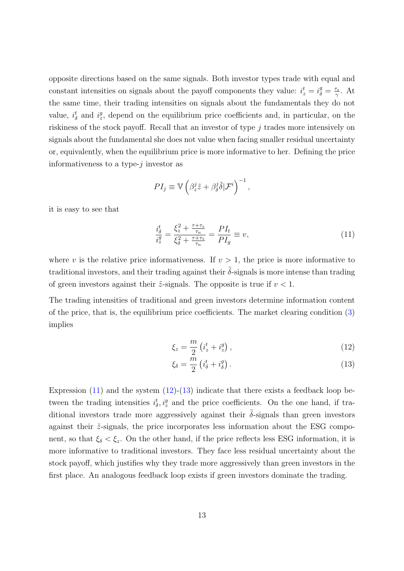opposite directions based on the same signals. Both investor types trade with equal and constant intensities on signals about the payoff components they value:  $i_z^t = i_{\delta}^g = \frac{\tau_s}{\gamma}$  $\frac{\tau_s}{\gamma}$ . At the same time, their trading intensities on signals about the fundamentals they do not value,  $i_{\delta}^{t}$  and  $i_{z}^{g}$ , depend on the equilibrium price coefficients and, in particular, on the riskiness of the stock payoff. Recall that an investor of type j trades more intensively on signals about the fundamental she does not value when facing smaller residual uncertainty or, equivalently, when the equilibrium price is more informative to her. Defining the price informativeness to a type- $i$  investor as

$$
PI_j \equiv \mathbb{V}\left(\beta_z^j \tilde{z} + \beta_\delta^j \tilde{\delta} | \mathcal{F}^i\right)^{-1},
$$

it is easy to see that

<span id="page-13-0"></span>
$$
\frac{i_{\delta}^{t}}{i_{z}^{g}} = \frac{\xi_{z}^{2} + \frac{\tau + \tau_{s}}{\tau_{n}}}{\xi_{\delta}^{2} + \frac{\tau + \tau_{s}}{\tau_{n}}} = \frac{PI_{t}}{PI_{g}} \equiv v,
$$
\n(11)

where v is the relative price informativeness. If  $v > 1$ , the price is more informative to traditional investors, and their trading against their  $\tilde{\delta}$ -signals is more intense than trading of green investors against their  $\tilde{z}$ -signals. The opposite is true if  $v < 1$ .

The trading intensities of traditional and green investors determine information content of the price, that is, the equilibrium price coefficients. The market clearing condition [\(3\)](#page-10-1) implies

<span id="page-13-1"></span>
$$
\xi_z = \frac{m}{2} \left( i_z^t + i_z^g \right),\tag{12}
$$

<span id="page-13-2"></span>
$$
\xi_{\delta} = \frac{\bar{m}}{2} \left( i_{\delta}^t + i_{\delta}^g \right). \tag{13}
$$

Expression  $(11)$  and the system  $(12)-(13)$  $(12)-(13)$  $(12)-(13)$  indicate that there exists a feedback loop between the trading intensities  $i_{\delta}^{t}, i_{z}^{g}$  and the price coefficients. On the one hand, if traditional investors trade more aggressively against their  $\tilde{\delta}$ -signals than green investors against their  $\tilde{z}$ -signals, the price incorporates less information about the ESG component, so that  $\xi_{\delta} < \xi_z$ . On the other hand, if the price reflects less ESG information, it is more informative to traditional investors. They face less residual uncertainty about the stock payoff, which justifies why they trade more aggressively than green investors in the first place. An analogous feedback loop exists if green investors dominate the trading.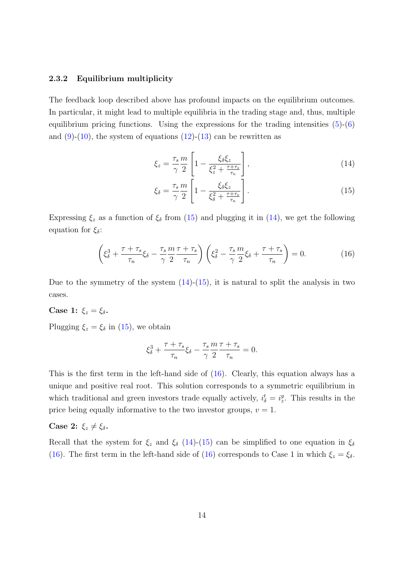#### 2.3.2 Equilibrium multiplicity

The feedback loop described above has profound impacts on the equilibrium outcomes. In particular, it might lead to multiple equilibria in the trading stage and, thus, multiple equilibrium pricing functions. Using the expressions for the trading intensities  $(5)-(6)$  $(5)-(6)$  $(5)-(6)$ and  $(9)-(10)$  $(9)-(10)$  $(9)-(10)$ , the system of equations  $(12)-(13)$  $(12)-(13)$  $(12)-(13)$  can be rewritten as

<span id="page-14-1"></span>
$$
\xi_z = \frac{\tau_s}{\gamma} \frac{m}{2} \left[ 1 - \frac{\xi_\delta \xi_z}{\xi_z^2 + \frac{\tau + \tau_s}{\tau_n}} \right],\tag{14}
$$

<span id="page-14-2"></span><span id="page-14-0"></span>
$$
\xi_{\delta} = \frac{\tau_s}{\gamma} \frac{m}{2} \left[ 1 - \frac{\xi_{\delta} \xi_z}{\xi_{\delta}^2 + \frac{\tau + \tau_s}{\tau_n}} \right]. \tag{15}
$$

Expressing  $\xi_z$  as a function of  $\xi_\delta$  from [\(15\)](#page-14-0) and plugging it in [\(14\)](#page-14-1), we get the following equation for  $\xi_{\delta}$ :

$$
\left(\xi_{\delta}^{3} + \frac{\tau + \tau_{s}}{\tau_{n}}\xi_{\delta} - \frac{\tau_{s}}{\gamma} \frac{m}{2} \frac{\tau + \tau_{s}}{\tau_{n}}\right)\left(\xi_{\delta}^{2} - \frac{\tau_{s}}{\gamma} \frac{m}{2}\xi_{\delta} + \frac{\tau + \tau_{s}}{\tau_{n}}\right) = 0.
$$
\n(16)

Due to the symmetry of the system  $(14)-(15)$  $(14)-(15)$  $(14)-(15)$ , it is natural to split the analysis in two cases.

#### Case 1:  $\xi_z = \xi_\delta$ .

Plugging  $\xi_z = \xi_\delta$  in [\(15\)](#page-14-0), we obtain

$$
\xi_{\delta}^3+\frac{\tau+\tau_s}{\tau_n}\xi_{\delta}-\frac{\tau_s}{\gamma}\frac{m}{2}\frac{\tau+\tau_s}{\tau_n}=0.
$$

This is the first term in the left-hand side of [\(16\)](#page-14-2). Clearly, this equation always has a unique and positive real root. This solution corresponds to a symmetric equilibrium in which traditional and green investors trade equally actively,  $i_{\delta}^{t} = i_{z}^{g}$ . This results in the price being equally informative to the two investor groups,  $v = 1$ .

#### Case 2:  $\xi_z \neq \xi_\delta$ .

Recall that the system for  $\xi_z$  and  $\xi_\delta$  [\(14\)](#page-14-1)-[\(15\)](#page-14-0) can be simplified to one equation in  $\xi_\delta$ [\(16\)](#page-14-2). The first term in the left-hand side of (16) corresponds to Case 1 in which  $\xi_z = \xi_\delta$ .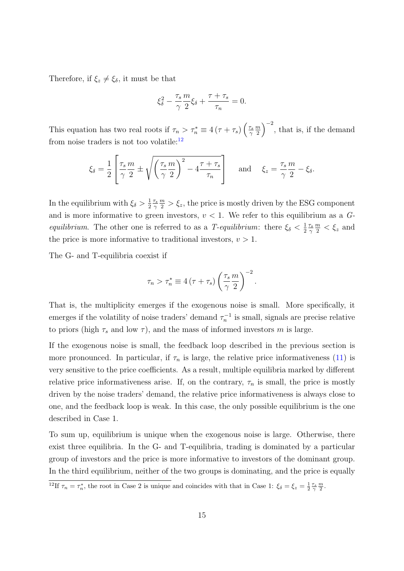Therefore, if  $\xi_z \neq \xi_\delta$ , it must be that

$$
\xi_\delta^2 - \frac{\tau_s}{\gamma} \frac{m}{2} \xi_\delta + \frac{\tau + \tau_s}{\tau_n} = 0.
$$

This equation has two real roots if  $\tau_n > \tau_n^* \equiv 4(\tau + \tau_s) \left(\frac{\tau_s}{\gamma_s}\right)$ γ  $\overline{m}$  $\left(\frac{m}{2}\right)^{-2}$ , that is, if the demand from noise traders is not too volatile:<sup>[12](#page-15-0)</sup>

$$
\xi_{\delta} = \frac{1}{2} \left[ \frac{\tau_s}{\gamma} \frac{m}{2} \pm \sqrt{\left(\frac{\tau_s}{\gamma} \frac{m}{2}\right)^2 - 4\frac{\tau + \tau_s}{\tau_n}} \right] \quad \text{and} \quad \xi_z = \frac{\tau_s}{\gamma} \frac{m}{2} - \xi_{\delta}.
$$

In the equilibrium with  $\xi_{\delta} > \frac{1}{2}$ 2  $\tau_s$ γ  $\frac{m}{2} > \xi_z$ , the price is mostly driven by the ESG component and is more informative to green investors,  $v < 1$ . We refer to this equilibrium as a G*equilibrium.* The other one is referred to as a T-equilibrium: there  $\xi_{\delta} < \frac{1}{2}$ 2  $\tau_s$ γ  $\frac{m}{2} < \xi_z$  and the price is more informative to traditional investors,  $v > 1$ .

The G- and T-equilibria coexist if

$$
\tau_n > \tau_n^* \equiv 4(\tau + \tau_s) \left(\frac{\tau_s}{\gamma} \frac{m}{2}\right)^{-2}.
$$

That is, the multiplicity emerges if the exogenous noise is small. More specifically, it emerges if the volatility of noise traders' demand  $\tau_n^{-1}$  is small, signals are precise relative to priors (high  $\tau_s$  and low  $\tau$ ), and the mass of informed investors m is large.

If the exogenous noise is small, the feedback loop described in the previous section is more pronounced. In particular, if  $\tau_n$  is large, the relative price informativeness [\(11\)](#page-13-0) is very sensitive to the price coefficients. As a result, multiple equilibria marked by different relative price informativeness arise. If, on the contrary,  $\tau_n$  is small, the price is mostly driven by the noise traders' demand, the relative price informativeness is always close to one, and the feedback loop is weak. In this case, the only possible equilibrium is the one described in Case 1.

To sum up, equilibrium is unique when the exogenous noise is large. Otherwise, there exist three equilibria. In the G- and T-equilibria, trading is dominated by a particular group of investors and the price is more informative to investors of the dominant group. In the third equilibrium, neither of the two groups is dominating, and the price is equally

<span id="page-15-0"></span><sup>&</sup>lt;sup>12</sup>If  $\tau_n = \tau_n^*$ , the root in Case 2 is unique and coincides with that in Case 1:  $\xi_\delta = \xi_z = \frac{1}{2} \frac{\tau_s}{\gamma} \frac{m}{2}$ .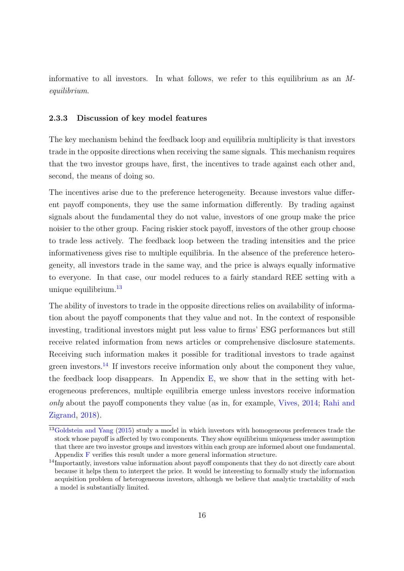informative to all investors. In what follows, we refer to this equilibrium as an Mequilibrium.

#### <span id="page-16-2"></span>2.3.3 Discussion of key model features

The key mechanism behind the feedback loop and equilibria multiplicity is that investors trade in the opposite directions when receiving the same signals. This mechanism requires that the two investor groups have, first, the incentives to trade against each other and, second, the means of doing so.

The incentives arise due to the preference heterogeneity. Because investors value different payoff components, they use the same information differently. By trading against signals about the fundamental they do not value, investors of one group make the price noisier to the other group. Facing riskier stock payoff, investors of the other group choose to trade less actively. The feedback loop between the trading intensities and the price informativeness gives rise to multiple equilibria. In the absence of the preference heterogeneity, all investors trade in the same way, and the price is always equally informative to everyone. In that case, our model reduces to a fairly standard REE setting with a unique equilibrium.<sup>[13](#page-16-0)</sup>

The ability of investors to trade in the opposite directions relies on availability of information about the payoff components that they value and not. In the context of responsible investing, traditional investors might put less value to firms' ESG performances but still receive related information from news articles or comprehensive disclosure statements. Receiving such information makes it possible for traditional investors to trade against green investors.<sup>[14](#page-16-1)</sup> If investors receive information only about the component they value, the feedback loop disappears. In Appendix  $E$ , we show that in the setting with heterogeneous preferences, multiple equilibria emerge unless investors receive information only about the payoff components they value (as in, for example, [Vives,](#page-41-5) [2014;](#page-41-5) [Rahi and](#page-41-7) [Zigrand,](#page-41-7) [2018\)](#page-41-7).

<span id="page-16-0"></span><sup>&</sup>lt;sup>13</sup>[Goldstein and Yang](#page-38-6) [\(2015\)](#page-38-6) study a model in which investors with homogeneous preferences trade the stock whose payoff is affected by two components. They show equilibrium uniqueness under assumption that there are two investor groups and investors within each group are informed about one fundamental. Appendix [F](#page-79-0) verifies this result under a more general information structure.

<span id="page-16-1"></span><sup>&</sup>lt;sup>14</sup>Importantly, investors value information about payoff components that they do not directly care about because it helps them to interpret the price. It would be interesting to formally study the information acquisition problem of heterogeneous investors, although we believe that analytic tractability of such a model is substantially limited.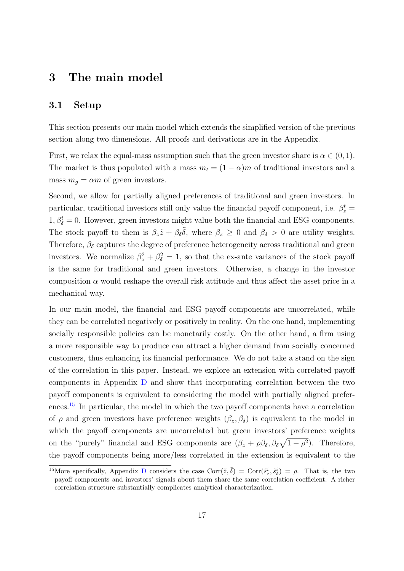### <span id="page-17-0"></span>3 The main model

#### <span id="page-17-2"></span>3.1 Setup

This section presents our main model which extends the simplified version of the previous section along two dimensions. All proofs and derivations are in the Appendix.

First, we relax the equal-mass assumption such that the green investor share is  $\alpha \in (0,1)$ . The market is thus populated with a mass  $m_t = (1 - \alpha)m$  of traditional investors and a mass  $m_g = \alpha m$  of green investors.

Second, we allow for partially aligned preferences of traditional and green investors. In particular, traditional investors still only value the financial payoff component, i.e.  $\beta_z^t =$  $1, \beta_{\delta}^{t} = 0$ . However, green investors might value both the financial and ESG components. The stock payoff to them is  $\beta_z \tilde{z} + \beta_\delta \tilde{\delta}$ , where  $\beta_z \geq 0$  and  $\beta_\delta > 0$  are utility weights. Therefore,  $\beta_{\delta}$  captures the degree of preference heterogeneity across traditional and green investors. We normalize  $\beta_z^2 + \beta_{\delta}^2 = 1$ , so that the ex-ante variances of the stock payoff is the same for traditional and green investors. Otherwise, a change in the investor composition  $\alpha$  would reshape the overall risk attitude and thus affect the asset price in a mechanical way.

In our main model, the financial and ESG payoff components are uncorrelated, while they can be correlated negatively or positively in reality. On the one hand, implementing socially responsible policies can be monetarily costly. On the other hand, a firm using a more responsible way to produce can attract a higher demand from socially concerned customers, thus enhancing its financial performance. We do not take a stand on the sign of the correlation in this paper. Instead, we explore an extension with correlated payoff components in Appendix [D](#page-66-0) and show that incorporating correlation between the two payoff components is equivalent to considering the model with partially aligned prefer-ences.<sup>[15](#page-17-1)</sup> In particular, the model in which the two payoff components have a correlation of  $\rho$  and green investors have preference weights  $(\beta_z, \beta_\delta)$  is equivalent to the model in which the payoff components are uncorrelated but green investors' preference weights on the "purely" financial and ESG components are  $(\beta_z + \rho \beta_{\delta}, \beta_{\delta} \sqrt{1-\rho^2})$ . Therefore, the payoff components being more/less correlated in the extension is equivalent to the

<span id="page-17-1"></span><sup>&</sup>lt;sup>15</sup>More specifically, Appendix [D](#page-66-0) considers the case Corr $(\tilde{z}, \tilde{\delta})$  = Corr $(\tilde{s}_z^i, \tilde{s}_\delta^i) = \rho$ . That is, the two payoff components and investors' signals about them share the same correlation coefficient. A richer correlation structure substantially complicates analytical characterization.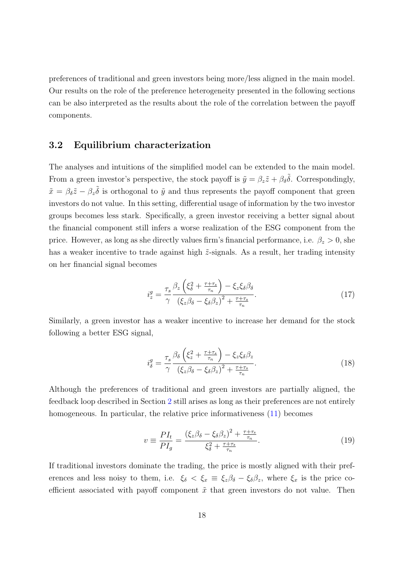preferences of traditional and green investors being more/less aligned in the main model. Our results on the role of the preference heterogeneity presented in the following sections can be also interpreted as the results about the role of the correlation between the payoff components.

#### 3.2 Equilibrium characterization

The analyses and intuitions of the simplified model can be extended to the main model. From a green investor's perspective, the stock payoff is  $\tilde{y} = \beta_z \tilde{z} + \beta_{\delta} \tilde{\delta}$ . Correspondingly,  $\tilde{x} = \beta_{\delta}\tilde{z} - \beta_{z}\tilde{\delta}$  is orthogonal to  $\tilde{y}$  and thus represents the payoff component that green investors do not value. In this setting, differential usage of information by the two investor groups becomes less stark. Specifically, a green investor receiving a better signal about the financial component still infers a worse realization of the ESG component from the price. However, as long as she directly values firm's financial performance, i.e.  $\beta_z > 0$ , she has a weaker incentive to trade against high  $\tilde{z}$ -signals. As a result, her trading intensity on her financial signal becomes

<span id="page-18-0"></span>
$$
i_z^g = \frac{\tau_s}{\gamma} \frac{\beta_z \left(\xi_\delta^2 + \frac{\tau + \tau_s}{\tau_n}\right) - \xi_z \xi_\delta \beta_\delta}{\left(\xi_z \beta_\delta - \xi_\delta \beta_z\right)^2 + \frac{\tau + \tau_s}{\tau_n}}.
$$
\n(17)

Similarly, a green investor has a weaker incentive to increase her demand for the stock following a better ESG signal,

<span id="page-18-1"></span>
$$
i_{\delta}^{g} = \frac{\tau_{s}}{\gamma} \frac{\beta_{\delta} \left(\xi_{z}^{2} + \frac{\tau + \tau_{s}}{\tau_{n}}\right) - \xi_{z} \xi_{\delta} \beta_{z}}{\left(\xi_{z} \beta_{\delta} - \xi_{\delta} \beta_{z}\right)^{2} + \frac{\tau + \tau_{s}}{\tau_{n}}}. \tag{18}
$$

Although the preferences of traditional and green investors are partially aligned, the feedback loop described in Section [2](#page-8-0) still arises as long as their preferences are not entirely homogeneous. In particular, the relative price informativeness  $(11)$  becomes

<span id="page-18-2"></span>
$$
v \equiv \frac{PI_t}{PI_g} = \frac{\left(\xi_z \beta_\delta - \xi_\delta \beta_z\right)^2 + \frac{\tau + \tau_s}{\tau_n}}{\xi_\delta^2 + \frac{\tau + \tau_s}{\tau_n}}.\tag{19}
$$

If traditional investors dominate the trading, the price is mostly aligned with their preferences and less noisy to them, i.e.  $\xi_{\delta} < \xi_x \equiv \xi_z \beta_{\delta} - \xi_{\delta} \beta_z$ , where  $\xi_x$  is the price coefficient associated with payoff component  $\tilde{x}$  that green investors do not value. Then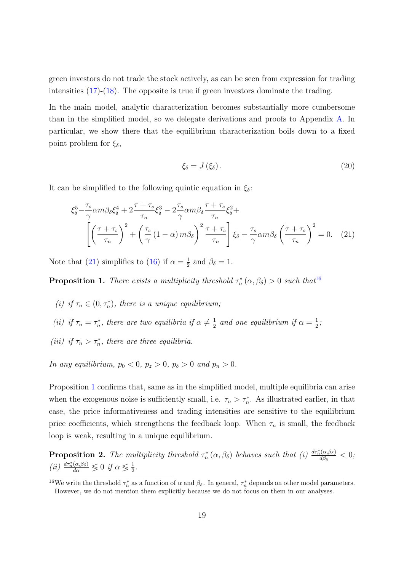green investors do not trade the stock actively, as can be seen from expression for trading intensities [\(17\)](#page-18-0)-[\(18\)](#page-18-1). The opposite is true if green investors dominate the trading.

In the main model, analytic characterization becomes substantially more cumbersome than in the simplified model, so we delegate derivations and proofs to Appendix [A.](#page-43-0) In particular, we show there that the equilibrium characterization boils down to a fixed point problem for  $\xi_{\delta}$ ,

<span id="page-19-4"></span><span id="page-19-0"></span>
$$
\xi_{\delta} = J\left(\xi_{\delta}\right). \tag{20}
$$

It can be simplified to the following quintic equation in  $\xi_{\delta}$ :

$$
\xi_{\delta}^{5} - \frac{\tau_{s}}{\gamma} \alpha m \beta_{\delta} \xi_{\delta}^{4} + 2 \frac{\tau + \tau_{s}}{\tau_{n}} \xi_{\delta}^{3} - 2 \frac{\tau_{s}}{\gamma} \alpha m \beta_{\delta} \frac{\tau + \tau_{s}}{\tau_{n}} \xi_{\delta}^{2} + \left[ \left( \frac{\tau + \tau_{s}}{\tau_{n}} \right)^{2} + \left( \frac{\tau_{s}}{\gamma} (1 - \alpha) m \beta_{\delta} \right)^{2} \frac{\tau + \tau_{s}}{\tau_{n}} \right] \xi_{\delta} - \frac{\tau_{s}}{\gamma} \alpha m \beta_{\delta} \left( \frac{\tau + \tau_{s}}{\tau_{n}} \right)^{2} = 0. \quad (21)
$$

Note that [\(21\)](#page-19-0) simplifies to [\(16\)](#page-14-2) if  $\alpha = \frac{1}{2}$  $\frac{1}{2}$  and  $\beta_{\delta} = 1$ .

<span id="page-19-2"></span>**Proposition 1.** There exists a multiplicity threshold  $\tau_n^*(\alpha, \beta_{\delta}) > 0$  such that  $16$ 

- (i) if  $\tau_n \in (0, \tau_n^*)$ , there is a unique equilibrium;
- (ii) if  $\tau_n = \tau_n^*$ , there are two equilibria if  $\alpha \neq \frac{1}{2}$  $\frac{1}{2}$  and one equilibrium if  $\alpha = \frac{1}{2}$  $\frac{1}{2}$ ;
- (iii) if  $\tau_n > \tau_n^*$ , there are three equilibria.

In any equilibrium,  $p_0 < 0$ ,  $p_z > 0$ ,  $p_\delta > 0$  and  $p_n > 0$ .

Proposition [1](#page-19-2) confirms that, same as in the simplified model, multiple equilibria can arise when the exogenous noise is sufficiently small, i.e.  $\tau_n > \tau_n^*$ . As illustrated earlier, in that case, the price informativeness and trading intensities are sensitive to the equilibrium price coefficients, which strengthens the feedback loop. When  $\tau_n$  is small, the feedback loop is weak, resulting in a unique equilibrium.

<span id="page-19-3"></span>**Proposition 2.** The multiplicity threshold  $\tau_n^*(\alpha, \beta_\delta)$  behaves such that (i)  $\frac{d\tau_n^*(\alpha, \beta_\delta)}{d\beta_\delta}$  $\frac{d_{\delta}(\alpha,\beta_{\delta})}{d\beta_{\delta}} < 0;$ (ii)  $\frac{d\tau_n^*(\alpha,\beta_\delta)}{d\alpha} \lessgtr 0$  if  $\alpha \lessgtr \frac{1}{2}$  $\frac{1}{2}$ .

<span id="page-19-1"></span><sup>&</sup>lt;sup>16</sup>We write the threshold  $\tau_n^*$  as a function of  $\alpha$  and  $\beta_\delta$ . In general,  $\tau_n^*$  depends on other model parameters. However, we do not mention them explicitly because we do not focus on them in our analyses.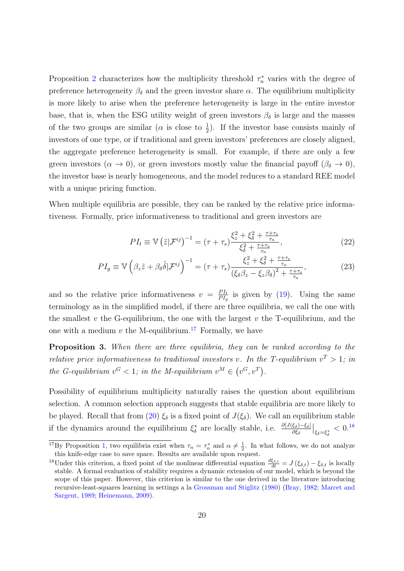Proposition [2](#page-19-3) characterizes how the multiplicity threshold  $\tau_n^*$  varies with the degree of preference heterogeneity  $\beta_{\delta}$  and the green investor share  $\alpha$ . The equilibrium multiplicity is more likely to arise when the preference heterogeneity is large in the entire investor base, that is, when the ESG utility weight of green investors  $\beta_{\delta}$  is large and the masses of the two groups are similar ( $\alpha$  is close to  $\frac{1}{2}$ ). If the investor base consists mainly of investors of one type, or if traditional and green investors' preferences are closely aligned, the aggregate preference heterogeneity is small. For example, if there are only a few green investors ( $\alpha \to 0$ ), or green investors mostly value the financial payoff ( $\beta_{\delta} \to 0$ ), the investor base is nearly homogeneous, and the model reduces to a standard REE model with a unique pricing function.

When multiple equilibria are possible, they can be ranked by the relative price informativeness. Formally, price informativeness to traditional and green investors are

$$
PI_t \equiv \mathbb{V}\left(\tilde{z}|\mathcal{F}^{ij}\right)^{-1} = (\tau + \tau_s) \frac{\xi_z^2 + \xi_\delta^2 + \frac{\tau + \tau_s}{\tau_n}}{\xi_\delta^2 + \frac{\tau + \tau_s}{\tau_n}},\tag{22}
$$

$$
PI_g \equiv \mathbb{V}\left(\beta_z \tilde{z} + \beta_\delta \tilde{\delta} | \mathcal{F}^{ij}\right)^{-1} = (\tau + \tau_s) \frac{\xi_z^2 + \xi_\delta^2 + \frac{\tau + \tau_s}{\tau_n}}{\left(\xi_\delta \beta_z - \xi_z \beta_\delta\right)^2 + \frac{\tau + \tau_s}{\tau_n}},\tag{23}
$$

and so the relative price informativeness  $v = \frac{PI_t}{PI}$  $\frac{P I_t}{P I_g}$  is given by [\(19\)](#page-18-2). Using the same terminology as in the simplified model, if there are three equilibria, we call the one with the smallest  $v$  the G-equilibrium, the one with the largest  $v$  the T-equilibrium, and the one with a medium  $v$  the M-equilibrium.<sup>[17](#page-20-0)</sup> Formally, we have

Proposition 3. When there are three equilibria, they can be ranked according to the relative price informativeness to traditional investors v. In the T-equilibrium  $v^T > 1$ ; in the G-equilibrium  $v^G < 1$ ; in the M-equilibrium  $v^M \in (v^G, v^T)$ .

Possibility of equilibrium multiplicity naturally raises the question about equilibrium selection. A common selection approach suggests that stable equilibria are more likely to be played. Recall that from [\(20\)](#page-19-4)  $\xi_{\delta}$  is a fixed point of  $J(\xi_{\delta})$ . We call an equilibrium stable if the dynamics around the equilibrium  $\xi_{\delta}^*$  are locally stable, i.e.  $\frac{\partial [J(\xi_{\delta})-\xi_{\delta}]}{\partial \xi_{\delta}}\Big|_{\xi_{\delta}=\xi_{\delta}^*}<0.^{18}$  $\frac{\partial [J(\xi_{\delta})-\xi_{\delta}]}{\partial \xi_{\delta}}\Big|_{\xi_{\delta}=\xi_{\delta}^*}<0.^{18}$  $\frac{\partial [J(\xi_{\delta})-\xi_{\delta}]}{\partial \xi_{\delta}}\Big|_{\xi_{\delta}=\xi_{\delta}^*}<0.^{18}$ 

<span id="page-20-0"></span><sup>&</sup>lt;sup>17</sup>By Proposition [1,](#page-19-2) two equilibria exist when  $\tau_n = \tau_n^*$  and  $\alpha \neq \frac{1}{2}$ . In what follows, we do not analyze this knife-edge case to save space. Results are available upon request.

<span id="page-20-1"></span><sup>&</sup>lt;sup>18</sup>Under this criterion, a fixed point of the nonlinear differential equation  $\frac{d\xi_{\delta,t}}{dt} = J(\xi_{\delta,t}) - \xi_{\delta,t}$  is locally stable. A formal evaluation of stability requires a dynamic extension of our model, which is beyond the scope of this paper. However, this criterion is similar to the one derived in the literature introducing recursive-least-squares learning in settings a la [Grossman and Stiglitz](#page-39-9) [\(1980\)](#page-39-9) [\(Bray,](#page-36-9) [1982;](#page-36-9) [Marcet and](#page-40-8) [Sargent,](#page-40-8) [1989;](#page-40-8) [Heinemann,](#page-39-11) [2009\)](#page-39-11).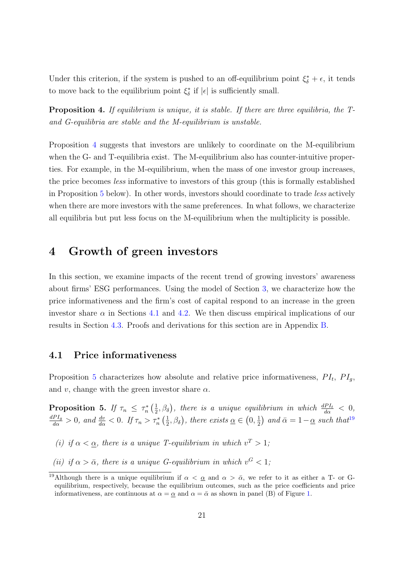Under this criterion, if the system is pushed to an off-equilibrium point  $\xi^*_{\delta} + \epsilon$ , it tends to move back to the equilibrium point  $\xi^*_{\delta}$  if  $|\epsilon|$  is sufficiently small.

<span id="page-21-1"></span>Proposition 4. If equilibrium is unique, it is stable. If there are three equilibria, the Tand G-equilibria are stable and the M-equilibrium is unstable.

Proposition [4](#page-21-1) suggests that investors are unlikely to coordinate on the M-equilibrium when the G- and T-equilibria exist. The M-equilibrium also has counter-intuitive properties. For example, in the M-equilibrium, when the mass of one investor group increases, the price becomes less informative to investors of this group (this is formally established in Proposition [5](#page-21-2) below). In other words, investors should coordinate to trade less actively when there are more investors with the same preferences. In what follows, we characterize all equilibria but put less focus on the M-equilibrium when the multiplicity is possible.

# <span id="page-21-0"></span>4 Growth of green investors

In this section, we examine impacts of the recent trend of growing investors' awareness about firms' ESG performances. Using the model of Section [3,](#page-17-0) we characterize how the price informativeness and the firm's cost of capital respond to an increase in the green investor share  $\alpha$  in Sections [4.1](#page-21-3) and [4.2.](#page-23-0) We then discuss empirical implications of our results in Section [4.3.](#page-26-0) Proofs and derivations for this section are in Appendix [B.](#page-57-0)

#### <span id="page-21-3"></span>4.1 Price informativeness

Proposition [5](#page-21-2) characterizes how absolute and relative price informativeness,  $PI_t$ ,  $PI_g$ , and v, change with the green investor share  $\alpha$ .

<span id="page-21-2"></span>Proposition 5. If  $\tau_n \leq \tau_n^* \left( \frac{1}{2} \right)$  $(\frac{1}{2},\beta_{\delta})$ , there is a unique equilibrium in which  $\frac{dPI_{t}}{d\alpha} < 0$ ,  $\frac{dPI_g}{d\alpha} > 0$ , and  $\frac{dv}{d\alpha} < 0$ . If  $\tau_n > \tau_n^*$   $\left(\frac{1}{2}\right)$  $(\frac{1}{2}, \beta_{\delta})$ , there exists  $\underline{\alpha} \in (0, \frac{1}{2})$  $(\frac{1}{2})$  and  $\bar{\alpha} = 1 - \underline{\alpha}$  such that<sup>[19](#page-21-4)</sup>

- (i) if  $\alpha < \underline{\alpha}$ , there is a unique T-equilibrium in which  $v^T > 1$ ;
- (ii) if  $\alpha > \bar{\alpha}$ , there is a unique G-equilibrium in which  $v^G < 1$ ;

<span id="page-21-4"></span><sup>&</sup>lt;sup>19</sup>Although there is a unique equilibrium if  $\alpha < \alpha$  and  $\alpha > \bar{\alpha}$ , we refer to it as either a T- or Gequilibrium, respectively, because the equilibrium outcomes, such as the price coefficients and price informativeness, are continuous at  $\alpha = \alpha$  and  $\alpha = \overline{\alpha}$  as shown in panel (B) of Figure [1.](#page-23-1)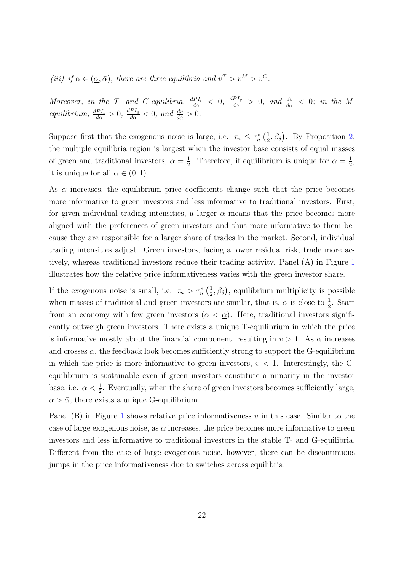(iii) if  $\alpha \in (\underline{\alpha}, \bar{\alpha})$ , there are three equilibria and  $v^T > v^M > v^G$ .

Moreover, in the T- and G-equilibria,  $\frac{dPI_t}{d\alpha} < 0$ ,  $\frac{dPI_g}{d\alpha} > 0$ , and  $\frac{dv}{d\alpha} < 0$ ; in the Mequilibrium,  $\frac{dPI_t}{d\alpha} > 0$ ,  $\frac{dPI_g}{d\alpha} < 0$ , and  $\frac{dv}{d\alpha} > 0$ .

Suppose first that the exogenous noise is large, i.e.  $\tau_n \leq \tau_n^* \left( \frac{1}{2} \right)$  $(\frac{1}{2}, \beta_{\delta})$ . By Proposition [2,](#page-19-3) the multiple equilibria region is largest when the investor base consists of equal masses of green and traditional investors,  $\alpha = \frac{1}{2}$  $\frac{1}{2}$ . Therefore, if equilibrium is unique for  $\alpha = \frac{1}{2}$  $\frac{1}{2}$ it is unique for all  $\alpha \in (0,1)$ .

As  $\alpha$  increases, the equilibrium price coefficients change such that the price becomes more informative to green investors and less informative to traditional investors. First, for given individual trading intensities, a larger  $\alpha$  means that the price becomes more aligned with the preferences of green investors and thus more informative to them because they are responsible for a larger share of trades in the market. Second, individual trading intensities adjust. Green investors, facing a lower residual risk, trade more actively, whereas traditional investors reduce their trading activity. Panel (A) in Figure [1](#page-23-1) illustrates how the relative price informativeness varies with the green investor share.

If the exogenous noise is small, i.e.  $\tau_n > \tau_n^* \left( \frac{1}{2} \right)$  $(\frac{1}{2}, \beta_{\delta})$ , equilibrium multiplicity is possible when masses of traditional and green investors are similar, that is,  $\alpha$  is close to  $\frac{1}{2}$ . Start from an economy with few green investors  $(\alpha < \underline{\alpha})$ . Here, traditional investors significantly outweigh green investors. There exists a unique T-equilibrium in which the price is informative mostly about the financial component, resulting in  $v > 1$ . As  $\alpha$  increases and crosses  $\underline{\alpha}$ , the feedback look becomes sufficiently strong to support the G-equilibrium in which the price is more informative to green investors,  $v < 1$ . Interestingly, the Gequilibrium is sustainable even if green investors constitute a minority in the investor base, i.e.  $\alpha < \frac{1}{2}$ . Eventually, when the share of green investors becomes sufficiently large,  $\alpha > \bar{\alpha}$ , there exists a unique G-equilibrium.

Panel  $(B)$  in Figure [1](#page-23-1) shows relative price informativeness v in this case. Similar to the case of large exogenous noise, as  $\alpha$  increases, the price becomes more informative to green investors and less informative to traditional investors in the stable T- and G-equilibria. Different from the case of large exogenous noise, however, there can be discontinuous jumps in the price informativeness due to switches across equilibria.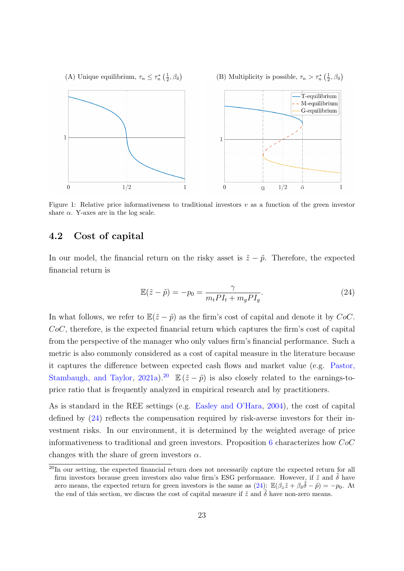<span id="page-23-1"></span>

Figure 1: Relative price informativeness to traditional investors  $v$  as a function of the green investor share  $\alpha$ . Y-axes are in the log scale.

### <span id="page-23-0"></span>4.2 Cost of capital

In our model, the financial return on the risky asset is  $\tilde{z} - \tilde{p}$ . Therefore, the expected financial return is

<span id="page-23-3"></span>
$$
\mathbb{E}(\tilde{z} - \tilde{p}) = -p_0 = \frac{\gamma}{m_t P I_t + m_g P I_g}.
$$
\n(24)

In what follows, we refer to  $\mathbb{E}(\tilde{z} - \tilde{p})$  as the firm's cost of capital and denote it by CoC.  $CoC$ , therefore, is the expected financial return which captures the firm's cost of capital from the perspective of the manager who only values firm's financial performance. Such a metric is also commonly considered as a cost of capital measure in the literature because it captures the difference between expected cash flows and market value (e.g. [Pastor,](#page-40-9) [Stambaugh, and Taylor,](#page-40-9) [2021a\)](#page-40-9).<sup>[20](#page-23-2)</sup>  $\mathbb{E} (\tilde{z} - \tilde{p})$  is also closely related to the earnings-toprice ratio that is frequently analyzed in empirical research and by practitioners.

As is standard in the REE settings (e.g. [Easley and O'Hara,](#page-38-1) [2004\)](#page-38-1), the cost of capital defined by [\(24\)](#page-23-3) reflects the compensation required by risk-averse investors for their investment risks. In our environment, it is determined by the weighted average of price informativeness to traditional and green investors. Proposition  $6$  characterizes how  $CoC$ changes with the share of green investors  $\alpha$ .

<span id="page-23-2"></span><sup>&</sup>lt;sup>20</sup>In our setting, the expected financial return does not necessarily capture the expected return for all firm investors because green investors also value firm's ESG performance. However, if  $\tilde{z}$  and  $\tilde{\delta}$  have zero means, the expected return for green investors is the same as  $(24)$ :  $\mathbb{E}(\beta_z\tilde{z} + \beta_\delta\tilde{\delta} - \tilde{p}) = -p_0$ . At the end of this section, we discuss the cost of capital measure if  $\tilde{z}$  and  $\tilde{\delta}$  have non-zero means.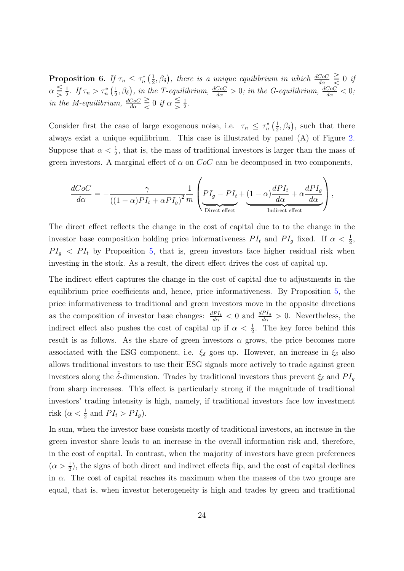<span id="page-24-0"></span>Proposition 6. If  $\tau_n \leq \tau_n^* \left( \frac{1}{2} \right)$  $(\frac{1}{2},\beta_{\delta})$ , there is a unique equilibrium in which  $\frac{dCoC}{d\alpha} \geq 0$  if  $\alpha \leq \frac{1}{2}$  $\frac{1}{2}$ . If  $\tau_n > \tau_n^*$   $\left(\frac{1}{2}\right)$  $(\frac{1}{2}, \beta_{\delta})$ , in the T-equilibrium,  $\frac{dCoC}{d\alpha} > 0$ ; in the G-equilibrium,  $\frac{dCoC}{d\alpha} < 0$ ; in the M-equilibrium,  $\frac{dCoC}{d\alpha} \geq 0$  if  $\alpha \leq \frac{1}{2}$  $\frac{1}{2}$ .

Consider first the case of large exogenous noise, i.e.  $\tau_n \leq \tau_n^* \left( \frac{1}{2} \right)$  $(\frac{1}{2}, \beta_{\delta}),$  such that there always exist a unique equilibrium. This case is illustrated by panel (A) of Figure [2.](#page-25-0) Suppose that  $\alpha < \frac{1}{2}$ , that is, the mass of traditional investors is larger than the mass of green investors. A marginal effect of  $\alpha$  on  $CoC$  can be decomposed in two components,

$$
\frac{dCoC}{d\alpha} = -\frac{\gamma}{((1-\alpha)PI_t + \alpha PI_g)^2} \frac{1}{m} \left( PI_g - PI_t + (1-\alpha)\frac{dPI_t}{d\alpha} + \alpha \frac{dPI_g}{d\alpha} \right),
$$

The direct effect reflects the change in the cost of capital due to to the change in the investor base composition holding price informativeness  $PI_t$  and  $PI_g$  fixed. If  $\alpha < \frac{1}{2}$ ,  $PI<sub>g</sub> < PI<sub>t</sub>$  by Proposition [5,](#page-21-2) that is, green investors face higher residual risk when investing in the stock. As a result, the direct effect drives the cost of capital up.

The indirect effect captures the change in the cost of capital due to adjustments in the equilibrium price coefficients and, hence, price informativeness. By Proposition [5,](#page-21-2) the price informativeness to traditional and green investors move in the opposite directions as the composition of investor base changes:  $\frac{dPI_t}{d\alpha} < 0$  and  $\frac{dPI_g}{d\alpha} > 0$ . Nevertheless, the indirect effect also pushes the cost of capital up if  $\alpha < \frac{1}{2}$ . The key force behind this result is as follows. As the share of green investors  $\alpha$  grows, the price becomes more associated with the ESG component, i.e.  $\xi_{\delta}$  goes up. However, an increase in  $\xi_{\delta}$  also allows traditional investors to use their ESG signals more actively to trade against green investors along the  $\delta$ -dimension. Trades by traditional investors thus prevent  $\xi_{\delta}$  and  $PI_q$ from sharp increases. This effect is particularly strong if the magnitude of traditional investors' trading intensity is high, namely, if traditional investors face low investment risk  $(\alpha < \frac{1}{2}$  and  $PI_t > PI_g)$ .

In sum, when the investor base consists mostly of traditional investors, an increase in the green investor share leads to an increase in the overall information risk and, therefore, in the cost of capital. In contrast, when the majority of investors have green preferences  $(\alpha > \frac{1}{2})$ , the signs of both direct and indirect effects flip, and the cost of capital declines in  $\alpha$ . The cost of capital reaches its maximum when the masses of the two groups are equal, that is, when investor heterogeneity is high and trades by green and traditional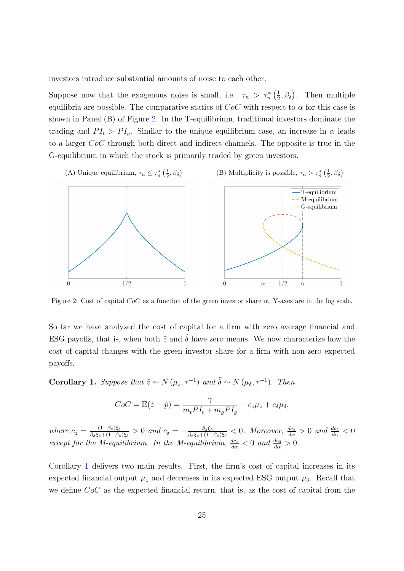investors introduce substantial amounts of noise to each other.

Suppose now that the exogenous noise is small, i.e.  $\tau_n > \tau_n^* \left( \frac{1}{2} \right)$  $(\frac{1}{2}, \beta_{\delta})$ . Then multiple equilibria are possible. The comparative statics of  $CoC$  with respect to  $\alpha$  for this case is shown in Panel (B) of Figure [2.](#page-25-0) In the T-equilibrium, traditional investors dominate the trading and  $PI_t > PI_q$ . Similar to the unique equilibrium case, an increase in  $\alpha$  leads to a larger CoC through both direct and indirect channels. The opposite is true in the G-equilibrium in which the stock is primarily traded by green investors.

<span id="page-25-0"></span>

Figure 2: Cost of capital  $CoC$  as a function of the green investor share  $\alpha$ . Y-axes are in the log scale.

So far we have analyzed the cost of capital for a firm with zero average financial and ESG payoffs, that is, when both  $\tilde{z}$  and  $\tilde{\delta}$  have zero means. We now characterize how the cost of capital changes with the green investor share for a firm with non-zero expected payoffs.

<span id="page-25-1"></span>**Corollary 1.** Suppose that  $\tilde{z} \sim N(\mu_z, \tau^{-1})$  and  $\tilde{\delta} \sim N(\mu_\delta, \tau^{-1})$ . Then

$$
CoC = \mathbb{E}(\tilde{z} - \tilde{p}) = \frac{\gamma}{m_t P I_t + m_g P I_g} + c_z \mu_z + c_\delta \mu_\delta,
$$

where  $c_z = \frac{(1-\beta_z)\xi_\delta}{\beta_z \xi_z + (1-\beta_z)}$  $\frac{(1-\beta_z)\xi_\delta}{\beta_\delta \xi_z+(1-\beta_z)\xi_\delta}>0$  and  $c_\delta=-\frac{\beta_\delta \xi_\delta}{\beta_\delta \xi_z+(1-\beta_z)\xi_\delta}$  $\frac{\beta_{\delta}\xi_{\delta}}{\beta_{\delta}\xi_{z}+(1-\beta_{z})\xi_{\delta}} < 0$ . Moreover,  $\frac{dc_{z}}{d\alpha} > 0$  and  $\frac{dc_{\delta}}{d\alpha} < 0$ except for the M-equilibrium. In the M-equilibrium,  $\frac{dc_z}{d\alpha} < 0$  and  $\frac{dc_{\delta}}{d\alpha} > 0$ .

Corollary [1](#page-25-1) delivers two main results. First, the firm's cost of capital increases in its expected financial output  $\mu_z$  and decreases in its expected ESG output  $\mu_\delta$ . Recall that we define  $CoC$  as the expected financial return, that is, as the cost of capital from the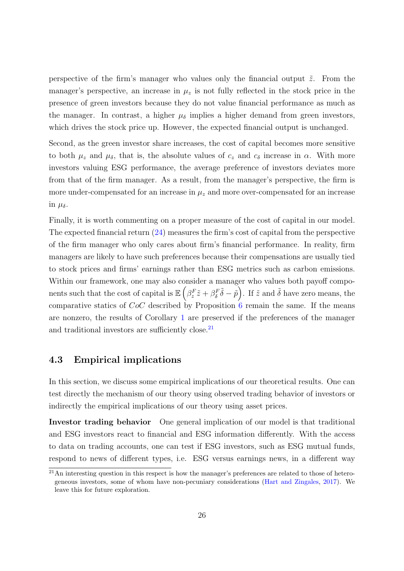perspective of the firm's manager who values only the financial output  $\tilde{z}$ . From the manager's perspective, an increase in  $\mu_z$  is not fully reflected in the stock price in the presence of green investors because they do not value financial performance as much as the manager. In contrast, a higher  $\mu_{\delta}$  implies a higher demand from green investors, which drives the stock price up. However, the expected financial output is unchanged.

Second, as the green investor share increases, the cost of capital becomes more sensitive to both  $\mu_z$  and  $\mu_\delta$ , that is, the absolute values of  $c_z$  and  $c_\delta$  increase in  $\alpha$ . With more investors valuing ESG performance, the average preference of investors deviates more from that of the firm manager. As a result, from the manager's perspective, the firm is more under-compensated for an increase in  $\mu_z$  and more over-compensated for an increase in  $\mu_{\delta}$ .

Finally, it is worth commenting on a proper measure of the cost of capital in our model. The expected financial return [\(24\)](#page-23-3) measures the firm's cost of capital from the perspective of the firm manager who only cares about firm's financial performance. In reality, firm managers are likely to have such preferences because their compensations are usually tied to stock prices and firms' earnings rather than ESG metrics such as carbon emissions. Within our framework, one may also consider a manager who values both payoff components such that the cost of capital is  $\mathbb{E}\left(\beta_z^F\tilde{z} + \beta_\delta^F\tilde{\delta} - \tilde{p}\right)$ . If  $\tilde{z}$  and  $\tilde{\delta}$  have zero means, the comparative statics of CoC described by Proposition [6](#page-24-0) remain the same. If the means are nonzero, the results of Corollary [1](#page-25-1) are preserved if the preferences of the manager and traditional investors are sufficiently close.<sup>[21](#page-26-1)</sup>

#### <span id="page-26-0"></span>4.3 Empirical implications

In this section, we discuss some empirical implications of our theoretical results. One can test directly the mechanism of our theory using observed trading behavior of investors or indirectly the empirical implications of our theory using asset prices.

Investor trading behavior One general implication of our model is that traditional and ESG investors react to financial and ESG information differently. With the access to data on trading accounts, one can test if ESG investors, such as ESG mutual funds, respond to news of different types, i.e. ESG versus earnings news, in a different way

<span id="page-26-1"></span><sup>&</sup>lt;sup>21</sup>An interesting question in this respect is how the manager's preferences are related to those of heterogeneous investors, some of whom have non-pecuniary considerations [\(Hart and Zingales,](#page-39-8) [2017\)](#page-39-8). We leave this for future exploration.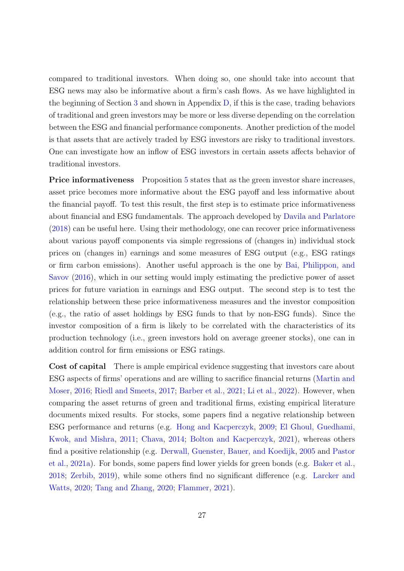compared to traditional investors. When doing so, one should take into account that ESG news may also be informative about a firm's cash flows. As we have highlighted in the beginning of Section [3](#page-17-0) and shown in Appendix  $D$ , if this is the case, trading behaviors of traditional and green investors may be more or less diverse depending on the correlation between the ESG and financial performance components. Another prediction of the model is that assets that are actively traded by ESG investors are risky to traditional investors. One can investigate how an inflow of ESG investors in certain assets affects behavior of traditional investors.

**Price informativeness** Proposition [5](#page-21-2) states that as the green investor share increases, asset price becomes more informative about the ESG payoff and less informative about the financial payoff. To test this result, the first step is to estimate price informativeness about financial and ESG fundamentals. The approach developed by [Davila and Parlatore](#page-37-6) [\(2018\)](#page-37-6) can be useful here. Using their methodology, one can recover price informativeness about various payoff components via simple regressions of (changes in) individual stock prices on (changes in) earnings and some measures of ESG output (e.g., ESG ratings or firm carbon emissions). Another useful approach is the one by [Bai, Philippon, and](#page-36-10) [Savov](#page-36-10) [\(2016\)](#page-36-10), which in our setting would imply estimating the predictive power of asset prices for future variation in earnings and ESG output. The second step is to test the relationship between these price informativeness measures and the investor composition (e.g., the ratio of asset holdings by ESG funds to that by non-ESG funds). Since the investor composition of a firm is likely to be correlated with the characteristics of its production technology (i.e., green investors hold on average greener stocks), one can in addition control for firm emissions or ESG ratings.

Cost of capital There is ample empirical evidence suggesting that investors care about ESG aspects of firms' operations and are willing to sacrifice financial returns [\(Martin and](#page-40-2) [Moser,](#page-40-2) [2016;](#page-40-2) [Riedl and Smeets,](#page-41-0) [2017;](#page-41-0) [Barber et al.,](#page-36-2) [2021;](#page-36-2) [Li et al.,](#page-40-3) [2022\)](#page-40-3). However, when comparing the asset returns of green and traditional firms, existing empirical literature documents mixed results. For stocks, some papers find a negative relationship between ESG performance and returns (e.g. [Hong and Kacperczyk,](#page-39-12) [2009;](#page-39-12) [El Ghoul, Guedhami,](#page-38-9) [Kwok, and Mishra,](#page-38-9) [2011;](#page-38-9) [Chava,](#page-37-7) [2014;](#page-37-7) [Bolton and Kacperczyk,](#page-36-11) [2021\)](#page-36-11), whereas others find a positive relationship (e.g. [Derwall, Guenster, Bauer, and Koedijk,](#page-37-8) [2005](#page-37-8) and [Pastor](#page-40-9) [et al.,](#page-40-9) [2021a\)](#page-40-9). For bonds, some papers find lower yields for green bonds (e.g. [Baker et al.,](#page-36-3) [2018;](#page-36-3) [Zerbib,](#page-42-1) [2019\)](#page-42-1), while some others find no significant difference (e.g. [Larcker and](#page-40-10) [Watts,](#page-40-10) [2020;](#page-40-10) [Tang and Zhang,](#page-41-9) [2020;](#page-41-9) [Flammer,](#page-38-10) [2021\)](#page-38-10).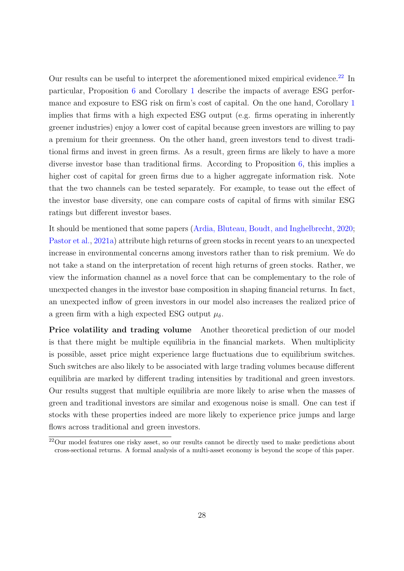Our results can be useful to interpret the aforementioned mixed empirical evidence.<sup>[22](#page-28-0)</sup> In particular, Proposition [6](#page-24-0) and Corollary [1](#page-25-1) describe the impacts of average ESG performance and exposure to ESG risk on firm's cost of capital. On the one hand, Corollary [1](#page-25-1) implies that firms with a high expected ESG output (e.g. firms operating in inherently greener industries) enjoy a lower cost of capital because green investors are willing to pay a premium for their greenness. On the other hand, green investors tend to divest traditional firms and invest in green firms. As a result, green firms are likely to have a more diverse investor base than traditional firms. According to Proposition [6,](#page-24-0) this implies a higher cost of capital for green firms due to a higher aggregate information risk. Note that the two channels can be tested separately. For example, to tease out the effect of the investor base diversity, one can compare costs of capital of firms with similar ESG ratings but different investor bases.

It should be mentioned that some papers [\(Ardia, Bluteau, Boudt, and Inghelbrecht,](#page-36-12) [2020;](#page-36-12) [Pastor et al.,](#page-40-9) [2021a\)](#page-40-9) attribute high returns of green stocks in recent years to an unexpected increase in environmental concerns among investors rather than to risk premium. We do not take a stand on the interpretation of recent high returns of green stocks. Rather, we view the information channel as a novel force that can be complementary to the role of unexpected changes in the investor base composition in shaping financial returns. In fact, an unexpected inflow of green investors in our model also increases the realized price of a green firm with a high expected ESG output  $\mu_{\delta}$ .

Price volatility and trading volume Another theoretical prediction of our model is that there might be multiple equilibria in the financial markets. When multiplicity is possible, asset price might experience large fluctuations due to equilibrium switches. Such switches are also likely to be associated with large trading volumes because different equilibria are marked by different trading intensities by traditional and green investors. Our results suggest that multiple equilibria are more likely to arise when the masses of green and traditional investors are similar and exogenous noise is small. One can test if stocks with these properties indeed are more likely to experience price jumps and large flows across traditional and green investors.

<span id="page-28-0"></span><sup>22</sup>Our model features one risky asset, so our results cannot be directly used to make predictions about cross-sectional returns. A formal analysis of a multi-asset economy is beyond the scope of this paper.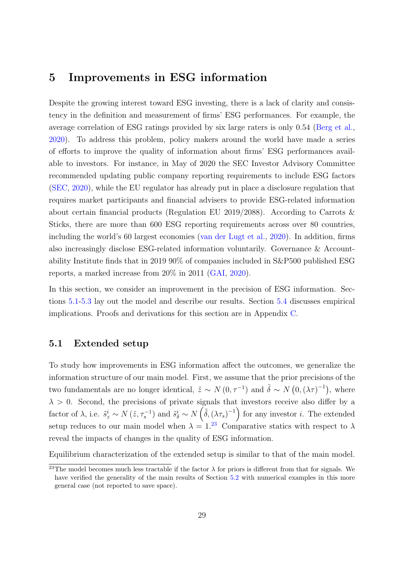### <span id="page-29-0"></span>5 Improvements in ESG information

Despite the growing interest toward ESG investing, there is a lack of clarity and consistency in the definition and measurement of firms' ESG performances. For example, the average correlation of ESG ratings provided by six large raters is only 0.54 [\(Berg et al.,](#page-36-0) [2020\)](#page-36-0). To address this problem, policy makers around the world have made a series of efforts to improve the quality of information about firms' ESG performances available to investors. For instance, in May of 2020 the SEC Investor Advisory Committee recommended updating public company reporting requirements to include ESG factors [\(SEC,](#page-41-10) [2020\)](#page-41-10), while the EU regulator has already put in place a disclosure regulation that requires market participants and financial advisers to provide ESG-related information about certain financial products (Regulation EU 2019/2088). According to Carrots & Sticks, there are more than 600 ESG reporting requirements across over 80 countries, including the world's 60 largest economies [\(van der Lugt et al.,](#page-41-1) [2020\)](#page-41-1). In addition, firms also increasingly disclose ESG-related information voluntarily. Governance & Accountability Institute finds that in 2019 90% of companies included in S&P500 published ESG reports, a marked increase from 20% in 2011 [\(GAI,](#page-38-11) [2020\)](#page-38-11).

In this section, we consider an improvement in the precision of ESG information. Sections [5.1-](#page-29-1)[5.3](#page-32-0) lay out the model and describe our results. Section [5.4](#page-33-0) discusses empirical implications. Proofs and derivations for this section are in Appendix [C.](#page-62-0)

#### <span id="page-29-1"></span>5.1 Extended setup

To study how improvements in ESG information affect the outcomes, we generalize the information structure of our main model. First, we assume that the prior precisions of the two fundamentals are no longer identical,  $\tilde{z} \sim N(0, \tau^{-1})$  and  $\tilde{\delta} \sim N(0, (\lambda \tau)^{-1})$ , where  $\lambda > 0$ . Second, the precisions of private signals that investors receive also differ by a factor of  $\lambda$ , i.e.  $\tilde{s}_z^i \sim N(\tilde{z}, \tau_s^{-1})$  and  $\tilde{s}_\delta^i \sim N(\tilde{\delta}, (\lambda \tau_s)^{-1})$  for any investor *i*. The extended setup reduces to our main model when  $\lambda = 1.^{23}$  $\lambda = 1.^{23}$  $\lambda = 1.^{23}$  Comparative statics with respect to  $\lambda$ reveal the impacts of changes in the quality of ESG information.

Equilibrium characterization of the extended setup is similar to that of the main model.

<span id="page-29-2"></span><sup>&</sup>lt;sup>23</sup>The model becomes much less tractable if the factor  $\lambda$  for priors is different from that for signals. We have verified the generality of the main results of Section [5.2](#page-30-0) with numerical examples in this more general case (not reported to save space).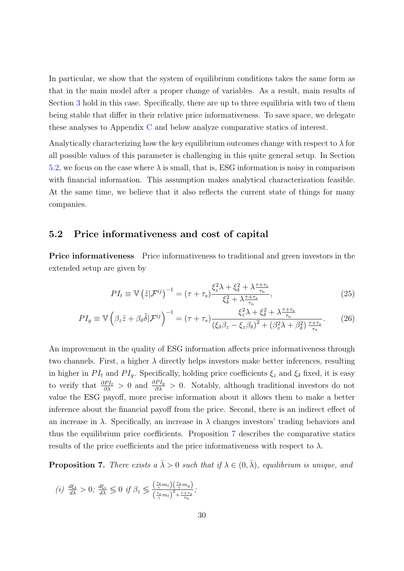In particular, we show that the system of equilibrium conditions takes the same form as that in the main model after a proper change of variables. As a result, main results of Section [3](#page-17-0) hold in this case. Specifically, there are up to three equilibria with two of them being stable that differ in their relative price informativeness. To save space, we delegate these analyses to Appendix [C](#page-62-0) and below analyze comparative statics of interest.

Analytically characterizing how the key equilibrium outcomes change with respect to  $\lambda$  for all possible values of this parameter is challenging in this quite general setup. In Section [5.2,](#page-30-0) we focus on the case where  $\lambda$  is small, that is, ESG information is noisy in comparison with financial information. This assumption makes analytical characterization feasible. At the same time, we believe that it also reflects the current state of things for many companies.

#### <span id="page-30-0"></span>5.2 Price informativeness and cost of capital

Price informativeness Price informativeness to traditional and green investors in the extended setup are given by

$$
PI_t \equiv \mathbb{V}\left(\tilde{z}|\mathcal{F}^{ij}\right)^{-1} = \left(\tau + \tau_s\right) \frac{\xi_z^2 \lambda + \xi_\delta^2 + \lambda \frac{\tau + \tau_s}{\tau_n}}{\xi_\delta^2 + \lambda \frac{\tau + \tau_s}{\tau_n}},\tag{25}
$$

$$
PI_g \equiv \mathbb{V}\left(\beta_z \tilde{z} + \beta_\delta \tilde{\delta}|\mathcal{F}^{ij}\right)^{-1} = \left(\tau + \tau_s\right) \frac{\xi_z^2 \lambda + \xi_\delta^2 + \lambda \frac{\tau + \tau_s}{\tau_n}}{\left(\xi_\delta \beta_z - \xi_z \beta_\delta\right)^2 + \left(\beta_z^2 \lambda + \beta_\delta^2\right) \frac{\tau + \tau_s}{\tau_n}}.\tag{26}
$$

An improvement in the quality of ESG information affects price informativeness through two channels. First, a higher  $\lambda$  directly helps investors make better inferences, resulting in higher in  $PI_t$  and  $PI_g$ . Specifically, holding price coefficients  $\xi_z$  and  $\xi_\delta$  fixed, it is easy to verify that  $\frac{\partial P I_t}{\partial \lambda} > 0$  and  $\frac{\partial P I_g}{\partial \lambda} > 0$ . Notably, although traditional investors do not value the ESG payoff, more precise information about it allows them to make a better inference about the financial payoff from the price. Second, there is an indirect effect of an increase in  $\lambda$ . Specifically, an increase in  $\lambda$  changes investors' trading behaviors and thus the equilibrium price coefficients. Proposition [7](#page-30-1) describes the comparative statics results of the price coefficients and the price informativeness with respect to  $\lambda$ .

<span id="page-30-1"></span>**Proposition 7.** There exists  $a \bar{\lambda} > 0$  such that if  $\lambda \in (0, \bar{\lambda})$ , equilibrium is unique, and

(i) 
$$
\frac{d\xi_{\delta}}{d\lambda} > 0
$$
;  $\frac{d\xi_{z}}{d\lambda} \leq 0$  if  $\beta_{z} \leq \frac{\left(\frac{\tau_{s}}{\gamma}m_{t}\right)\left(\frac{\tau_{s}}{\gamma}m_{g}\right)}{\left(\frac{\tau_{s}}{\gamma}m_{t}\right)^{2}+\frac{\tau+\tau_{s}}{\tau_{n}}};$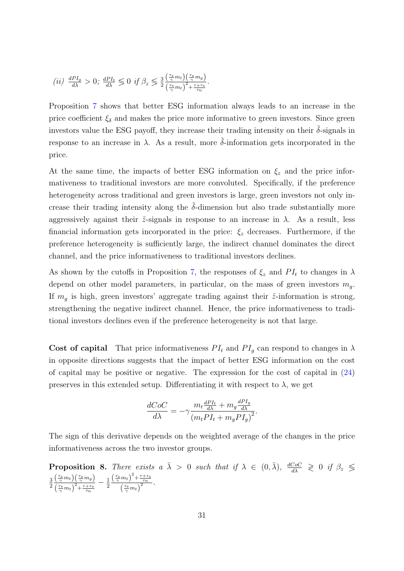(ii) 
$$
\frac{dPI_g}{d\lambda} > 0; \frac{dPI_t}{d\lambda} \leq 0 \text{ if } \beta_z \leq \frac{3}{2} \frac{\left(\frac{\tau_s}{\gamma} m_t\right)\left(\frac{\tau_s}{\gamma} m_g\right)}{\left(\frac{\tau_s}{\gamma} m_t\right)^2 + \frac{\tau + \tau_s}{\tau_n}}.
$$

Proposition [7](#page-30-1) shows that better ESG information always leads to an increase in the price coefficient  $\xi_{\delta}$  and makes the price more informative to green investors. Since green investors value the ESG payoff, they increase their trading intensity on their  $\tilde{\delta}$ -signals in response to an increase in  $\lambda$ . As a result, more  $\delta$ -information gets incorporated in the price.

At the same time, the impacts of better ESG information on  $\xi_z$  and the price informativeness to traditional investors are more convoluted. Specifically, if the preference heterogeneity across traditional and green investors is large, green investors not only increase their trading intensity along the  $\delta$ -dimension but also trade substantially more aggressively against their  $\tilde{z}$ -signals in response to an increase in  $\lambda$ . As a result, less financial information gets incorporated in the price:  $\xi_z$  decreases. Furthermore, if the preference heterogeneity is sufficiently large, the indirect channel dominates the direct channel, and the price informativeness to traditional investors declines.

As shown by the cutoffs in Proposition [7,](#page-30-1) the responses of  $\xi_z$  and  $PI_t$  to changes in  $\lambda$ depend on other model parameters, in particular, on the mass of green investors  $m_q$ . If  $m_q$  is high, green investors' aggregate trading against their  $\tilde{z}$ -information is strong, strengthening the negative indirect channel. Hence, the price informativeness to traditional investors declines even if the preference heterogeneity is not that large.

Cost of capital That price informativeness  $PI_t$  and  $PI_g$  can respond to changes in  $\lambda$ in opposite directions suggests that the impact of better ESG information on the cost of capital may be positive or negative. The expression for the cost of capital in [\(24\)](#page-23-3) preserves in this extended setup. Differentiating it with respect to  $\lambda$ , we get

$$
\frac{dCoC}{d\lambda}=-\gamma\frac{m_t\frac{dPI_t}{d\lambda}+m_g\frac{dPI_g}{d\lambda}}{\left(m_tPI_t+m_gPI_g\right)^2}.
$$

The sign of this derivative depends on the weighted average of the changes in the price informativeness across the two investor groups.

<span id="page-31-0"></span>**Proposition 8.** There exists  $a \bar{\lambda} > 0$  such that if  $\lambda \in (0, \bar{\lambda})$ ,  $\frac{dC_0C}{d\lambda} \geq 0$  if  $\beta_z \leq$ 3 2  $\left(\frac{\tau_s}{\gamma}m_t\right)\left(\frac{\tau_s}{\gamma}m_g\right)$  $\left(\frac{\tau_s}{\gamma}m_t\right)^2 + \frac{\tau+\tau_s}{\tau_n}$  $-\frac{1}{2}$ 2  $\left(\frac{\tau_s}{\gamma}m_t\right)^2 + \frac{\tau+\tau_s}{\tau_n}$  $\left(\frac{\tau_s}{\gamma}m_t\right)$  $\frac{\tau_n}{2}$ .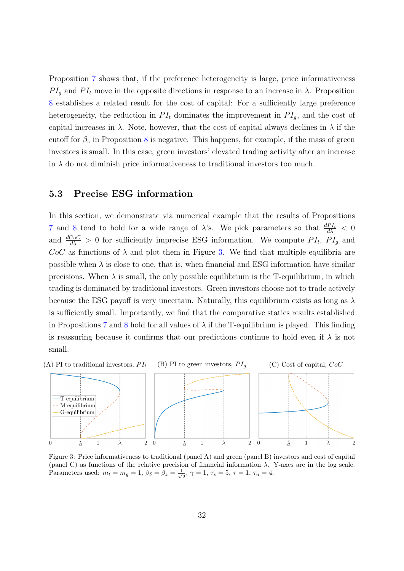Proposition [7](#page-30-1) shows that, if the preference heterogeneity is large, price informativeness  $PI_q$  and  $PI_t$  move in the opposite directions in response to an increase in  $\lambda$ . Proposition [8](#page-31-0) establishes a related result for the cost of capital: For a sufficiently large preference heterogeneity, the reduction in  $PI_t$  dominates the improvement in  $PI_a$ , and the cost of capital increases in  $\lambda$ . Note, however, that the cost of capital always declines in  $\lambda$  if the cutoff for  $\beta_z$  in Proposition [8](#page-31-0) is negative. This happens, for example, if the mass of green investors is small. In this case, green investors' elevated trading activity after an increase in  $\lambda$  do not diminish price informativeness to traditional investors too much.

#### <span id="page-32-0"></span>5.3 Precise ESG information

In this section, we demonstrate via numerical example that the results of Propositions [7](#page-30-1) and [8](#page-31-0) tend to hold for a wide range of  $\lambda$ 's. We pick parameters so that  $\frac{dPI_t}{d\lambda} < 0$ and  $\frac{dCoC}{d\lambda} > 0$  for sufficiently imprecise ESG information. We compute  $PI_t$ ,  $PI_g$  and  $CoC$  as functions of  $\lambda$  and plot them in Figure [3.](#page-32-1) We find that multiple equilibria are possible when  $\lambda$  is close to one, that is, when financial and ESG information have similar precisions. When  $\lambda$  is small, the only possible equilibrium is the T-equilibrium, in which trading is dominated by traditional investors. Green investors choose not to trade actively because the ESG payoff is very uncertain. Naturally, this equilibrium exists as long as  $\lambda$ is sufficiently small. Importantly, we find that the comparative statics results established in Propositions [7](#page-30-1) and [8](#page-31-0) hold for all values of  $\lambda$  if the T-equilibrium is played. This finding is reassuring because it confirms that our predictions continue to hold even if  $\lambda$  is not small.

<span id="page-32-1"></span>

Figure 3: Price informativeness to traditional (panel A) and green (panel B) investors and cost of capital (panel C) as functions of the relative precision of financial information  $\lambda$ . Y-axes are in the log scale. Parameters used:  $m_t = m_g = 1, \beta_\delta = \beta_z = \frac{1}{\sqrt{2}}$  $\tau_{\overline{2}}$ ,  $\gamma = 1$ ,  $\tau_s = 5$ ,  $\tau = 1$ ,  $\tau_n = 4$ .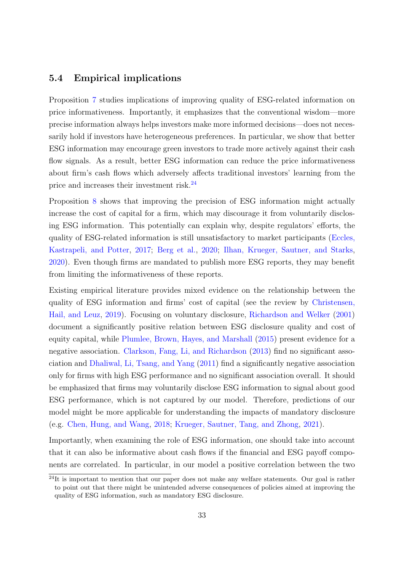#### <span id="page-33-0"></span>5.4 Empirical implications

Proposition [7](#page-30-1) studies implications of improving quality of ESG-related information on price informativeness. Importantly, it emphasizes that the conventional wisdom—more precise information always helps investors make more informed decisions—does not necessarily hold if investors have heterogeneous preferences. In particular, we show that better ESG information may encourage green investors to trade more actively against their cash flow signals. As a result, better ESG information can reduce the price informativeness about firm's cash flows which adversely affects traditional investors' learning from the price and increases their investment risk.<sup>[24](#page-33-1)</sup>

Proposition [8](#page-31-0) shows that improving the precision of ESG information might actually increase the cost of capital for a firm, which may discourage it from voluntarily disclosing ESG information. This potentially can explain why, despite regulators' efforts, the quality of ESG-related information is still unsatisfactory to market participants [\(Eccles,](#page-38-12) [Kastrapeli, and Potter,](#page-38-12) [2017;](#page-38-12) [Berg et al.,](#page-36-0) [2020;](#page-36-0) [Ilhan, Krueger, Sautner, and Starks,](#page-40-11) [2020\)](#page-40-11). Even though firms are mandated to publish more ESG reports, they may benefit from limiting the informativeness of these reports.

Existing empirical literature provides mixed evidence on the relationship between the quality of ESG information and firms' cost of capital (see the review by [Christensen,](#page-37-9) [Hail, and Leuz,](#page-37-9) [2019\)](#page-37-9). Focusing on voluntary disclosure, [Richardson and Welker](#page-41-11) [\(2001\)](#page-41-11) document a significantly positive relation between ESG disclosure quality and cost of equity capital, while [Plumlee, Brown, Hayes, and Marshall](#page-41-12) [\(2015\)](#page-41-12) present evidence for a negative association. [Clarkson, Fang, Li, and Richardson](#page-37-10) [\(2013\)](#page-37-10) find no significant association and [Dhaliwal, Li, Tsang, and Yang](#page-37-11) [\(2011\)](#page-37-11) find a significantly negative association only for firms with high ESG performance and no significant association overall. It should be emphasized that firms may voluntarily disclose ESG information to signal about good ESG performance, which is not captured by our model. Therefore, predictions of our model might be more applicable for understanding the impacts of mandatory disclosure (e.g. [Chen, Hung, and Wang,](#page-37-12) [2018;](#page-37-12) [Krueger, Sautner, Tang, and Zhong,](#page-40-12) [2021\)](#page-40-12).

Importantly, when examining the role of ESG information, one should take into account that it can also be informative about cash flows if the financial and ESG payoff components are correlated. In particular, in our model a positive correlation between the two

<span id="page-33-1"></span> $^{24}$ It is important to mention that our paper does not make any welfare statements. Our goal is rather to point out that there might be unintended adverse consequences of policies aimed at improving the quality of ESG information, such as mandatory ESG disclosure.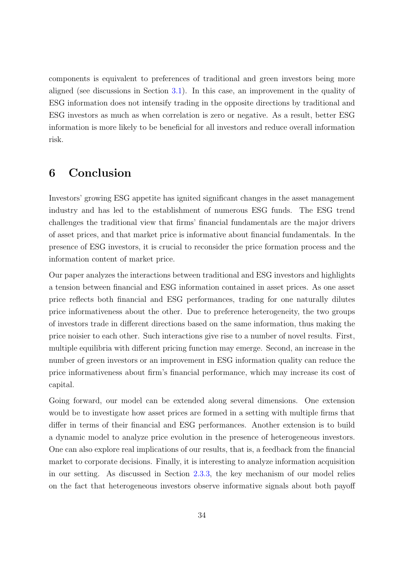components is equivalent to preferences of traditional and green investors being more aligned (see discussions in Section [3.1\)](#page-17-2). In this case, an improvement in the quality of ESG information does not intensify trading in the opposite directions by traditional and ESG investors as much as when correlation is zero or negative. As a result, better ESG information is more likely to be beneficial for all investors and reduce overall information risk.

# <span id="page-34-0"></span>6 Conclusion

Investors' growing ESG appetite has ignited significant changes in the asset management industry and has led to the establishment of numerous ESG funds. The ESG trend challenges the traditional view that firms' financial fundamentals are the major drivers of asset prices, and that market price is informative about financial fundamentals. In the presence of ESG investors, it is crucial to reconsider the price formation process and the information content of market price.

Our paper analyzes the interactions between traditional and ESG investors and highlights a tension between financial and ESG information contained in asset prices. As one asset price reflects both financial and ESG performances, trading for one naturally dilutes price informativeness about the other. Due to preference heterogeneity, the two groups of investors trade in different directions based on the same information, thus making the price noisier to each other. Such interactions give rise to a number of novel results. First, multiple equilibria with different pricing function may emerge. Second, an increase in the number of green investors or an improvement in ESG information quality can reduce the price informativeness about firm's financial performance, which may increase its cost of capital.

Going forward, our model can be extended along several dimensions. One extension would be to investigate how asset prices are formed in a setting with multiple firms that differ in terms of their financial and ESG performances. Another extension is to build a dynamic model to analyze price evolution in the presence of heterogeneous investors. One can also explore real implications of our results, that is, a feedback from the financial market to corporate decisions. Finally, it is interesting to analyze information acquisition in our setting. As discussed in Section [2.3.3,](#page-16-2) the key mechanism of our model relies on the fact that heterogeneous investors observe informative signals about both payoff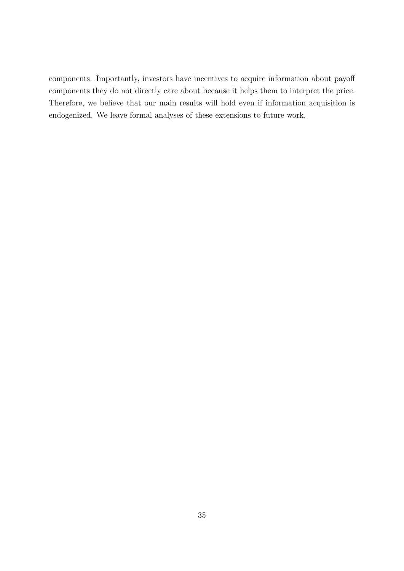components. Importantly, investors have incentives to acquire information about payoff components they do not directly care about because it helps them to interpret the price. Therefore, we believe that our main results will hold even if information acquisition is endogenized. We leave formal analyses of these extensions to future work.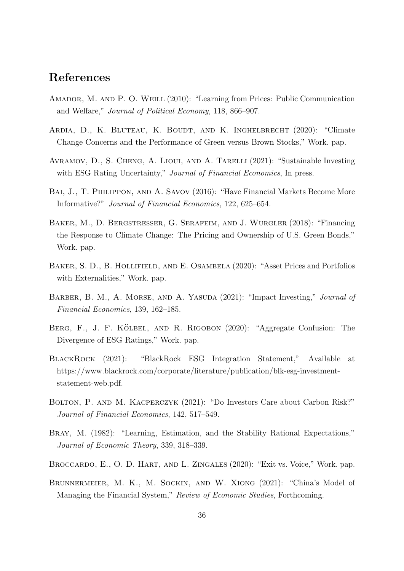# References

- Amador, M. and P. O. Weill (2010): "Learning from Prices: Public Communication and Welfare," Journal of Political Economy, 118, 866–907.
- Ardia, D., K. Bluteau, K. Boudt, and K. Inghelbrecht (2020): "Climate Change Concerns and the Performance of Green versus Brown Stocks," Work. pap.
- Avramov, D., S. Cheng, A. Lioui, and A. Tarelli (2021): "Sustainable Investing with ESG Rating Uncertainty," Journal of Financial Economics, In press.
- Bai, J., T. Philippon, and A. Savov (2016): "Have Financial Markets Become More Informative?" Journal of Financial Economics, 122, 625–654.
- Baker, M., D. Bergstresser, G. Serafeim, and J. Wurgler (2018): "Financing the Response to Climate Change: The Pricing and Ownership of U.S. Green Bonds," Work. pap.
- BAKER, S. D., B. HOLLIFIELD, AND E. OSAMBELA (2020): "Asset Prices and Portfolios with Externalities," Work. pap.
- BARBER, B. M., A. MORSE, AND A. YASUDA (2021): "Impact Investing," *Journal of* Financial Economics, 139, 162–185.
- BERG, F., J. F. KÖLBEL, AND R. RIGOBON (2020): "Aggregate Confusion: The Divergence of ESG Ratings," Work. pap.
- BlackRock (2021): "BlackRock ESG Integration Statement," Available at https://www.blackrock.com/corporate/literature/publication/blk-esg-investmentstatement-web.pdf.
- BOLTON, P. AND M. KACPERCZYK (2021): "Do Investors Care about Carbon Risk?" Journal of Financial Economics, 142, 517–549.
- Bray, M. (1982): "Learning, Estimation, and the Stability Rational Expectations," Journal of Economic Theory, 339, 318–339.
- Broccardo, E., O. D. Hart, and L. Zingales (2020): "Exit vs. Voice," Work. pap.
- Brunnermeier, M. K., M. Sockin, and W. Xiong (2021): "China's Model of Managing the Financial System," Review of Economic Studies, Forthcoming.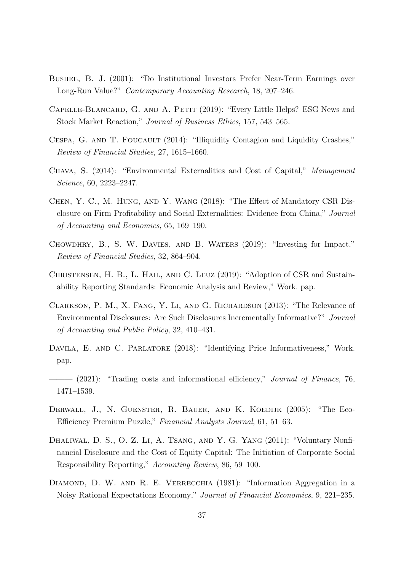- Bushee, B. J. (2001): "Do Institutional Investors Prefer Near-Term Earnings over Long-Run Value?" Contemporary Accounting Research, 18, 207–246.
- Capelle-Blancard, G. and A. Petit (2019): "Every Little Helps? ESG News and Stock Market Reaction," Journal of Business Ethics, 157, 543–565.
- CESPA, G. AND T. FOUCAULT (2014): "Illiquidity Contagion and Liquidity Crashes," Review of Financial Studies, 27, 1615–1660.
- Chava, S. (2014): "Environmental Externalities and Cost of Capital," Management Science, 60, 2223–2247.
- Chen, Y. C., M. Hung, and Y. Wang (2018): "The Effect of Mandatory CSR Disclosure on Firm Profitability and Social Externalities: Evidence from China," Journal of Accounting and Economics, 65, 169–190.
- Chowdhry, B., S. W. Davies, and B. Waters (2019): "Investing for Impact," Review of Financial Studies, 32, 864–904.
- CHRISTENSEN, H. B., L. HAIL, AND C. LEUZ (2019): "Adoption of CSR and Sustainability Reporting Standards: Economic Analysis and Review," Work. pap.
- Clarkson, P. M., X. Fang, Y. Li, and G. Richardson (2013): "The Relevance of Environmental Disclosures: Are Such Disclosures Incrementally Informative?" Journal of Accounting and Public Policy, 32, 410–431.
- DAVILA, E. AND C. PARLATORE (2018): "Identifying Price Informativeness," Work. pap.
- $-$  (2021): "Trading costs and informational efficiency," *Journal of Finance*, 76, 1471–1539.
- Derwall, J., N. Guenster, R. Bauer, and K. Koedijk (2005): "The Eco-Efficiency Premium Puzzle," Financial Analysts Journal, 61, 51–63.
- DHALIWAL, D. S., O. Z. LI, A. TSANG, AND Y. G. YANG (2011): "Voluntary Nonfinancial Disclosure and the Cost of Equity Capital: The Initiation of Corporate Social Responsibility Reporting," Accounting Review, 86, 59–100.
- DIAMOND, D. W. AND R. E. VERRECCHIA (1981): "Information Aggregation in a Noisy Rational Expectations Economy," Journal of Financial Economics, 9, 221–235.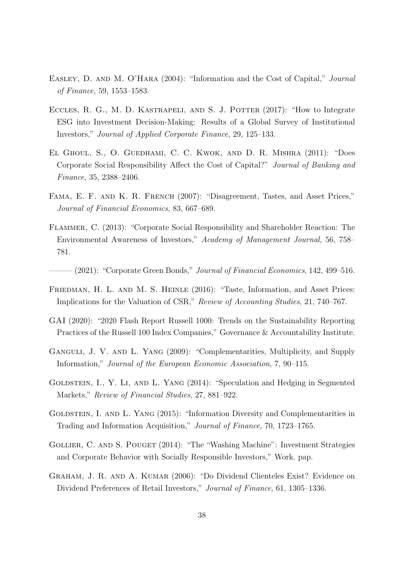- EASLEY, D. AND M. O'HARA (2004): "Information and the Cost of Capital," Journal of Finance, 59, 1553–1583.
- ECCLES, R. G., M. D. KASTRAPELI, AND S. J. POTTER (2017): "How to Integrate ESG into Investment Decision-Making: Results of a Global Survey of Institutional Investors," Journal of Applied Corporate Finance, 29, 125–133.
- El Ghoul, S., O. Guedhami, C. C. Kwok, and D. R. Mishra (2011): "Does Corporate Social Responsibility Affect the Cost of Capital?" Journal of Banking and Finance, 35, 2388–2406.
- Fama, E. F. and K. R. French (2007): "Disagreement, Tastes, and Asset Prices," Journal of Financial Economics, 83, 667–689.
- Flammer, C. (2013): "Corporate Social Responsibility and Shareholder Reaction: The Environmental Awareness of Investors," Academy of Management Journal, 56, 758– 781.

(2021): "Corporate Green Bonds," Journal of Financial Economics, 142, 499–516.

- FRIEDMAN, H. L. AND M. S. HEINLE (2016): "Taste, Information, and Asset Prices: Implications for the Valuation of CSR," Review of Accounting Studies, 21, 740–767.
- GAI (2020): "2020 Flash Report Russell 1000: Trends on the Sustainability Reporting Practices of the Russell 100 Index Companies," Governance & Accountability Institute.
- GANGULI, J. V. AND L. YANG (2009): "Complementarities, Multiplicity, and Supply Information," Journal of the European Economic Association, 7, 90–115.
- GOLDSTEIN, I., Y. LI, AND L. YANG (2014): "Speculation and Hedging in Segmented Markets," Review of Financial Studies, 27, 881–922.
- GOLDSTEIN, I. AND L. YANG (2015): "Information Diversity and Complementarities in Trading and Information Acquisition," Journal of Finance, 70, 1723–1765.
- GOLLIER, C. AND S. POUGET (2014): "The "Washing Machine": Investment Strategies and Corporate Behavior with Socially Responsible Investors," Work. pap.
- Graham, J. R. and A. Kumar (2006): "Do Dividend Clienteles Exist? Evidence on Dividend Preferences of Retail Investors," Journal of Finance, 61, 1305–1336.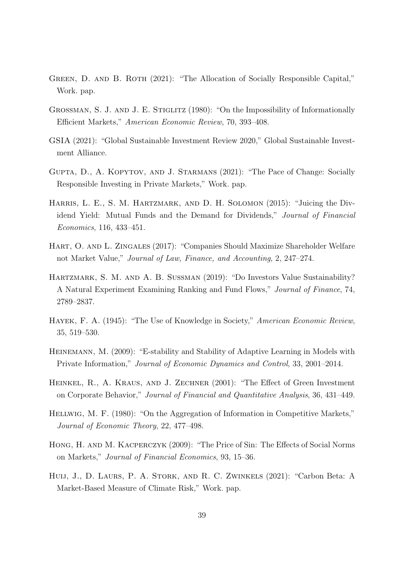- GREEN, D. AND B. ROTH (2021): "The Allocation of Socially Responsible Capital," Work. pap.
- GROSSMAN, S. J. AND J. E. STIGLITZ (1980): "On the Impossibility of Informationally Efficient Markets," American Economic Review, 70, 393–408.
- GSIA (2021): "Global Sustainable Investment Review 2020," Global Sustainable Investment Alliance.
- Gupta, D., A. Kopytov, and J. Starmans (2021): "The Pace of Change: Socially Responsible Investing in Private Markets," Work. pap.
- Harris, L. E., S. M. Hartzmark, and D. H. Solomon (2015): "Juicing the Dividend Yield: Mutual Funds and the Demand for Dividends," Journal of Financial Economics, 116, 433–451.
- Hart, O. and L. Zingales (2017): "Companies Should Maximize Shareholder Welfare not Market Value," Journal of Law, Finance, and Accounting, 2, 247–274.
- Hartzmark, S. M. and A. B. Sussman (2019): "Do Investors Value Sustainability? A Natural Experiment Examining Ranking and Fund Flows," Journal of Finance, 74, 2789–2837.
- Hayek, F. A. (1945): "The Use of Knowledge in Society," American Economic Review, 35, 519–530.
- Heinemann, M. (2009): "E-stability and Stability of Adaptive Learning in Models with Private Information," Journal of Economic Dynamics and Control, 33, 2001–2014.
- Heinkel, R., A. Kraus, and J. Zechner (2001): "The Effect of Green Investment on Corporate Behavior," Journal of Financial and Quantitative Analysis, 36, 431–449.
- Hellwig, M. F. (1980): "On the Aggregation of Information in Competitive Markets," Journal of Economic Theory, 22, 477–498.
- Hong, H. and M. Kacperczyk (2009): "The Price of Sin: The Effects of Social Norms on Markets," Journal of Financial Economics, 93, 15–36.
- Huij, J., D. Laurs, P. A. Stork, and R. C. Zwinkels (2021): "Carbon Beta: A Market-Based Measure of Climate Risk," Work. pap.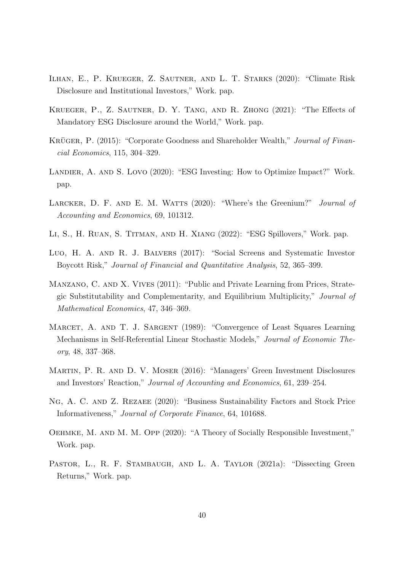- Ilhan, E., P. Krueger, Z. Sautner, and L. T. Starks (2020): "Climate Risk Disclosure and Institutional Investors," Work. pap.
- Krueger, P., Z. Sautner, D. Y. Tang, and R. Zhong (2021): "The Effects of Mandatory ESG Disclosure around the World," Work. pap.
- KRÜGER, P. (2015): "Corporate Goodness and Shareholder Wealth," Journal of Financial Economics, 115, 304–329.
- Landier, A. and S. Lovo (2020): "ESG Investing: How to Optimize Impact?" Work. pap.
- LARCKER, D. F. AND E. M. WATTS (2020): "Where's the Greenium?" Journal of Accounting and Economics, 69, 101312.
- Li, S., H. Ruan, S. Titman, and H. Xiang (2022): "ESG Spillovers," Work. pap.
- Luo, H. A. and R. J. Balvers (2017): "Social Screens and Systematic Investor Boycott Risk," Journal of Financial and Quantitative Analysis, 52, 365–399.
- MANZANO, C. AND X. VIVES (2011): "Public and Private Learning from Prices, Strategic Substitutability and Complementarity, and Equilibrium Multiplicity," Journal of Mathematical Economics, 47, 346–369.
- MARCET, A. AND T. J. SARGENT (1989): "Convergence of Least Squares Learning Mechanisms in Self-Referential Linear Stochastic Models," Journal of Economic Theory, 48, 337–368.
- Martin, P. R. and D. V. Moser (2016): "Managers' Green Investment Disclosures and Investors' Reaction," Journal of Accounting and Economics, 61, 239–254.
- Ng, A. C. and Z. Rezaee (2020): "Business Sustainability Factors and Stock Price Informativeness," Journal of Corporate Finance, 64, 101688.
- Oehmke, M. and M. M. Opp (2020): "A Theory of Socially Responsible Investment," Work. pap.
- PASTOR, L., R. F. STAMBAUGH, AND L. A. TAYLOR (2021a): "Dissecting Green Returns," Work. pap.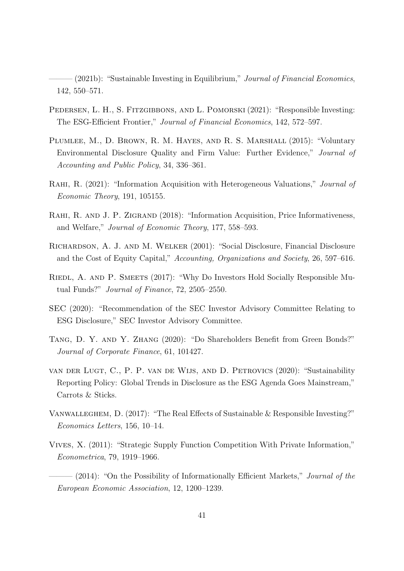$(2021b)$ : "Sustainable Investing in Equilibrium," Journal of Financial Economics, 142, 550–571.

- PEDERSEN, L. H., S. FITZGIBBONS, AND L. POMORSKI (2021): "Responsible Investing: The ESG-Efficient Frontier," Journal of Financial Economics, 142, 572–597.
- Plumlee, M., D. Brown, R. M. Hayes, and R. S. Marshall (2015): "Voluntary Environmental Disclosure Quality and Firm Value: Further Evidence," Journal of Accounting and Public Policy, 34, 336–361.
- <span id="page-41-1"></span>RAHI, R. (2021): "Information Acquisition with Heterogeneous Valuations," *Journal of* Economic Theory, 191, 105155.
- <span id="page-41-0"></span>RAHI, R. AND J. P. ZIGRAND (2018): "Information Acquisition, Price Informativeness, and Welfare," Journal of Economic Theory, 177, 558–593.
- Richardson, A. J. and M. Welker (2001): "Social Disclosure, Financial Disclosure and the Cost of Equity Capital," Accounting, Organizations and Society, 26, 597–616.
- RIEDL, A. AND P. SMEETS (2017): "Why Do Investors Hold Socially Responsible Mutual Funds?" Journal of Finance, 72, 2505–2550.
- SEC (2020): "Recommendation of the SEC Investor Advisory Committee Relating to ESG Disclosure," SEC Investor Advisory Committee.
- Tang, D. Y. and Y. Zhang (2020): "Do Shareholders Benefit from Green Bonds?" Journal of Corporate Finance, 61, 101427.
- van der Lugt, C., P. P. van de Wijs, and D. Petrovics (2020): "Sustainability Reporting Policy: Global Trends in Disclosure as the ESG Agenda Goes Mainstream," Carrots & Sticks.
- Vanwalleghem, D. (2017): "The Real Effects of Sustainable & Responsible Investing?" Economics Letters, 156, 10–14.
- Vives, X. (2011): "Strategic Supply Function Competition With Private Information," Econometrica, 79, 1919–1966.
- $-$  (2014): "On the Possibility of Informationally Efficient Markets," *Journal of the* European Economic Association, 12, 1200–1239.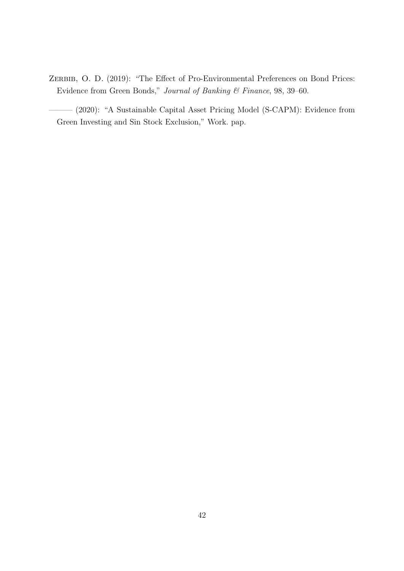ZERBIB, O. D. (2019): "The Effect of Pro-Environmental Preferences on Bond Prices: Evidence from Green Bonds," Journal of Banking & Finance, 98, 39–60.

——— (2020): "A Sustainable Capital Asset Pricing Model (S-CAPM): Evidence from Green Investing and Sin Stock Exclusion," Work. pap.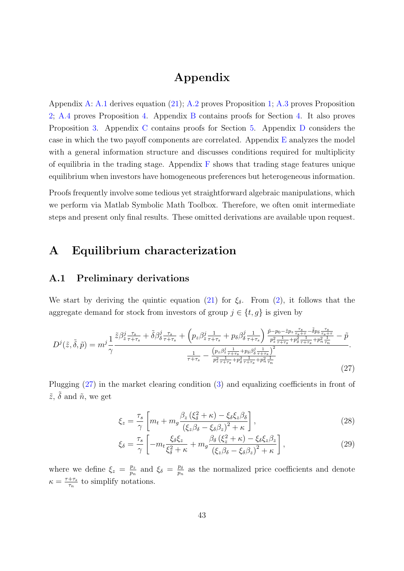# Appendix

Appendix [A:](#page-43-0) [A.1](#page-43-1) derives equation [\(21\)](#page-19-0); [A.2](#page-44-0) proves Proposition [1;](#page-19-1) [A.3](#page-54-0) proves Proposition [2;](#page-19-2) [A.4](#page-57-0) proves Proposition [4.](#page-21-0) Appendix [B](#page-57-1) contains proofs for Section [4.](#page-21-1) It also proves Proposition [3.](#page-20-0) Appendix [C](#page-62-0) contains proofs for Section [5.](#page-29-0) Appendix [D](#page-66-0) considers the case in which the two payoff components are correlated. Appendix  $E$  analyzes the model with a general information structure and discusses conditions required for multiplicity of equilibria in the trading stage. Appendix  $\bf{F}$  $\bf{F}$  $\bf{F}$  shows that trading stage features unique equilibrium when investors have homogeneous preferences but heterogeneous information.

Proofs frequently involve some tedious yet straightforward algebraic manipulations, which we perform via Matlab Symbolic Math Toolbox. Therefore, we often omit intermediate steps and present only final results. These omitted derivations are available upon request.

# <span id="page-43-0"></span>A Equilibrium characterization

## <span id="page-43-1"></span>A.1 Preliminary derivations

We start by deriving the quintic equation [\(21\)](#page-19-0) for  $\xi_{\delta}$ . From [\(2\)](#page-10-0), it follows that the aggregate demand for stock from investors of group  $j \in \{t, g\}$  is given by

$$
D^{j}(\tilde{z},\tilde{\delta},\tilde{p}) = m^{j} \frac{1}{\gamma} \frac{\tilde{z}\beta_{z\,\tau+s}^{j\,\tau_{s}} + \tilde{\delta}\beta_{\delta\,\tau+r_{s}}^{j\,\tau_{s}} + \left(p_{z}\beta_{z\,\tau+r_{s}}^{j\,\tau_{1}} + p_{\delta}\beta_{\delta\,\tau+r_{s}}^{j\,\tau_{1}}\right) \frac{\tilde{p}-p_{0}-\tilde{z}p_{z\,\tau+s}^{-\,\tau_{s}} - \tilde{\delta}p_{\delta\,\tau+s}^{-\,\tau_{s}}}{p_{z\,\tau+r_{s}}^{2}\,+p_{\delta}\beta_{\sigma+r+s}^{j\,\tau_{1}} + p_{\delta\,\tau+s}^{2}\,+p_{\delta\,\tau+s}^{-\,\tau_{1}} + p_{\delta\,\tau+s}^{2}\,+p_{\delta\,\tau+s}^{-\,\tau_{1}} + p_{\delta\,\tau+s}^{2\,\tau_{1}} + p_{\delta\,\tau+s}^{2\,\tau_{1}} + p_{\delta\,\tau+s}^{2\,\tau_{1}}}{\frac{1}{p_{z\,\tau+s}^{2}\,+p_{\delta\,\tau+s}^{2}\,+p_{\delta\,\tau+s}^{2}\,+p_{\delta\,\tau+s}^{2}}}\n\tag{27}
$$

Plugging [\(27\)](#page-43-2) in the market clearing condition [\(3\)](#page-10-1) and equalizing coefficients in front of  $\tilde{z}$ ,  $\tilde{\delta}$  and  $\tilde{n}$ , we get

<span id="page-43-3"></span><span id="page-43-2"></span>
$$
\xi_z = \frac{\tau_s}{\gamma} \left[ m_t + m_g \frac{\beta_z \left( \xi_\delta^2 + \kappa \right) - \xi_\delta \xi_z \beta_\delta}{\left( \xi_z \beta_\delta - \xi_\delta \beta_z \right)^2 + \kappa} \right],\tag{28}
$$

<span id="page-43-4"></span>
$$
\xi_{\delta} = \frac{\tau_s}{\gamma} \left[ -m_t \frac{\xi_{\delta} \xi_z}{\xi_{\delta}^2 + \kappa} + m_g \frac{\beta_{\delta} \left( \xi_z^2 + \kappa \right) - \xi_{\delta} \xi_z \beta_z}{\left( \xi_z \beta_{\delta} - \xi_{\delta} \beta_z \right)^2 + \kappa} \right],\tag{29}
$$

where we define  $\xi_z = \frac{p_z}{p_x}$  $\frac{p_z}{p_n}$  and  $\xi_\delta = \frac{p_\delta}{p_n}$  $\frac{p_\delta}{p_n}$  as the normalized price coefficients and denote  $\kappa = \frac{\tau + \tau_s}{\tau}$  $rac{+\tau_s}{\tau_n}$  to simplify notations.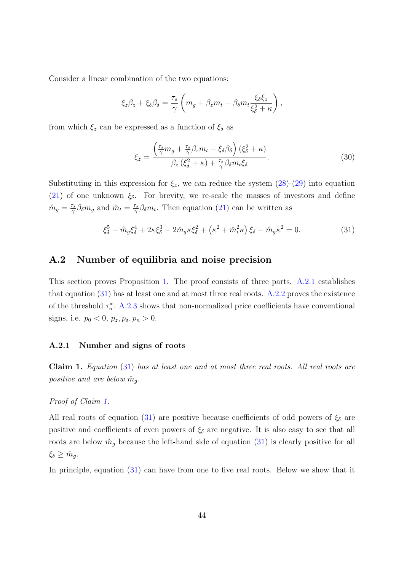Consider a linear combination of the two equations:

$$
\xi_z \beta_z + \xi_\delta \beta_\delta = \frac{\tau_s}{\gamma} \left( m_g + \beta_z m_t - \beta_\delta m_t \frac{\xi_\delta \xi_z}{\xi_\delta^2 + \kappa} \right),
$$

from which  $\xi_z$  can be expressed as a function of  $\xi_\delta$  as

<span id="page-44-4"></span><span id="page-44-2"></span>
$$
\xi_z = \frac{\left(\frac{\tau_s}{\gamma}m_g + \frac{\tau_s}{\gamma}\beta_z m_t - \xi_\delta\beta_\delta\right)(\xi_\delta^2 + \kappa)}{\beta_z(\xi_\delta^2 + \kappa) + \frac{\tau_s}{\gamma}\beta_\delta m_t \xi_\delta}.\tag{30}
$$

Substituting in this expression for  $\xi_z$ , we can reduce the system  $(28)-(29)$  $(28)-(29)$  $(28)-(29)$  into equation [\(21\)](#page-19-0) of one unknown  $\xi_{\delta}$ . For brevity, we re-scale the masses of investors and define  $\hat{m}_g = \frac{\tau_s}{\gamma}$  $\frac{\tau_s}{\gamma} \beta_\delta m_g$  and  $\hat{m}_t = \frac{\tau_s}{\gamma}$  $\frac{\sigma_s}{\gamma} \beta_{\delta} m_t$ . Then equation [\(21\)](#page-19-0) can be written as

$$
\xi_{\delta}^{5} - \hat{m}_{g}\xi_{\delta}^{4} + 2\kappa\xi_{\delta}^{3} - 2\hat{m}_{g}\kappa\xi_{\delta}^{2} + (\kappa^{2} + \hat{m}_{t}^{2}\kappa)\xi_{\delta} - \hat{m}_{g}\kappa^{2} = 0.
$$
 (31)

# <span id="page-44-0"></span>A.2 Number of equilibria and noise precision

This section proves Proposition [1.](#page-19-1) The proof consists of three parts. [A.2.1](#page-44-1) establishes that equation  $(31)$  has at least one and at most three real roots. [A.2.2](#page-45-0) proves the existence of the threshold  $\tau_n^*$ . [A.2.3](#page-53-0) shows that non-normalized price coefficients have conventional signs, i.e.  $p_0 < 0$ ,  $p_z, p_\delta, p_n > 0$ .

### <span id="page-44-1"></span>A.2.1 Number and signs of roots

<span id="page-44-3"></span>Claim 1. Equation [\(31\)](#page-44-2) has at least one and at most three real roots. All real roots are positive and are below  $\hat{m}_g$ .

### Proof of Claim [1.](#page-44-3)

All real roots of equation [\(31\)](#page-44-2) are positive because coefficients of odd powers of  $\xi_{\delta}$  are positive and coefficients of even powers of  $\xi_{\delta}$  are negative. It is also easy to see that all roots are below  $\hat{m}_q$  because the left-hand side of equation [\(31\)](#page-44-2) is clearly positive for all  $\xi_{\delta} \geq \hat{m}_g.$ 

In principle, equation  $(31)$  can have from one to five real roots. Below we show that it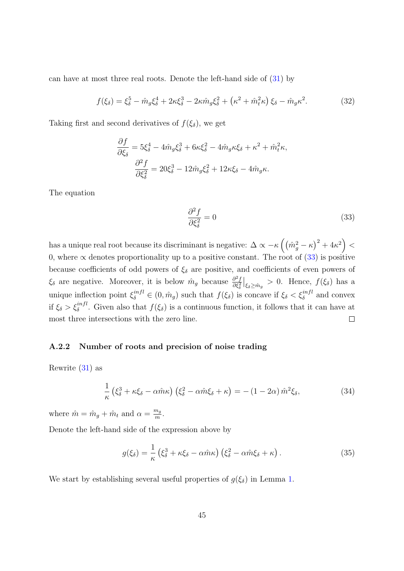can have at most three real roots. Denote the left-hand side of [\(31\)](#page-44-2) by

$$
f(\xi_{\delta}) = \xi_{\delta}^{5} - \hat{m}_{g}\xi_{\delta}^{4} + 2\kappa\xi_{\delta}^{3} - 2\kappa\hat{m}_{g}\xi_{\delta}^{2} + (\kappa^{2} + \hat{m}_{t}^{2}\kappa)\xi_{\delta} - \hat{m}_{g}\kappa^{2}.
$$
 (32)

Taking first and second derivatives of  $f(\xi_{\delta})$ , we get

$$
\frac{\partial f}{\partial \xi_{\delta}} = 5\xi_{\delta}^{4} - 4\hat{m}_{g}\xi_{\delta}^{3} + 6\kappa\xi_{\delta}^{2} - 4\hat{m}_{g}\kappa\xi_{\delta} + \kappa^{2} + \hat{m}_{t}^{2}\kappa,
$$

$$
\frac{\partial^{2} f}{\partial \xi_{\delta}^{2}} = 20\xi_{\delta}^{3} - 12\hat{m}_{g}\xi_{\delta}^{2} + 12\kappa\xi_{\delta} - 4\hat{m}_{g}\kappa.
$$

The equation

<span id="page-45-4"></span><span id="page-45-1"></span>
$$
\frac{\partial^2 f}{\partial \xi_\delta^2} = 0\tag{33}
$$

has a unique real root because its discriminant is negative:  $\Delta \propto -\kappa \left( \left( \hat{m}_g^2 - \kappa \right)^2 + 4 \kappa^2 \right) < 0$ 0, where  $\alpha$  denotes proportionality up to a positive constant. The root of [\(33\)](#page-45-1) is positive because coefficients of odd powers of  $\xi_{\delta}$  are positive, and coefficients of even powers of  $\xi_{\delta}$  are negative. Moreover, it is below  $\hat{m}_g$  because  $\frac{\partial^2 f}{\partial \xi^2}$  $\frac{\partial^2 f}{\partial \xi_{\delta}^2}\big|_{\xi_{\delta}\geq \hat{m}_g} > 0$ . Hence,  $f(\xi_{\delta})$  has a unique inflection point  $\xi_{\delta}^{infl} \in (0, \hat{m}_g)$  such that  $f(\xi_{\delta})$  is concave if  $\xi_{\delta} < \xi_{\delta}^{infl}$  and convex if  $\xi_{\delta} > \xi_{\delta}^{infl}$ . Given also that  $f(\xi_{\delta})$  is a continuous function, it follows that it can have at most three intersections with the zero line.  $\Box$ 

## <span id="page-45-0"></span>A.2.2 Number of roots and precision of noise trading

Rewrite [\(31\)](#page-44-2) as

$$
\frac{1}{\kappa} \left( \xi_{\delta}^3 + \kappa \xi_{\delta} - \alpha \hat{m} \kappa \right) \left( \xi_{\delta}^2 - \alpha \hat{m} \xi_{\delta} + \kappa \right) = -\left( 1 - 2\alpha \right) \hat{m}^2 \xi_{\delta},\tag{34}
$$

where  $\hat{m} = \hat{m}_g + \hat{m}_t$  and  $\alpha = \frac{m_g}{m}$  $\frac{n_g}{m}.$ 

Denote the left-hand side of the expression above by

<span id="page-45-3"></span><span id="page-45-2"></span>
$$
g(\xi_{\delta}) = \frac{1}{\kappa} \left( \xi_{\delta}^3 + \kappa \xi_{\delta} - \alpha \hat{m} \kappa \right) \left( \xi_{\delta}^2 - \alpha \hat{m} \xi_{\delta} + \kappa \right). \tag{35}
$$

We start by establishing several useful properties of  $g(\xi_{\delta})$  in Lemma [1.](#page-46-0)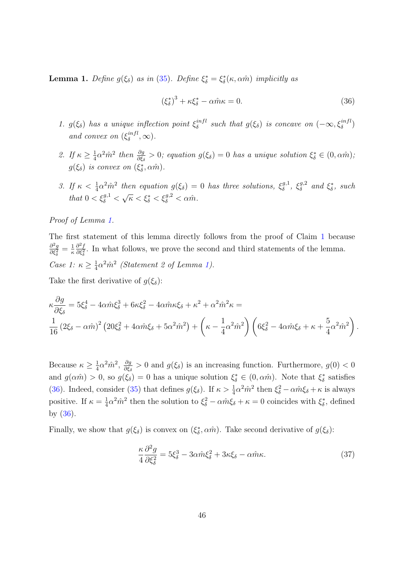<span id="page-46-0"></span>**Lemma 1.** Define  $g(\xi_{\delta})$  as in [\(35\)](#page-45-2). Define  $\xi_{\delta}^* = \xi_{\delta}^*(\kappa, \alpha \hat{m})$  implicitly as

<span id="page-46-1"></span>
$$
(\xi_{\delta}^*)^3 + \kappa \xi_{\delta}^* - \alpha \hat{m} \kappa = 0. \tag{36}
$$

- 1.  $g(\xi_{\delta})$  has a unique inflection point  $\xi_{\delta}^{infl}$  $s_i^{infl}$  such that  $g(\xi_\delta)$  is concave on  $(-\infty, \xi_\delta^{infl})$ and convex on  $(\xi_{\delta}^{infl})$  $_{\delta}^{intl}, \infty).$
- 2. If  $\kappa \geq \frac{1}{4}$  $\frac{1}{4}\alpha^2\hat{m}^2$  then  $\frac{\partial g}{\partial \xi_\delta} > 0$ ; equation  $g(\xi_\delta) = 0$  has a unique solution  $\xi^*_\delta \in (0, \alpha \hat{m})$ ;  $g(\xi_{\delta})$  is convex on  $(\xi_{\delta}^*, \alpha \hat{m})$ .
- 3. If  $\kappa < \frac{1}{4} \alpha^2 \hat{m}^2$  then equation  $g(\xi_{\delta}) = 0$  has three solutions,  $\xi_{\delta}^{g,1}$  $\zeta^{g,1}_{\delta}, \zeta^{g,2}_{\delta}$  $\delta^{g,2}$  and  $\xi^*_{\delta}$ , such that  $0 < \xi_{\delta}^{g,1} <$  $\sqrt{\kappa} < \xi_{\delta}^* < \xi_{\delta}^{g,2} < \alpha \hat{m}.$

### Proof of Lemma [1.](#page-46-0)

The first statement of this lemma directly follows from the proof of Claim [1](#page-44-3) because  $\partial^2 g$  $\frac{\partial^2 g}{\partial \xi_{\delta}^2} = \frac{1}{\kappa}$ κ  $\partial^2 f$  $\frac{\partial^2 f}{\partial \xi_{\delta}^2}$ . In what follows, we prove the second and third statements of the lemma. Case 1:  $\kappa \geq \frac{1}{4}$  $\frac{1}{4}\alpha^2 \hat{m}^2$  (Statement 2 of Lemma [1\)](#page-46-0).

Take the first derivative of  $q(\xi_{\delta})$ :

$$
\kappa \frac{\partial g}{\partial \xi_{\delta}} = 5\xi_{\delta}^{4} - 4\alpha \hat{m}\xi_{\delta}^{3} + 6\kappa \xi_{\delta}^{2} - 4\alpha \hat{m}\kappa \xi_{\delta} + \kappa^{2} + \alpha^{2} \hat{m}^{2}\kappa =
$$
\n
$$
\frac{1}{16} \left(2\xi_{\delta} - \alpha \hat{m}\right)^{2} \left(20\xi_{\delta}^{2} + 4\alpha \hat{m}\xi_{\delta} + 5\alpha^{2} \hat{m}^{2}\right) + \left(\kappa - \frac{1}{4}\alpha^{2} \hat{m}^{2}\right) \left(6\xi_{\delta}^{2} - 4\alpha \hat{m}\xi_{\delta} + \kappa + \frac{5}{4}\alpha^{2} \hat{m}^{2}\right).
$$

Because  $\kappa \geq \frac{1}{4}$  $\frac{1}{4}\alpha^2\hat{m}^2,~\frac{\partial g}{\partial \xi_\delta}$  $\frac{\partial g}{\partial \xi_{\delta}}$  > 0 and  $g(\xi_{\delta})$  is an increasing function. Furthermore,  $g(0) < 0$ and  $g(\alpha \hat{m}) > 0$ , so  $g(\xi_{\delta}) = 0$  has a unique solution  $\xi_{\delta}^* \in (0, \alpha \hat{m})$ . Note that  $\xi_{\delta}^*$  satisfies [\(36\)](#page-46-1). Indeed, consider [\(35\)](#page-45-2) that defines  $g(\xi_{\delta})$ . If  $\kappa > \frac{1}{4}\alpha^2 \hat{m}^2$  then  $\xi_{\delta}^2 - \alpha \hat{m}\xi_{\delta} + \kappa$  is always positive. If  $\kappa = \frac{1}{4}$  $\frac{1}{4}\alpha^2\hat{m}^2$  then the solution to  $\xi_{\delta}^2 - \alpha \hat{m}\xi_{\delta} + \kappa = 0$  coincides with  $\xi_{\delta}^*$ , defined by [\(36\)](#page-46-1).

Finally, we show that  $g(\xi_{\delta})$  is convex on  $(\xi_{\delta}^*, \alpha \hat{m})$ . Take second derivative of  $g(\xi_{\delta})$ :

<span id="page-46-2"></span>
$$
\frac{\kappa}{4} \frac{\partial^2 g}{\partial \xi_{\delta}^2} = 5\xi_{\delta}^3 - 3\alpha \hat{m}\xi_{\delta}^2 + 3\kappa \xi_{\delta} - \alpha \hat{m}\kappa. \tag{37}
$$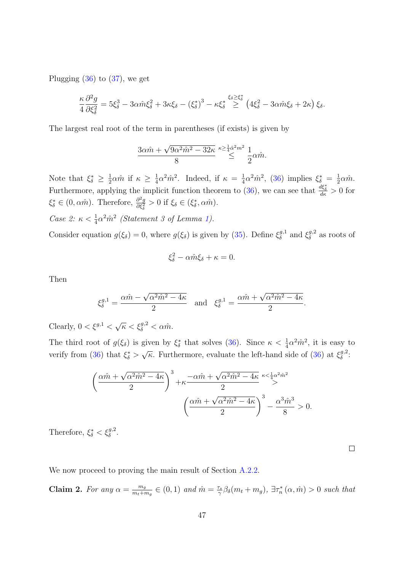Plugging  $(36)$  to  $(37)$ , we get

$$
\frac{\kappa}{4}\frac{\partial^2 g}{\partial \xi_{\delta}^2} = 5\xi_{\delta}^3 - 3\alpha \hat{m}\xi_{\delta}^2 + 3\kappa \xi_{\delta} - \left(\xi_{\delta}^*\right)^3 - \kappa \xi_{\delta}^* \overset{\xi_{\delta} \geq \xi_{\delta}^*}{\geq} \left(4\xi_{\delta}^2 - 3\alpha \hat{m}\xi_{\delta} + 2\kappa\right)\xi_{\delta}.
$$

The largest real root of the term in parentheses (if exists) is given by

$$
\frac{3\alpha \hat{m} + \sqrt{9\alpha^2 \hat{m}^2 - 32\kappa}}{8} \stackrel{\kappa \ge \frac{1}{4} \hat{\alpha}^2 m^2}{\leq} \frac{1}{2} \alpha \hat{m}.
$$

Note that  $\xi_{\delta}^* \geq \frac{1}{2}$  $\frac{1}{2}\alpha \hat{m}$  if  $\kappa \geq \frac{1}{4}$  $\frac{1}{4}\alpha^2 \hat{m}^2$ . Indeed, if  $\kappa = \frac{1}{4}$  $\frac{1}{4}\alpha^2\hat{m}^2$ , [\(36\)](#page-46-1) implies  $\xi_{\delta}^* = \frac{1}{2}$  $rac{1}{2}\alpha \hat{m}$ . Furthermore, applying the implicit function theorem to [\(36\)](#page-46-1), we can see that  $\frac{d\xi_{\delta}^{*}}{dk} > 0$  for  $\xi_{\delta}^* \in (0, \alpha \hat{m})$ . Therefore,  $\frac{\partial^2 g}{\partial \xi_{\delta}^2}$  $\frac{\partial^2 g}{\partial \xi_{\delta}^2} > 0$  if  $\xi_{\delta} \in (\xi_{\delta}^*, \alpha \hat{m}).$ 

Case 2: 
$$
\kappa < \frac{1}{4}\alpha^2 \hat{m}^2
$$
 (Statement 3 of Lemma 1).

Consider equation  $g(\xi_{\delta}) = 0$ , where  $g(\xi_{\delta})$  is given by [\(35\)](#page-45-2). Define  $\xi_{\delta}^{g,1}$  $\xi_{\delta}^{g,1}$  and  $\xi_{\delta}^{g,2}$  $\delta^{g,2}$  as roots of

$$
\xi_{\delta}^2 - \alpha \hat{m} \xi_{\delta} + \kappa = 0.
$$

Then

$$
\xi_{\delta}^{g,1} = \frac{\alpha \hat{m} - \sqrt{\alpha^2 \hat{m}^2 - 4\kappa}}{2} \quad \text{and} \quad \xi_{\delta}^{g,1} = \frac{\alpha \hat{m} + \sqrt{\alpha^2 \hat{m}^2 - 4\kappa}}{2}.
$$

Clearly,  $0 < \xi^{g,1} < \sqrt{\kappa} < \xi_{\delta}^{g,2} < \alpha \hat{m}$ .

The third root of  $g(\xi_{\delta})$  is given by  $\xi_{\delta}^{*}$  that solves [\(36\)](#page-46-1). Since  $\kappa < \frac{1}{4}\alpha^{2}\hat{m}^{2}$ , it is easy to verify from [\(36\)](#page-46-1) that  $\xi_{\delta}^*$  > √  $\overline{\kappa}$ . Furthermore, evaluate the left-hand side of [\(36\)](#page-46-1) at  $\xi_{\delta}^{g,2}$  $\frac{g,2}{\delta}$ :

$$
\left(\frac{\alpha \hat{m} + \sqrt{\alpha^2 \hat{m}^2 - 4\kappa}}{2}\right)^3 + \kappa \frac{-\alpha \hat{m} + \sqrt{\alpha^2 \hat{m}^2 - 4\kappa}}{2} \stackrel{\kappa < \frac{1}{4}\alpha^2 \hat{m}^2}{\geq} -\frac{\alpha^3 \hat{m}^3}{8} > 0.
$$

Therefore,  $\xi_{\delta}^* < \xi_{\delta}^{g,2}$ .

 $\Box$ 

We now proceed to proving the main result of Section [A.2.2.](#page-45-0)

<span id="page-47-0"></span>Claim 2. For any  $\alpha = \frac{m_g}{m_f + n_g}$  $\frac{m_g}{m_t+m_g} \in (0,1)$  and  $\hat{m} = \frac{\tau_s}{\gamma}$  $\frac{\tau_s}{\gamma}\beta_\delta(m_t+m_g), \exists \tau_n^*(\alpha, \hat{m}) > 0$  such that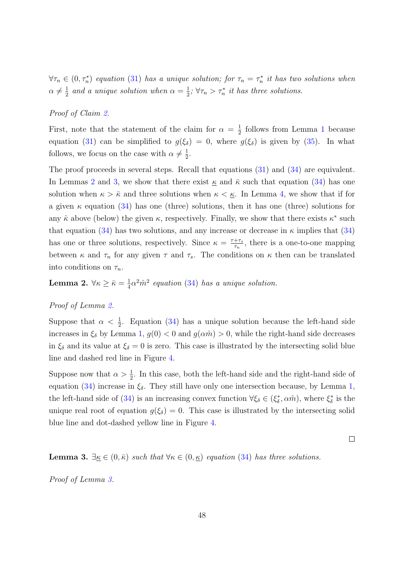$\forall \tau_n \in (0, \tau_n^*)$  equation [\(31\)](#page-44-2) has a unique solution; for  $\tau_n = \tau_n^*$  it has two solutions when  $\alpha \neq \frac{1}{2}$  $\frac{1}{2}$  and a unique solution when  $\alpha = \frac{1}{2}$  $\frac{1}{2}$ ;  $\forall \tau_n > \tau_n^*$  it has three solutions.

### Proof of Claim [2.](#page-47-0)

First, note that the statement of the claim for  $\alpha = \frac{1}{2}$  $\frac{1}{2}$  $\frac{1}{2}$  $\frac{1}{2}$  follows from Lemma 1 because equation [\(31\)](#page-44-2) can be simplified to  $g(\xi_{\delta}) = 0$ , where  $g(\xi_{\delta})$  is given by [\(35\)](#page-45-2). In what follows, we focus on the case with  $\alpha \neq \frac{1}{2}$  $\frac{1}{2}$ .

The proof proceeds in several steps. Recall that equations [\(31\)](#page-44-2) and [\(34\)](#page-45-3) are equivalent. In Lemmas [2](#page-48-0) and [3,](#page-48-1) we show that there exist  $\kappa$  and  $\bar{\kappa}$  such that equation [\(34\)](#page-45-3) has one solution when  $\kappa > \bar{\kappa}$  and three solutions when  $\kappa < \underline{\kappa}$ . In Lemma [4,](#page-50-0) we show that if for a given  $\kappa$  equation [\(34\)](#page-45-3) has one (three) solutions, then it has one (three) solutions for any  $\hat{\kappa}$  above (below) the given  $\kappa$ , respectively. Finally, we show that there exists  $\kappa^*$  such that equation [\(34\)](#page-45-3) has two solutions, and any increase or decrease in  $\kappa$  implies that (34) has one or three solutions, respectively. Since  $\kappa = \frac{\tau + \tau_s}{\tau_s}$  $\frac{+\tau_s}{\tau_n}$ , there is a one-to-one mapping between  $\kappa$  and  $\tau_n$  for any given  $\tau$  and  $\tau_s$ . The conditions on  $\kappa$  then can be translated into conditions on  $\tau_n$ .

<span id="page-48-0"></span>Lemma 2.  $\forall \kappa \geq \bar{\kappa} = \frac{1}{4}$  $\frac{1}{4}\alpha^2 \hat{m}^2$  equation [\(34\)](#page-45-3) has a unique solution.

### Proof of Lemma [2.](#page-48-0)

Suppose that  $\alpha < \frac{1}{2}$ . Equation [\(34\)](#page-45-3) has a unique solution because the left-hand side increases in  $\xi_{\delta}$  by Lemma [1,](#page-46-0)  $g(0) < 0$  and  $g(\alpha \hat{m}) > 0$ , while the right-hand side decreases in  $\xi_{\delta}$  and its value at  $\xi_{\delta} = 0$  is zero. This case is illustrated by the intersecting solid blue line and dashed red line in Figure [4.](#page-49-0)

Suppose now that  $\alpha > \frac{1}{2}$ . In this case, both the left-hand side and the right-hand side of equation [\(34\)](#page-45-3) increase in  $\xi_{\delta}$ . They still have only one intersection because, by Lemma [1,](#page-46-0) the left-hand side of [\(34\)](#page-45-3) is an increasing convex function  $\forall \xi_{\delta} \in (\xi_{\delta}^*, \alpha \hat{m})$ , where  $\xi_{\delta}^*$  is the unique real root of equation  $g(\xi_{\delta}) = 0$ . This case is illustrated by the intersecting solid blue line and dot-dashed yellow line in Figure [4.](#page-49-0)

 $\Box$ 

<span id="page-48-1"></span>**Lemma 3.**  $\exists \kappa \in (0, \bar{\kappa})$  such that  $\forall \kappa \in (0, \underline{\kappa})$  equation [\(34\)](#page-45-3) has three solutions.

Proof of Lemma [3.](#page-48-1)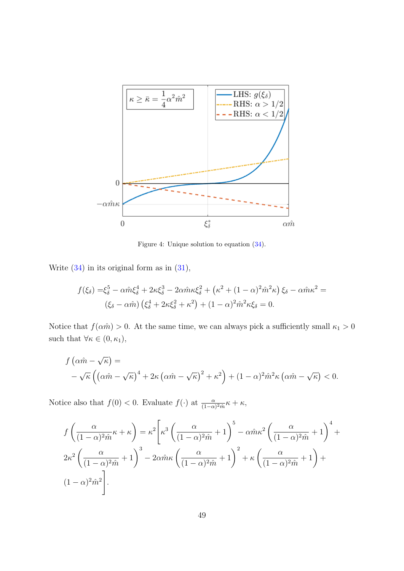<span id="page-49-0"></span>

Figure 4: Unique solution to equation [\(34\)](#page-45-3).

Write  $(34)$  in its original form as in  $(31)$ ,

$$
f(\xi_{\delta}) = \xi_{\delta}^{5} - \alpha \hat{m} \xi_{\delta}^{4} + 2\kappa \xi_{\delta}^{3} - 2\alpha \hat{m} \kappa \xi_{\delta}^{2} + (\kappa^{2} + (1 - \alpha)^{2} \hat{m}^{2} \kappa) \xi_{\delta} - \alpha \hat{m} \kappa^{2} =
$$
  

$$
(\xi_{\delta} - \alpha \hat{m}) (\xi_{\delta}^{4} + 2\kappa \xi_{\delta}^{2} + \kappa^{2}) + (1 - \alpha)^{2} \hat{m}^{2} \kappa \xi_{\delta} = 0.
$$

Notice that  $f(\alpha \hat{m}) > 0$ . At the same time, we can always pick a sufficiently small  $\kappa_1 > 0$ such that  $\forall \kappa \in (0, \kappa_1)$ ,

$$
f\left(\alpha \hat{m} - \sqrt{\kappa}\right) =
$$
  
 
$$
-\sqrt{\kappa}\left(\left(\alpha \hat{m} - \sqrt{\kappa}\right)^4 + 2\kappa\left(\alpha \hat{m} - \sqrt{\kappa}\right)^2 + \kappa^2\right) + (1 - \alpha)^2 \hat{m}^2 \kappa\left(\alpha \hat{m} - \sqrt{\kappa}\right) < 0.
$$

Notice also that  $f(0) < 0$ . Evaluate  $f(\cdot)$  at  $\frac{\alpha}{(1-\alpha)^2\hat{m}}\kappa + \kappa$ ,

$$
f\left(\frac{\alpha}{(1-\alpha)^2\hat{m}}\kappa+\kappa\right) = \kappa^2 \left[\kappa^3 \left(\frac{\alpha}{(1-\alpha)^2\hat{m}}+1\right)^5 - \alpha\hat{m}\kappa^2 \left(\frac{\alpha}{(1-\alpha)^2\hat{m}}+1\right)^4 + 2\kappa^2 \left(\frac{\alpha}{(1-\alpha)^2\hat{m}}+1\right)^3 - 2\alpha\hat{m}\kappa \left(\frac{\alpha}{(1-\alpha)^2\hat{m}}+1\right)^2 + \kappa \left(\frac{\alpha}{(1-\alpha)^2\hat{m}}+1\right) + 2\alpha\hat{m}\kappa^2\hat{m}^2\right].
$$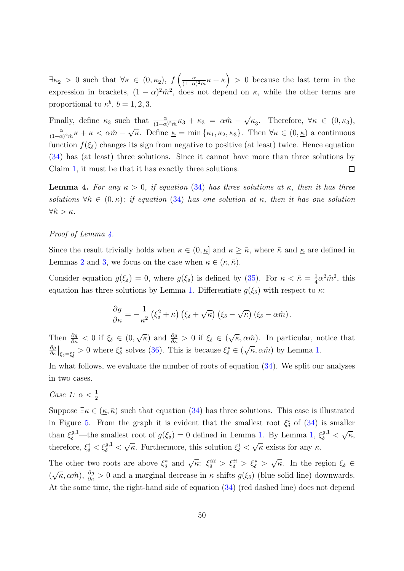$\exists \kappa_2 > 0$  such that  $\forall \kappa \in (0, \kappa_2), f\left(\frac{\alpha}{(1-\alpha)}\right)$  $\frac{\alpha}{(1-\alpha)^2\hat{m}}\kappa+\kappa$ ) > 0 because the last term in the expression in brackets,  $(1 - \alpha)^2 \hat{m}^2$ , does not depend on  $\kappa$ , while the other terms are proportional to  $\kappa^b$ ,  $b = 1, 2, 3$ .

√ Finally, define  $\kappa_3$  such that  $\frac{\alpha}{(1-\alpha)^2\hat{m}}\kappa_3 + \kappa_3 = \alpha \hat{m}$  $\overline{\kappa}_3$ . Therefore,  $\forall \kappa \in (0, \kappa_3)$ , √ α  $\frac{\alpha}{(1-\alpha)^2\hat{m}}\kappa + \kappa < \alpha\hat{m} - \sqrt{\kappa}$ . Define  $\underline{\kappa} = \min\{\kappa_1, \kappa_2, \kappa_3\}$ . Then  $\forall \kappa \in (0, \underline{\kappa})$  a continuous function  $f(\xi_{\delta})$  changes its sign from negative to positive (at least) twice. Hence equation [\(34\)](#page-45-3) has (at least) three solutions. Since it cannot have more than three solutions by Claim [1,](#page-44-3) it must be that it has exactly three solutions.  $\Box$ 

<span id="page-50-0"></span>**Lemma 4.** For any  $\kappa > 0$ , if equation [\(34\)](#page-45-3) has three solutions at  $\kappa$ , then it has three solutions  $\forall \hat{\kappa} \in (0, \kappa);$  if equation [\(34\)](#page-45-3) has one solution at  $\kappa$ , then it has one solution  $\forall \hat{\kappa} > \kappa$ .

## Proof of Lemma [4.](#page-50-0)

Since the result trivially holds when  $\kappa \in (0, \underline{\kappa}]$  and  $\kappa \geq \overline{\kappa}$ , where  $\overline{\kappa}$  and  $\underline{\kappa}$  are defined in Lemmas [2](#page-48-0) and [3,](#page-48-1) we focus on the case when  $\kappa \in (\underline{\kappa}, \overline{\kappa})$ .

Consider equation  $g(\xi_{\delta}) = 0$ , where  $g(\xi_{\delta})$  is defined by [\(35\)](#page-45-2). For  $\kappa < \bar{\kappa} = \frac{1}{4}$  $\frac{1}{4}\alpha^2\hat{m}^2$ , this equation has three solutions by Lemma [1.](#page-46-0) Differentiate  $g(\xi_{\delta})$  with respect to  $\kappa$ :

$$
\frac{\partial g}{\partial \kappa} = -\frac{1}{\kappa^2} \left( \xi_{\delta}^2 + \kappa \right) \left( \xi_{\delta} + \sqrt{\kappa} \right) \left( \xi_{\delta} - \sqrt{\kappa} \right) \left( \xi_{\delta} - \alpha \hat{m} \right).
$$

Then  $\frac{\partial g}{\partial \kappa}$  < 0 if  $\xi_{\delta} \in (0,$  $\sqrt{\kappa}$ ) and  $\frac{\partial g}{\partial \kappa} > 0$  if  $\xi_{\delta} \in ($ √  $\overline{\kappa}, \alpha \hat{m}$ ). In particular, notice that ∂g  $\frac{\partial g}{\partial \kappa}\Big|_{\xi_{\delta}=\xi_{\delta}^{*}} > 0$  where  $\xi_{\delta}^{*}$  solves [\(36\)](#page-46-1). This is because  $\xi_{\delta}^{*} \in (\sqrt{\kappa}, \alpha \hat{m})$  by Lemma [1.](#page-46-0) √

In what follows, we evaluate the number of roots of equation [\(34\)](#page-45-3). We split our analyses in two cases.

Case 1:  $\alpha < \frac{1}{2}$ 

Suppose  $\exists \kappa \in (\kappa, \bar{\kappa})$  such that equation [\(34\)](#page-45-3) has three solutions. This case is illustrated in Figure [5.](#page-51-0) From the graph it is evident that the smallest root  $\xi_{\delta}^{i}$  of [\(34\)](#page-45-3) is smaller than  $\xi_{\delta}^{g,1}$ —the smallest root of  $g(\xi_{\delta})=0$  defined in Lemma [1.](#page-46-0) By Lemma [1,](#page-46-0)  $\xi_{\delta}^{g,1}$  < √ κ, therefore,  $\xi_{\delta}^{i} < \xi_{\delta}^{g,1} <$ √  $\overline{\kappa}$ . Furthermore, this solution  $\xi_{\delta}^{i}$  < √  $\overline{\kappa}$  exists for any  $\kappa$ .

The other two roots are above  $\xi_{\delta}^*$  and  $\sqrt{\kappa}$ :  $\xi_{\delta}^{iii} > \xi_{\delta}^{ii} > \xi_{\delta}^* >$ √  $\overline{\kappa}$ . In the region  $\xi_{\delta} \in$ (  $\sqrt{\kappa}$ ,  $\alpha \hat{m}$ ),  $\frac{\partial g}{\partial \kappa} > 0$  and a marginal decrease in  $\kappa$  shifts  $g(\xi_{\delta})$  (blue solid line) downwards. At the same time, the right-hand side of equation [\(34\)](#page-45-3) (red dashed line) does not depend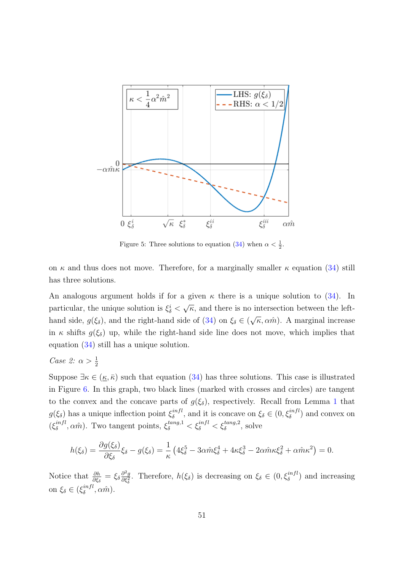<span id="page-51-0"></span>

Figure 5: Three solutions to equation [\(34\)](#page-45-3) when  $\alpha < \frac{1}{2}$ .

on  $\kappa$  and thus does not move. Therefore, for a marginally smaller  $\kappa$  equation [\(34\)](#page-45-3) still has three solutions.

An analogous argument holds if for a given  $\kappa$  there is a unique solution to [\(34\)](#page-45-3). In particular, the unique solution is  $\xi_{\delta}^{i}$  < √  $\overline{\kappa}$ , and there is no intersection between the lefthand side,  $g(\xi_{\delta})$ , and the right-hand side of [\(34\)](#page-45-3) on  $\xi_{\delta} \in ($ √  $\overline{\kappa}, \alpha \hat{m}$ ). A marginal increase in  $\kappa$  shifts  $g(\xi_{\delta})$  up, while the right-hand side line does not move, which implies that equation [\(34\)](#page-45-3) still has a unique solution.

Case 2:  $\alpha > \frac{1}{2}$ 

Suppose  $\exists \kappa \in (\underline{\kappa}, \overline{\kappa})$  such that equation [\(34\)](#page-45-3) has three solutions. This case is illustrated in Figure [6.](#page-52-0) In this graph, two black lines (marked with crosses and circles) are tangent to the convex and the concave parts of  $g(\xi_{\delta})$ , respectively. Recall from Lemma [1](#page-46-0) that  $g(\xi_{\delta})$  has a unique inflection point  $\xi_{\delta}^{infl}$  $\zeta_{\delta}^{infl}$ , and it is concave on  $\xi_{\delta} \in (0, \xi_{\delta}^{infl})$  and convex on  $(\xi_{\delta}^{infl})$  $\zeta_{\delta}^{infl}, \alpha \hat{m}$ ). Two tangent points,  $\xi_{\delta}^{tang,1} < \xi_{\delta}^{infl} < \xi_{\delta}^{tang,2}$ , solve

$$
h(\xi_{\delta}) = \frac{\partial g(\xi_{\delta})}{\partial \xi_{\delta}} \xi_{\delta} - g(\xi_{\delta}) = \frac{1}{\kappa} \left( 4\xi_{\delta}^{5} - 3\alpha \hat{m}\xi_{\delta}^{4} + 4\kappa \xi_{\delta}^{3} - 2\alpha \hat{m}\kappa \xi_{\delta}^{2} + \alpha \hat{m}\kappa^{2} \right) = 0.
$$

Notice that  $\frac{\partial h}{\partial \xi_{\delta}} = \xi_{\delta} \frac{\partial^2 g}{\partial \xi_{\delta}^2}$  $\frac{\partial^2 g}{\partial \xi_{\delta}^2}$ . Therefore,  $h(\xi_{\delta})$  is decreasing on  $\xi_{\delta} \in (0, \xi_{\delta}^{infl})$  and increasing on  $\xi_{\delta} \in (\xi_{\delta}^{infl}$  $\delta^{infl}, \alpha \hat{m}$ ).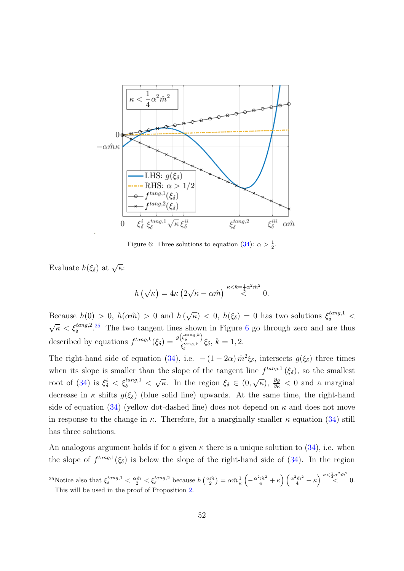<span id="page-52-0"></span>

Figure 6: Three solutions to equation [\(34\)](#page-45-3):  $\alpha > \frac{1}{2}$ .

Evaluate  $h(\xi_{\delta})$  at  $\sqrt{\kappa}$ :

$$
h\left(\sqrt{\kappa}\right) = 4\kappa \left(2\sqrt{\kappa} - \alpha \hat{m}\right) \stackrel{\kappa < \bar{\kappa} = \frac{1}{4}\alpha^2 \hat{m}^2}{\lt} 0.
$$

Because  $h(0) > 0$ ,  $h(\alpha \hat{m}) > 0$  and  $h(\alpha)$ √  $\overline{\kappa}$ ) < 0,  $h(\xi_{\delta}) = 0$  has two solutions  $\xi_{\delta}^{tang,1}$  <  $\sqrt{\kappa} < \xi_{\delta}^{tang,2}$ .<sup>[25](#page-52-1)</sup> The two tangent lines shown in Figure [6](#page-52-0) go through zero and are thus described by equations  $f^{tang,k}(\xi_{\delta}) = \frac{g(\xi_{\delta}^{tang,k})}{\xi_{tang,k}}$  $\frac{\zeta_{\delta}^{s}}{\xi_{\delta}^{tang,k}}\xi_{\delta}, k=1,2.$ 

The right-hand side of equation [\(34\)](#page-45-3), i.e.  $-(1-2\alpha)\hat{m}^2\xi_\delta$ , intersects  $g(\xi_\delta)$  three times when its slope is smaller than the slope of the tangent line  $f^{tang,1}(\xi_{\delta})$ , so the smallest root of [\(34\)](#page-45-3) is  $\xi_{\delta}^{i} < \xi_{\delta}^{tang,1} <$ √  $\overline{\kappa}$ . In the region  $\xi_{\delta} \in (0,$  $\sqrt{\kappa}$ ,  $\frac{\partial g}{\partial \kappa}$  < 0 and a marginal decrease in  $\kappa$  shifts  $g(\xi_{\delta})$  (blue solid line) upwards. At the same time, the right-hand side of equation [\(34\)](#page-45-3) (yellow dot-dashed line) does not depend on  $\kappa$  and does not move in response to the change in  $\kappa$ . Therefore, for a marginally smaller  $\kappa$  equation [\(34\)](#page-45-3) still has three solutions.

An analogous argument holds if for a given  $\kappa$  there is a unique solution to [\(34\)](#page-45-3), i.e. when the slope of  $f^{tang,1}(\xi_{\delta})$  is below the slope of the right-hand side of [\(34\)](#page-45-3). In the region

<span id="page-52-1"></span><sup>&</sup>lt;sup>25</sup>Notice also that  $\xi_{\delta}^{tang,1} < \frac{\alpha \hat{m}}{2} < \xi_{\delta}^{tang,2}$  because  $h\left(\frac{\alpha \hat{m}}{2}\right) = \alpha \hat{m} \frac{1}{\kappa} \left(-\frac{\alpha^2 \hat{m}^2}{4} + \kappa\right) \left(\frac{\alpha^2 \hat{m}^2}{4} + \kappa\right)^{\kappa \leq \frac{1}{4} \alpha^2 \hat{m}^2}$  0. This will be used in the proof of Proposition [2.](#page-19-2)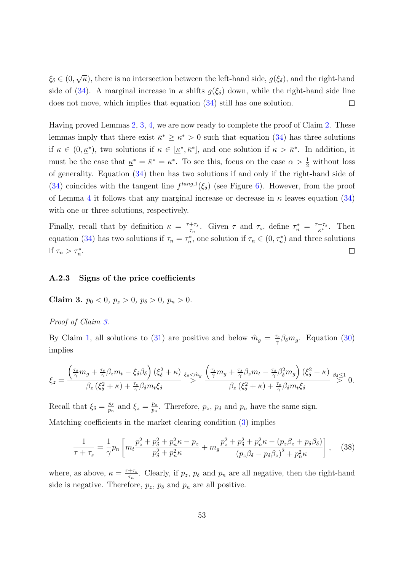√  $\xi_{\delta} \in (0,$  $\kappa$ ), there is no intersection between the left-hand side,  $g(\xi_{\delta})$ , and the right-hand side of [\(34\)](#page-45-3). A marginal increase in  $\kappa$  shifts  $g(\xi_{\delta})$  down, while the right-hand side line does not move, which implies that equation [\(34\)](#page-45-3) still has one solution.  $\Box$ 

Having proved Lemmas [2,](#page-48-0) [3,](#page-48-1) [4,](#page-50-0) we are now ready to complete the proof of Claim [2.](#page-47-0) These lemmas imply that there exist  $\bar{\kappa}^* \geq \underline{\kappa}^* > 0$  such that equation [\(34\)](#page-45-3) has three solutions if  $\kappa \in (0, \underline{\kappa}^*)$ , two solutions if  $\kappa \in [\underline{\kappa}^*, \overline{\kappa}^*]$ , and one solution if  $\kappa > \overline{\kappa}^*$ . In addition, it must be the case that  $\underline{\kappa}^* = \overline{\kappa}^* = \kappa^*$ . To see this, focus on the case  $\alpha > \frac{1}{2}$  without loss of generality. Equation [\(34\)](#page-45-3) then has two solutions if and only if the right-hand side of [\(34\)](#page-45-3) coincides with the tangent line  $f^{tang,1}(\xi_{\delta})$  (see Figure [6\)](#page-52-0). However, from the proof of Lemma [4](#page-50-0) it follows that any marginal increase or decrease in  $\kappa$  leaves equation [\(34\)](#page-45-3) with one or three solutions, respectively.

Finally, recall that by definition  $\kappa = \frac{\tau + \tau_s}{\tau_s}$  $\frac{+\tau_s}{\tau_n}$ . Given  $\tau$  and  $\tau_s$ , define  $\tau_n^* = \frac{\tau + \tau_s}{\kappa^*}$ . Then equation [\(34\)](#page-45-3) has two solutions if  $\tau_n = \tau_n^*$ , one solution if  $\tau_n \in (0, \tau_n^*)$  and three solutions if  $\tau_n > \tau_n^*$ .  $\Box$ 

### <span id="page-53-0"></span>A.2.3 Signs of the price coefficients

<span id="page-53-1"></span>Claim 3.  $p_0 < 0$ ,  $p_z > 0$ ,  $p_\delta > 0$ ,  $p_n > 0$ .

### Proof of Claim [3.](#page-53-1)

By Claim [1,](#page-44-3) all solutions to [\(31\)](#page-44-2) are positive and below  $\hat{m}_g = \frac{\tau_s}{\gamma}$  $\frac{\tau_s}{\gamma} \beta_{\delta} m_g$ . Equation [\(30\)](#page-44-4) implies

$$
\xi_z = \frac{\left(\frac{\tau_s}{\gamma}m_g + \frac{\tau_s}{\gamma}\beta_z m_t - \xi_\delta\beta_\delta\right)(\xi_\delta^2 + \kappa)}{\beta_z(\xi_\delta^2 + \kappa) + \frac{\tau_s}{\gamma}\beta_\delta m_t \xi_\delta} \stackrel{\xi_\delta \leq \hat{m}_g}{\gg} \frac{\left(\frac{\tau_s}{\gamma}m_g + \frac{\tau_s}{\gamma}\beta_z m_t - \frac{\tau_s}{\gamma}\beta_\delta^2 m_g\right)(\xi_\delta^2 + \kappa)}{\beta_z(\xi_\delta^2 + \kappa) + \frac{\tau_s}{\gamma}\beta_\delta m_t \xi_\delta} \stackrel{\beta_\delta \leq 1}{\gg} 0.
$$

Recall that  $\xi_{\delta} = \frac{p_{\delta}}{n_{\rm m}}$  $\frac{p_{\delta}}{p_n}$  and  $\xi_z = \frac{p_z}{p_n}$  $\frac{p_z}{p_n}$ . Therefore,  $p_z$ ,  $p_\delta$  and  $p_n$  have the same sign. Matching coefficients in the market clearing condition [\(3\)](#page-10-1) implies

<span id="page-53-2"></span>
$$
\frac{1}{\tau + \tau_s} = \frac{1}{\gamma} p_n \left[ m_t \frac{p_z^2 + p_\delta^2 + p_n^2 \kappa - p_z}{p_\delta^2 + p_n^2 \kappa} + m_g \frac{p_z^2 + p_\delta^2 + p_n^2 \kappa - (p_z \beta_z + p_\delta \beta_\delta)}{(p_z \beta_\delta - p_\delta \beta_z)^2 + p_n^2 \kappa} \right], \quad (38)
$$

where, as above,  $\kappa = \frac{\tau + \tau_s}{\tau_s}$  $\frac{+\tau_s}{\tau_n}$ . Clearly, if  $p_z$ ,  $p_\delta$  and  $p_n$  are all negative, then the right-hand side is negative. Therefore,  $p_z$ ,  $p_\delta$  and  $p_n$  are all positive.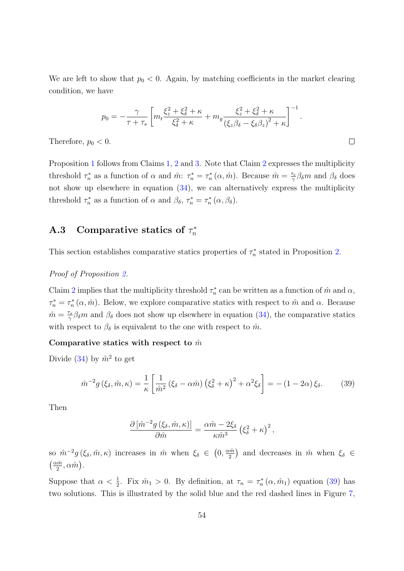We are left to show that  $p_0 < 0$ . Again, by matching coefficients in the market clearing condition, we have

$$
p_0 = -\frac{\gamma}{\tau + \tau_s} \left[ m_t \frac{\xi_z^2 + \xi_\delta^2 + \kappa}{\xi_\delta^2 + \kappa} + m_g \frac{\xi_z^2 + \xi_\delta^2 + \kappa}{(\xi_z \beta_\delta - \xi_\delta \beta_z)^2 + \kappa} \right]^{-1}.
$$

 $\Box$ 

Therefore,  $p_0 < 0$ .

Proposition [1](#page-19-1) follows from Claims [1,](#page-44-3) [2](#page-47-0) and [3.](#page-53-1) Note that Claim [2](#page-47-0) expresses the multiplicity threshold  $\tau_n^*$  as a function of  $\alpha$  and  $\hat{m}$ :  $\tau_n^* = \tau_n^* (\alpha, \hat{m})$ . Because  $\hat{m} = \frac{\tau_s}{\gamma}$  $\frac{\tau_s}{\gamma} \beta_{\delta} m$  and  $\beta_{\delta}$  does not show up elsewhere in equation  $(34)$ , we can alternatively express the multiplicity threshold  $\tau_n^*$  as a function of  $\alpha$  and  $\beta_{\delta}, \tau_n^* = \tau_n^* (\alpha, \beta_{\delta}).$ 

#### <span id="page-54-0"></span>A.3 Comparative statics of  $\tau_n^*$ n

This section establishes comparative statics properties of  $\tau_n^*$  stated in Proposition [2.](#page-19-2)

Proof of Proposition [2.](#page-19-2)

Claim [2](#page-47-0) implies that the multiplicity threshold  $\tau_n^*$  can be written as a function of  $\hat{m}$  and  $\alpha$ ,  $\tau_n^* = \tau_n^* (\alpha, \hat{m})$ . Below, we explore comparative statics with respect to  $\hat{m}$  and  $\alpha$ . Because  $\hat{m} = \frac{\tau_s}{\gamma}$  $\frac{\sigma_s}{\gamma} \beta_{\delta} m$  and  $\beta_{\delta}$  does not show up elsewhere in equation [\(34\)](#page-45-3), the comparative statics with respect to  $\beta_{\delta}$  is equivalent to the one with respect to  $\hat{m}$ .

### Comparative statics with respect to  $\hat{m}$

Divide [\(34\)](#page-45-3) by  $\hat{m}^2$  to get

$$
\hat{m}^{-2}g\left(\xi_{\delta},\hat{m},\kappa\right) = \frac{1}{\kappa} \left[ \frac{1}{\hat{m}^2} \left(\xi_{\delta} - \alpha \hat{m}\right) \left(\xi_{\delta}^2 + \kappa\right)^2 + \alpha^2 \xi_{\delta} \right] = -(1 - 2\alpha)\,\xi_{\delta}.\tag{39}
$$

Then

<span id="page-54-1"></span>
$$
\frac{\partial \left[\hat{m}^{-2}g\left(\xi_{\delta},\hat{m},\kappa\right)\right]}{\partial \hat{m}} = \frac{\alpha \hat{m} - 2\xi_{\delta}}{\kappa \hat{m}^{3}} \left(\xi_{\delta}^{2} + \kappa\right)^{2},
$$

so  $\hat{m}^{-2}g(\xi_{\delta},\hat{m},\kappa)$  increases in  $\hat{m}$  when  $\xi_{\delta} \in (0, \frac{\alpha \hat{m}}{2})$  $\frac{m\hat{n}}{2}$  and decreases in  $\hat{m}$  when  $\xi_{\delta} \in$  $\left(\frac{\alpha \hat{m}}{2}\right)$  $\frac{\hat{m}}{2}, \hat{\alpha m}$ ).

Suppose that  $\alpha < \frac{1}{2}$ . Fix  $\hat{m}_1 > 0$ . By definition, at  $\tau_n = \tau_n^*(\alpha, \hat{m}_1)$  equation [\(39\)](#page-54-1) has two solutions. This is illustrated by the solid blue and the red dashed lines in Figure [7,](#page-55-0)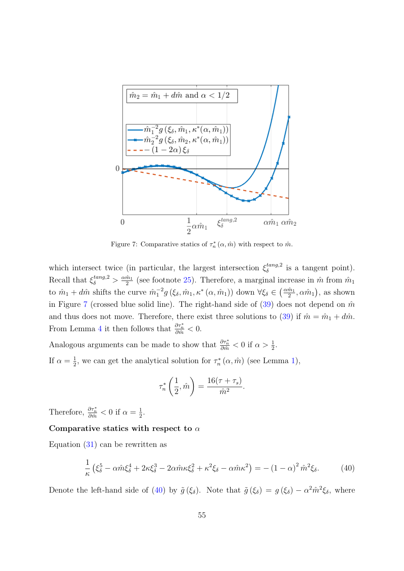<span id="page-55-0"></span>

Figure 7: Comparative statics of  $\tau_n^*(\alpha, \hat{m})$  with respect to  $\hat{m}$ .

which intersect twice (in particular, the largest intersection  $\xi_{\delta}^{tang,2}$  $\delta^{tang,2}$  is a tangent point). Recall that  $\xi_{\delta}^{tang,2} > \frac{\alpha \hat{m}_1}{2}$  $\frac{\tilde{m}_1}{2}$  (see footnote [25\)](#page-52-1). Therefore, a marginal increase in  $\hat{m}$  from  $\hat{m}_1$ to  $\hat{m}_1 + d\hat{m}$  shifts the curve  $\hat{m}_1^{-2} g\left(\xi_\delta, \hat{m}_1, \kappa^*\left(\alpha, \hat{m}_1\right)\right)$  down  $\forall \xi_\delta \in \left(\frac{\alpha \hat{m}_1}{2}\right)$  $(\frac{\hat{m}_1}{2}, \alpha \hat{m}_1),$  as shown in Figure [7](#page-55-0) (crossed blue solid line). The right-hand side of  $(39)$  does not depend on  $\hat{m}$ and thus does not move. Therefore, there exist three solutions to [\(39\)](#page-54-1) if  $\hat{m} = \hat{m}_1 + d\hat{m}$ . From Lemma [4](#page-50-0) it then follows that  $\frac{\partial \tau_n^*}{\partial \hat{m}} < 0$ .

Analogous arguments can be made to show that  $\frac{\partial \tau_n^*}{\partial \hat{m}} < 0$  if  $\alpha > \frac{1}{2}$ . If  $\alpha = \frac{1}{2}$  $\frac{1}{2}$ , we can get the analytical solution for  $\tau_n^*(\alpha, \hat{m})$  (see Lemma [1\)](#page-46-0),

<span id="page-55-1"></span>
$$
\tau_n^* \left( \frac{1}{2}, \hat{m} \right) = \frac{16(\tau + \tau_s)}{\hat{m}^2}.
$$

Therefore,  $\frac{\partial \tau_n^*}{\partial \hat{m}} < 0$  if  $\alpha = \frac{1}{2}$  $rac{1}{2}$ .

## Comparative statics with respect to  $\alpha$

Equation [\(31\)](#page-44-2) can be rewritten as

$$
\frac{1}{\kappa} \left( \xi_{\delta}^5 - \alpha \hat{m} \xi_{\delta}^4 + 2\kappa \xi_{\delta}^3 - 2\alpha \hat{m} \kappa \xi_{\delta}^2 + \kappa^2 \xi_{\delta} - \alpha \hat{m} \kappa^2 \right) = -\left(1 - \alpha\right)^2 \hat{m}^2 \xi_{\delta}.\tag{40}
$$

Denote the left-hand side of [\(40\)](#page-55-1) by  $\tilde{g}(\xi_{\delta})$ . Note that  $\tilde{g}(\xi_{\delta}) = g(\xi_{\delta}) - \alpha^2 \hat{m}^2 \xi_{\delta}$ , where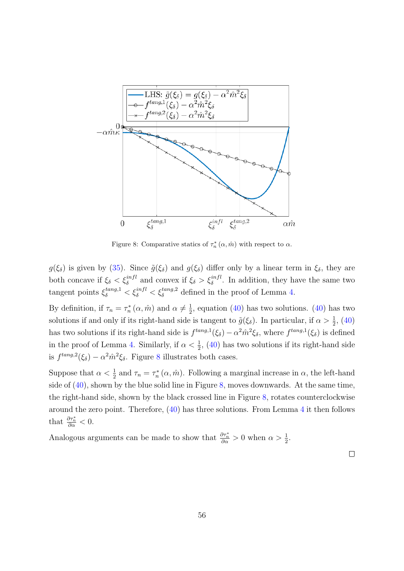<span id="page-56-0"></span>

Figure 8: Comparative statics of  $\tau_n^*(\alpha, \hat{m})$  with respect to  $\alpha$ .

 $g(\xi_{\delta})$  is given by [\(35\)](#page-45-2). Since  $\tilde{g}(\xi_{\delta})$  and  $g(\xi_{\delta})$  differ only by a linear term in  $\xi_{\delta}$ , they are both concave if  $\xi_{\delta} < \xi_{\delta}^{infl}$  and convex if  $\xi_{\delta} > \xi_{\delta}^{infl}$ . In addition, they have the same two tangent points  $\xi_{\delta}^{tang,1} < \xi_{\delta}^{infl} < \xi_{\delta}^{tang,2}$  defined in the proof of Lemma [4.](#page-50-0)

By definition, if  $\tau_n = \tau_n^* (\alpha, \hat{m})$  and  $\alpha \neq \frac{1}{2}$  $\frac{1}{2}$ , equation [\(40\)](#page-55-1) has two solutions. (40) has two solutions if and only if its right-hand side is tangent to  $\tilde{g}(\xi_{\delta})$ . In particular, if  $\alpha > \frac{1}{2}$ , [\(40\)](#page-55-1) has two solutions if its right-hand side is  $f^{tang,1}(\xi_{\delta}) - \alpha^2 \hat{m}^2 \xi_{\delta}$ , where  $f^{tang,1}(\xi_{\delta})$  is defined in the proof of Lemma [4.](#page-50-0) Similarly, if  $\alpha < \frac{1}{2}$ , [\(40\)](#page-55-1) has two solutions if its right-hand side is  $f^{tang,2}(\xi_{\delta}) - \alpha^2 \hat{m}^2 \xi_{\delta}$ . Figure [8](#page-56-0) illustrates both cases.

Suppose that  $\alpha < \frac{1}{2}$  and  $\tau_n = \tau_n^*(\alpha, \hat{m})$ . Following a marginal increase in  $\alpha$ , the left-hand side of [\(40\)](#page-55-1), shown by the blue solid line in Figure [8,](#page-56-0) moves downwards. At the same time, the right-hand side, shown by the black crossed line in Figure [8,](#page-56-0) rotates counterclockwise around the zero point. Therefore, [\(40\)](#page-55-1) has three solutions. From Lemma [4](#page-50-0) it then follows that  $\frac{\partial \tau_n^*}{\partial \alpha} < 0$ .

Analogous arguments can be made to show that  $\frac{\partial \tau_n^*}{\partial \alpha} > 0$  when  $\alpha > \frac{1}{2}$ .

 $\Box$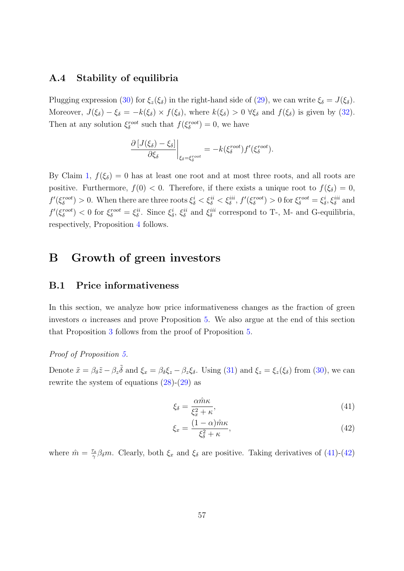# <span id="page-57-0"></span>A.4 Stability of equilibria

Plugging expression [\(30\)](#page-44-4) for  $\xi_z(\xi_\delta)$  in the right-hand side of [\(29\)](#page-43-4), we can write  $\xi_\delta = J(\xi_\delta)$ . Moreover,  $J(\xi_{\delta}) - \xi_{\delta} = -k(\xi_{\delta}) \times f(\xi_{\delta})$ , where  $k(\xi_{\delta}) > 0 \ \forall \xi_{\delta}$  and  $f(\xi_{\delta})$  is given by [\(32\)](#page-45-4). Then at any solution  $\xi_{\delta}^{root}$  such that  $f(\xi_{\delta}^{root}) = 0$ , we have

$$
\frac{\partial [J(\xi_{\delta}) - \xi_{\delta}]}{\partial \xi_{\delta}} \bigg|_{\xi_{\delta} = \xi_{\delta}^{root}} = -k(\xi_{\delta}^{root})f'(\xi_{\delta}^{root}).
$$

By Claim [1,](#page-44-3)  $f(\xi_{\delta}) = 0$  has at least one root and at most three roots, and all roots are positive. Furthermore,  $f(0) < 0$ . Therefore, if there exists a unique root to  $f(\xi_{\delta}) = 0$ ,  $f'(\xi_{\delta}^{root}) > 0$ . When there are three roots  $\xi_{\delta}^{i} < \xi_{\delta}^{ii} < \xi_{\delta}^{iii}$ ,  $f'(\xi_{\delta}^{root}) > 0$  for  $\xi_{\delta}^{root} = \xi_{\delta}^{i}$ ,  $\xi_{\delta}^{iii}$  and  $f'(\xi_{\delta}^{root}) < 0$  for  $\xi_{\delta}^{root} = \xi_{\delta}^{ii}$ . Since  $\xi_{\delta}^{i}$ ,  $\xi_{\delta}^{ii}$  and  $\xi_{\delta}^{iii}$  correspond to T-, M- and G-equilibria, respectively, Proposition [4](#page-21-0) follows.

# <span id="page-57-1"></span>B Growth of green investors

## B.1 Price informativeness

In this section, we analyze how price informativeness changes as the fraction of green investors  $\alpha$  increases and prove Proposition [5.](#page-21-2) We also argue at the end of this section that Proposition [3](#page-20-0) follows from the proof of Proposition [5.](#page-21-2)

## Proof of Proposition [5.](#page-21-2)

Denote  $\tilde{x} = \beta_{\delta}\tilde{z} - \beta_{z}\tilde{\delta}$  and  $\xi_{x} = \beta_{\delta}\xi_{z} - \beta_{z}\xi_{\delta}$ . Using [\(31\)](#page-44-2) and  $\xi_{z} = \xi_{z}(\xi_{\delta})$  from [\(30\)](#page-44-4), we can rewrite the system of equations  $(28)-(29)$  $(28)-(29)$  $(28)-(29)$  as

<span id="page-57-2"></span>
$$
\xi_{\delta} = \frac{\alpha \hat{m}\kappa}{\xi_x^2 + \kappa},\tag{41}
$$

<span id="page-57-3"></span>
$$
\xi_x = \frac{(1 - \alpha)\hat{m}\kappa}{\xi_{\delta}^2 + \kappa},\tag{42}
$$

where  $\hat{m} = \frac{\tau_s}{\gamma}$  $\frac{\sigma_s}{\gamma} \beta_{\delta} m$ . Clearly, both  $\xi_x$  and  $\xi_{\delta}$  are positive. Taking derivatives of [\(41\)](#page-57-2)-[\(42\)](#page-57-3)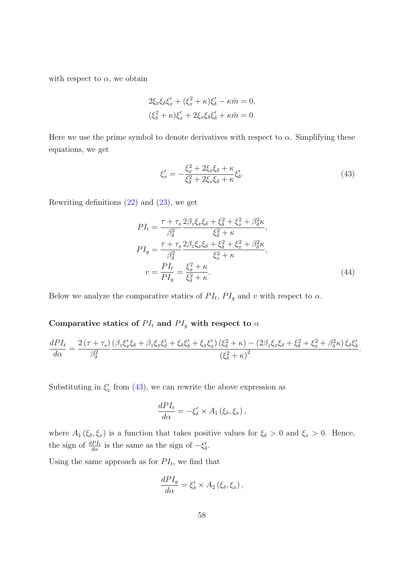with respect to  $\alpha$ , we obtain

$$
2\xi_x\xi_\delta\xi'_x + (\xi_x^2 + \kappa)\xi'_\delta - \kappa \hat{m} = 0,
$$
  

$$
(\xi_\delta^2 + \kappa)\xi'_x + 2\xi_x\xi_\delta\xi'_\delta + \kappa \hat{m} = 0.
$$

Here we use the prime symbol to denote derivatives with respect to  $\alpha$ . Simplifying these equations, we get

<span id="page-58-1"></span><span id="page-58-0"></span>
$$
\xi_x' = -\frac{\xi_x^2 + 2\xi_x \xi_\delta + \kappa}{\xi_\delta^2 + 2\xi_x \xi_\delta + \kappa} \xi_\delta'.\tag{43}
$$

Rewriting definitions [\(22\)](#page-20-1) and [\(23\)](#page-20-2), we get

$$
PI_{t} = \frac{\tau + \tau_{s}}{\beta_{\delta}^{2}} \frac{2\beta_{z}\xi_{x}\xi_{\delta} + \xi_{\delta}^{2} + \xi_{x}^{2} + \beta_{\delta}^{2}\kappa}{\xi_{\delta}^{2} + \kappa},
$$
  
\n
$$
PI_{g} = \frac{\tau + \tau_{s}}{\beta_{\delta}^{2}} \frac{2\beta_{z}\xi_{x}\xi_{\delta} + \xi_{\delta}^{2} + \xi_{x}^{2} + \beta_{\delta}^{2}\kappa}{\xi_{x}^{2} + \kappa},
$$
  
\n
$$
v = \frac{PI_{t}}{PI_{g}} = \frac{\xi_{x}^{2} + \kappa}{\xi_{\delta}^{2} + \kappa}.
$$
\n(44)

Below we analyze the comparative statics of  $PI_t$ ,  $PI_g$  and v with respect to  $\alpha$ .

# Comparative statics of  $PI_t$  and  $PI_g$  with respect to  $\alpha$

$$
\frac{dPI_t}{d\alpha} = \frac{2(\tau + \tau_s)}{\beta_\delta^2} \frac{(\beta_z \xi_x' \xi_\delta + \beta_z \xi_x \xi_\delta' + \xi_\delta \xi_\delta' + \xi_x \xi_x') (\xi_\delta^2 + \kappa) - (2\beta_z \xi_x \xi_\delta + \xi_\delta^2 + \xi_x^2 + \beta_\delta^2 \kappa) \xi_\delta \xi_\delta'}{(\xi_\delta^2 + \kappa)^2}.
$$

Substituting in  $\xi_x$  from [\(43\)](#page-58-0), we can rewrite the above expression as

$$
\frac{dPI_t}{d\alpha} = -\xi_{\delta}' \times A_1(\xi_{\delta}, \xi_x),
$$

where  $A_1(\xi_\delta, \xi_x)$  is a function that takes positive values for  $\xi_\delta > 0$  and  $\xi_x > 0$ . Hence, the sign of  $\frac{dPI_t}{d\alpha}$  is the same as the sign of  $-\xi'_\delta$ .

Using the same approach as for  $PI_t$ , we find that

$$
\frac{dPI_g}{d\alpha} = \xi_{\delta}' \times A_2 (\xi_{\delta}, \xi_x),
$$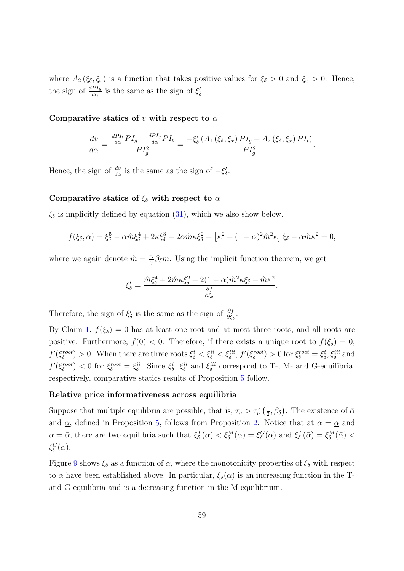where  $A_2(\xi_\delta,\xi_x)$  is a function that takes positive values for  $\xi_\delta > 0$  and  $\xi_x > 0$ . Hence, the sign of  $\frac{dPI_g}{d\alpha}$  is the same as the sign of  $\xi'_\delta$ .

#### Comparative statics of v with respect to  $\alpha$

$$
\frac{dv}{d\alpha} = \frac{\frac{dPI_t}{d\alpha}PI_g - \frac{dPI_g}{d\alpha}PI_t}{PI_g^2} = \frac{-\xi_\delta'\left(A_1\left(\xi_\delta, \xi_x\right)PI_g + A_2\left(\xi_\delta, \xi_x\right)PI_t\right)}{PI_g^2}.
$$

Hence, the sign of  $\frac{dv}{d\alpha}$  is the same as the sign of  $-\xi'_{\delta}$ .

#### Comparative statics of  $\xi_{\delta}$  with respect to  $\alpha$

 $\xi_{\delta}$  is implicitly defined by equation [\(31\)](#page-44-2), which we also show below.

$$
f(\xi_{\delta}, \alpha) = \xi_{\delta}^{5} - \alpha \hat{m} \xi_{\delta}^{4} + 2\kappa \xi_{\delta}^{3} - 2\alpha \hat{m} \kappa \xi_{\delta}^{2} + \left[ \kappa^{2} + (1 - \alpha)^{2} \hat{m}^{2} \kappa \right] \xi_{\delta} - \alpha \hat{m} \kappa^{2} = 0,
$$

where we again denote  $\hat{m} = \frac{\tau_s}{\gamma}$  $\frac{\sigma_s}{\gamma} \beta_{\delta} m$ . Using the implicit function theorem, we get

$$
\xi'_{\delta} = \frac{\hat{m}\xi_{\delta}^4 + 2\hat{m}\kappa\xi_{\delta}^2 + 2(1-\alpha)\hat{m}^2\kappa\xi_{\delta} + \hat{m}\kappa^2}{\frac{\partial f}{\partial\xi_{\delta}}}.
$$

Therefore, the sign of  $\xi'_{\delta}$  is the same as the sign of  $\frac{\partial f}{\partial \xi_{\delta}}$ .

By Claim [1,](#page-44-3)  $f(\xi_{\delta}) = 0$  has at least one root and at most three roots, and all roots are positive. Furthermore,  $f(0) < 0$ . Therefore, if there exists a unique root to  $f(\xi_{\delta}) = 0$ ,  $f'(\xi_{\delta}^{root}) > 0$ . When there are three roots  $\xi_{\delta}^{i} < \xi_{\delta}^{ii} < \xi_{\delta}^{iii}$ ,  $f'(\xi_{\delta}^{root}) > 0$  for  $\xi_{\delta}^{root} = \xi_{\delta}^{i}$ ,  $\xi_{\delta}^{iii}$  and  $f'(\xi_{\delta}^{root}) < 0$  for  $\xi_{\delta}^{root} = \xi_{\delta}^{ii}$ . Since  $\xi_{\delta}^{i}$ ,  $\xi_{\delta}^{ii}$  and  $\xi_{\delta}^{iii}$  correspond to T-, M- and G-equilibria, respectively, comparative statics results of Proposition [5](#page-21-2) follow.

#### Relative price informativeness across equilibria

Suppose that multiple equilibria are possible, that is,  $\tau_n > \tau_n^*$  ( $\frac{1}{2}$ )  $(\frac{1}{2}, \beta_{\delta})$ . The existence of  $\bar{\alpha}$ and  $\alpha$ , defined in Proposition [5,](#page-21-2) follows from Proposition [2.](#page-19-2) Notice that at  $\alpha = \alpha$  and  $\alpha = \bar{\alpha}$ , there are two equilibria such that  $\xi_{\delta}^{T}(\underline{\alpha}) < \xi_{\delta}^{M}(\underline{\alpha}) = \xi_{\delta}^{G}(\underline{\alpha})$  and  $\xi_{\delta}^{T}(\bar{\alpha}) = \xi_{\delta}^{M}(\bar{\alpha}) <$  $\xi^G_\delta(\bar{\alpha})$ .

Figure [9](#page-60-0) shows  $\xi_{\delta}$  as a function of  $\alpha$ , where the monotonicity properties of  $\xi_{\delta}$  with respect to  $\alpha$  have been established above. In particular,  $\xi_{\delta}(\alpha)$  is an increasing function in the Tand G-equilibria and is a decreasing function in the M-equilibrium.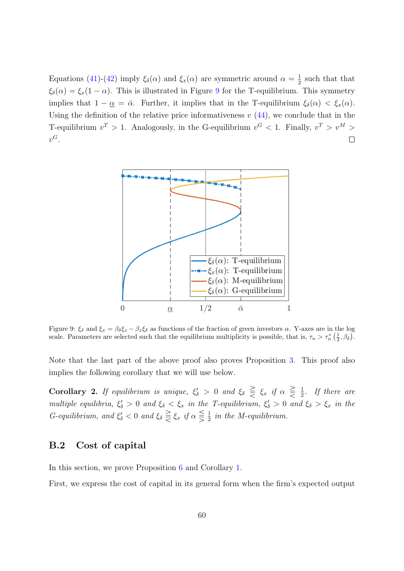Equations [\(41\)](#page-57-2)-[\(42\)](#page-57-3) imply  $\xi_{\delta}(\alpha)$  and  $\xi_{x}(\alpha)$  are symmetric around  $\alpha = \frac{1}{2}$  $\frac{1}{2}$  such that that  $\xi_{\delta}(\alpha) = \xi_{x}(1-\alpha)$ . This is illustrated in Figure [9](#page-60-0) for the T-equilibrium. This symmetry implies that  $1 - \underline{\alpha} = \overline{\alpha}$ . Further, it implies that in the T-equilibrium  $\xi_{\delta}(\alpha) < \xi_x(\alpha)$ . Using the definition of the relative price informativeness  $v(44)$  $v(44)$ , we conclude that in the T-equilibrium  $v^T > 1$ . Analogously, in the G-equilibrium  $v^G < 1$ . Finally,  $v^T > v^M > 1$  $v^G$ .  $\Box$ 

<span id="page-60-0"></span>

Figure 9:  $\xi_{\delta}$  and  $\xi_x = \beta_{\delta} \xi_z - \beta_z \xi_{\delta}$  as functions of the fraction of green investors  $\alpha$ . Y-axes are in the log scale. Parameters are selected such that the equilibrium multiplicity is possible, that is,  $\tau_n > \tau_n^* \left( \frac{1}{2}, \beta_{\delta} \right)$ .

Note that the last part of the above proof also proves Proposition [3.](#page-20-0) This proof also implies the following corollary that we will use below.

<span id="page-60-1"></span>Corollary 2. If equilibrium is unique,  $\xi'_\delta > 0$  and  $\xi_\delta \geq \xi_x$  if  $\alpha \geq \frac{1}{2}$  $rac{1}{2}$ . If there are multiple equilibria,  $\xi'_\delta > 0$  and  $\xi_\delta < \xi_x$  in the T-equilibrium,  $\xi'_\delta > 0$  and  $\xi_\delta > \xi_x$  in the G-equilibrium, and  $\xi_{\delta} < 0$  and  $\xi_{\delta} \geq \xi_x$  if  $\alpha \leq \frac{1}{2}$  $\frac{1}{2}$  in the M-equilibrium.

## B.2 Cost of capital

In this section, we prove Proposition [6](#page-24-0) and Corollary [1.](#page-25-0)

First, we express the cost of capital in its general form when the firm's expected output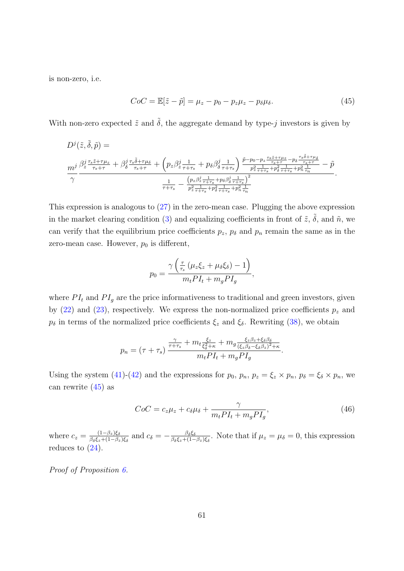is non-zero, i.e.

<span id="page-61-0"></span>
$$
CoC = \mathbb{E}[\tilde{z} - \tilde{p}] = \mu_z - p_0 - p_z \mu_z - p_\delta \mu_\delta. \tag{45}
$$

With non-zero expected  $\tilde{z}$  and  $\tilde{\delta}$ , the aggregate demand by type-j investors is given by

D j (˜z, ˜δ, p˜) = m<sup>j</sup> γ β j z τsz˜+τµz <sup>τ</sup>s+<sup>τ</sup> + β j δ τsδ˜+τµ<sup>δ</sup> <sup>τ</sup>s+<sup>τ</sup> + pzβ j z 1 τ+τs + pδβ j δ 1 τ+τs p˜−p0−p<sup>z</sup> τsz˜+τµz τs+<sup>τ</sup> <sup>−</sup>p<sup>δ</sup> τsδ˜+τµδ τs+τ p 2 z 1 τ+τs +p 2 δ 1 τ+τs +p 2 n 1 τn − p˜ 1 τ+τs − (<sup>p</sup>z<sup>β</sup> j z 1 τ+τs +pδβ j δ 1 τ+τs ) 2 p 2 z 1 τ+τs +p 2 δ 1 τ+τs +p 2 n 1 τn .

This expression is analogous to  $(27)$  in the zero-mean case. Plugging the above expression in the market clearing condition [\(3\)](#page-10-1) and equalizing coefficients in front of  $\tilde{z}$ ,  $\tilde{\delta}$ , and  $\tilde{n}$ , we can verify that the equilibrium price coefficients  $p_z$ ,  $p_\delta$  and  $p_n$  remain the same as in the zero-mean case. However,  $p_0$  is different,

$$
p_0 = \frac{\gamma \left(\frac{\tau}{\tau_s} \left(\mu_z \xi_z + \mu_\delta \xi_\delta\right) - 1\right)}{m_t P I_t + m_g P I_g},
$$

where  $PI_t$  and  $PI_g$  are the price informativeness to traditional and green investors, given by [\(22\)](#page-20-1) and [\(23\)](#page-20-2), respectively. We express the non-normalized price coefficients  $p_z$  and  $p_{\delta}$  in terms of the normalized price coefficients  $\xi_z$  and  $\xi_{\delta}$ . Rewriting [\(38\)](#page-53-2), we obtain

$$
p_n = (\tau + \tau_s) \frac{\frac{\gamma}{\tau + \tau_s} + m_t \frac{\xi_z}{\xi_\delta^2 + \kappa} + m_g \frac{\xi_z \beta_z + \xi_\delta \beta_\delta}{(\xi_z \beta_\delta - \xi_\delta \beta_z)^2 + \kappa}}{m_t P I_t + m_g P I_g}.
$$

Using the system [\(41\)](#page-57-2)-[\(42\)](#page-57-3) and the expressions for  $p_0$ ,  $p_n$ ,  $p_z = \xi_z \times p_n$ ,  $p_\delta = \xi_\delta \times p_n$ , we can rewrite  $(45)$  as

<span id="page-61-1"></span>
$$
CoC = c_z \mu_z + c_\delta \mu_\delta + \frac{\gamma}{m_t P I_t + m_g P I_g},\tag{46}
$$

where  $c_z = \frac{(1-\beta_z)\xi_\delta}{\beta_s \xi_z + (1-\beta_z)}$  $\frac{(1-\beta_z)\xi_\delta}{\beta_\delta \xi_z+(1-\beta_z)\xi_\delta}$  and  $c_\delta=-\frac{\beta_\delta \xi_\delta}{\beta_\delta \xi_z+(1-\beta_z)\xi_\delta}$  $\frac{\beta_{\delta}\xi_{\delta}}{\beta_{\delta}\xi_{z}+(1-\beta_{z})\xi_{\delta}}$ . Note that if  $\mu_{z}=\mu_{\delta}=0$ , this expression reduces to  $(24)$ .

Proof of Proposition [6.](#page-24-0)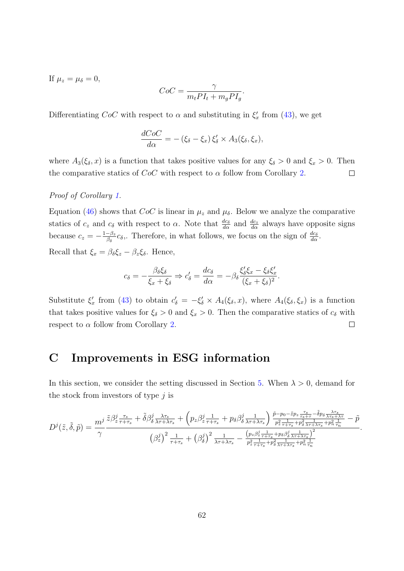If  $\mu_z = \mu_\delta = 0$ ,

$$
CoC = \frac{\gamma}{m_t P I_t + m_g P I_g}.
$$

Differentiating  $CoC$  with respect to  $\alpha$  and substituting in  $\xi_x'$  from [\(43\)](#page-58-0), we get

$$
\frac{dCoC}{d\alpha} = -(\xi_{\delta} - \xi_x) \xi'_{\delta} \times A_3(\xi_{\delta}, \xi_x),
$$

where  $A_3(\xi_\delta, x)$  is a function that takes positive values for any  $\xi_\delta > 0$  and  $\xi_x > 0$ . Then the comparative statics of  $CoC$  with respect to  $\alpha$  follow from Corollary [2.](#page-60-1)  $\Box$ 

## Proof of Corollary [1.](#page-25-0)

Equation [\(46\)](#page-61-1) shows that  $CoC$  is linear in  $\mu_z$  and  $\mu_\delta$ . Below we analyze the comparative statics of  $c_z$  and  $c_\delta$  with respect to  $\alpha$ . Note that  $\frac{dc_\delta}{d\alpha}$  and  $\frac{dc_z}{d\alpha}$  always have opposite signs because  $c_z = -\frac{1-\beta_z}{\beta_s}$  $\frac{-\beta_z}{\beta_\delta}c_\delta$ . Therefore, in what follows, we focus on the sign of  $\frac{dc_\delta}{d\alpha}$ .

Recall that  $\xi_x = \beta_\delta \xi_z - \beta_z \xi_\delta$ . Hence,

$$
c_{\delta} = -\frac{\beta_{\delta} \xi_{\delta}}{\xi_x + \xi_{\delta}} \Rightarrow c'_{\delta} = \frac{dc_{\delta}}{d\alpha} = -\beta_{\delta} \frac{\xi'_{\delta} \xi_x - \xi_{\delta} \xi'_x}{(\xi_x + \xi_{\delta})^2}.
$$

Substitute  $\xi'_x$  from [\(43\)](#page-58-0) to obtain  $c'_\delta = -\xi'_\delta \times A_4(\xi_\delta, x)$ , where  $A_4(\xi_\delta, \xi_x)$  is a function that takes positive values for  $\xi_{\delta} > 0$  and  $\xi_x > 0$ . Then the comparative statics of  $c_{\delta}$  with respect to  $\alpha$  follow from Corollary [2.](#page-60-1)  $\Box$ 

# <span id="page-62-0"></span>C Improvements in ESG information

In this section, we consider the setting discussed in Section [5.](#page-29-0) When  $\lambda > 0$ , demand for the stock from investors of type  $j$  is

$$
D^{j}(\tilde{z},\tilde{\delta},\tilde{p}) = \frac{m^{j}}{\gamma} \frac{\tilde{z}\beta_{z\tau+\tau_{s}}^{j} + \tilde{\delta}\beta_{\delta\lambda\tau+\lambda\tau_{s}}^{j} + \left(p_{z}\beta_{z\tau+\tau_{s}}^{j} + p_{\delta}\beta_{\delta\lambda\tau+\lambda\tau_{s}}^{j}\right) \frac{\tilde{p}-p_{0}-\tilde{z}p_{z\frac{\tau_{s}}{\tau_{s}+\tau}-\tilde{\delta}p_{\delta\lambda\tau_{s}+\lambda\tau_{s}}}{p_{z\frac{1}{\tau+\tau_{s}}+p_{\delta\lambda\tau+\lambda\tau_{s}}+p_{\delta\frac{1}{\tau_{s}+\lambda\tau_{s}}}} - \tilde{p}}{\left(\beta_{z}^{j}\right)^{2}\frac{1}{\tau+\tau_{s}} + \left(\beta_{\delta}^{j}\right)^{2}\frac{1}{\lambda\tau+\lambda\tau_{s}} - \frac{\left(p_{z}\beta_{z\frac{1}{\tau+\tau_{s}}+p_{\delta}\beta_{\delta\lambda\tau+\lambda\tau_{s}}^{j}\right)^{2}}{p_{z\frac{1}{\tau+\tau_{s}}+p_{\delta\lambda\tau+\lambda\tau_{s}}+p_{\delta\frac{1}{\tau_{s}+\lambda\tau_{s}}}}}
$$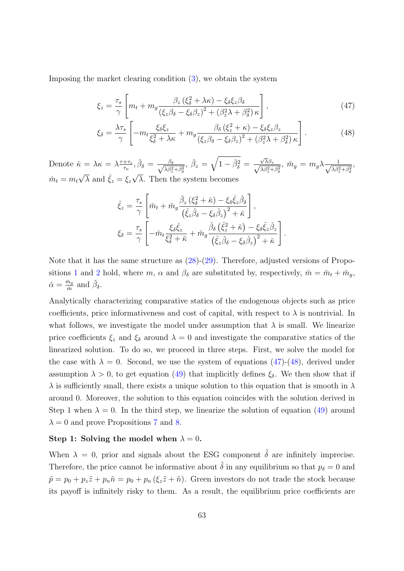Imposing the market clearing condition [\(3\)](#page-10-1), we obtain the system

<span id="page-63-0"></span>
$$
\xi_z = \frac{\tau_s}{\gamma} \left[ m_t + m_g \frac{\beta_z (\xi_\delta^2 + \lambda \kappa) - \xi_\delta \xi_z \beta_\delta}{(\xi_z \beta_\delta - \xi_\delta \beta_z)^2 + (\beta_z^2 \lambda + \beta_\delta^2) \kappa} \right],\tag{47}
$$

$$
\xi_{\delta} = \frac{\lambda \tau_s}{\gamma} \left[ -m_t \frac{\xi_{\delta} \xi_z}{\xi_{\delta}^2 + \lambda \kappa} + m_g \frac{\beta_{\delta} \left(\xi_z^2 + \kappa\right) - \xi_{\delta} \xi_z \beta_z}{\left(\xi_z \beta_{\delta} - \xi_{\delta} \beta_z\right)^2 + \left(\beta_z^2 \lambda + \beta_{\delta}^2\right) \kappa} \right].
$$
 (48)

Denote  $\check{\kappa} = \lambda \kappa = \lambda \frac{\tau + \tau_s}{\tau_s}$  $\frac{+\tau_s}{\tau_n}, \check{\beta}_{\delta} = \frac{\beta_{\delta}}{\sqrt{\lambda \beta_s^2}}$  $\lambda \beta_z^2 + \beta_\delta^2$ ,  $\check{\beta}_z = \sqrt{1-\check{\beta}_\delta^2}$  =  $\frac{\sqrt{\lambda} \beta_z}{\sqrt{\lambda^2 + \lambda^2}}$  $\frac{\sqrt{\lambda}\beta_z}{\lambda\beta_z^2+\beta_\delta^2},\ \check{m}_g\,=\,m_g\lambda \frac{1}{\sqrt{\lambda\beta_z^2}}$  $\lambda \beta_z^2 + \beta_\delta^2$ ,  $\tilde{m}_t = m_t \sqrt{\lambda}$  and  $\check{\xi}_z = \xi_z \sqrt{\lambda}$ . Then the system becomes  $\sqrt{\frac{1}{n}}$  →  $\sqrt{\frac{1}{n}}$  →  $\sqrt{\frac{1}{n}}$ 

<span id="page-63-1"></span>
$$
\check{\xi}_{z} = \frac{\tau_{s}}{\gamma} \left[ \check{m}_{t} + \check{m}_{g} \frac{\check{\beta}_{z} \left(\xi_{\delta}^{2} + \check{\kappa}\right) - \xi_{\delta} \check{\xi}_{z} \check{\beta}_{\delta}}{\left(\check{\xi}_{z} \check{\beta}_{\delta} - \xi_{\delta} \check{\beta}_{z}\right)^{2} + \check{\kappa}} \right],
$$
\n
$$
\xi_{\delta} = \frac{\tau_{s}}{\gamma} \left[ -\check{m}_{t} \frac{\xi_{\delta} \check{\xi}_{z}}{\xi_{\delta}^{2} + \check{\kappa}} + \check{m}_{g} \frac{\check{\beta}_{\delta} \left(\check{\xi}_{z}^{2} + \check{\kappa}\right) - \xi_{\delta} \check{\xi}_{z} \check{\beta}_{z}}{\left(\check{\xi}_{z} \check{\beta}_{\delta} - \xi_{\delta} \check{\beta}_{z}\right)^{2} + \check{\kappa}} \right].
$$

Note that it has the same structure as  $(28)-(29)$  $(28)-(29)$  $(28)-(29)$ . Therefore, adjusted versions of Propo-sitions [1](#page-19-1) and [2](#page-19-2) hold, where m,  $\alpha$  and  $\beta_{\delta}$  are substituted by, respectively,  $\tilde{m} = \tilde{m}_t + \tilde{m}_g$ ,  $\check{\alpha} = \frac{\check{m}_g}{\check{m}}$  $\frac{\check{n}_g}{\check{m}}$  and  $\check{\beta}_{\delta}$ .

Analytically characterizing comparative statics of the endogenous objects such as price coefficients, price informativeness and cost of capital, with respect to  $\lambda$  is nontrivial. In what follows, we investigate the model under assumption that  $\lambda$  is small. We linearize price coefficients  $\xi_z$  and  $\xi_\delta$  around  $\lambda = 0$  and investigate the comparative statics of the linearized solution. To do so, we proceed in three steps. First, we solve the model for the case with  $\lambda = 0$ . Second, we use the system of equations [\(47\)](#page-63-0)-[\(48\)](#page-63-1), derived under assumption  $\lambda > 0$ , to get equation [\(49\)](#page-64-0) that implicitly defines  $\xi_{\delta}$ . We then show that if  $\lambda$  is sufficiently small, there exists a unique solution to this equation that is smooth in  $\lambda$ around 0. Moreover, the solution to this equation coincides with the solution derived in Step 1 when  $\lambda = 0$ . In the third step, we linearize the solution of equation [\(49\)](#page-64-0) around  $\lambda = 0$  and prove Propositions [7](#page-30-0) and [8.](#page-31-0)

### Step 1: Solving the model when  $\lambda = 0$ .

When  $\lambda = 0$ , prior and signals about the ESG component  $\tilde{\delta}$  are infinitely imprecise. Therefore, the price cannot be informative about  $\tilde{\delta}$  in any equilibrium so that  $p_{\delta} = 0$  and  $\tilde{p} = p_0 + p_z \tilde{z} + p_n \tilde{n} = p_0 + p_n (\xi_z \tilde{z} + \tilde{n}).$  Green investors do not trade the stock because its payoff is infinitely risky to them. As a result, the equilibrium price coefficients are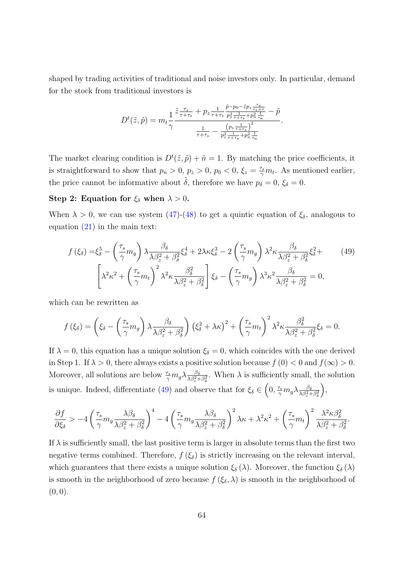shaped by trading activities of traditional and noise investors only. In particular, demand for the stock from traditional investors is

<span id="page-64-0"></span>
$$
D^{t}(\tilde{z},\tilde{p}) = m_{t} \frac{1}{\gamma} \frac{\tilde{z} \frac{\tau_{s}}{\tau + \tau_{s}} + p_{z} \frac{1}{\tau + \tau_{s}} \frac{\tilde{p} - p_{0} - \tilde{z} p_{z} \frac{\tau_{s}}{\tau_{s} + \tau}}{p_{z}^{2} \frac{1}{\tau + \tau_{s}} + p_{n}^{2} \frac{1}{\tau_{n}}} - \tilde{p}}{\frac{1}{\tau + \tau_{s}} - \frac{\left(p_{z} \frac{1}{\tau + \tau_{s}}\right)^{2}}{p_{z}^{2} \frac{1}{\tau + \tau_{s}} + p_{n}^{2} \frac{1}{\tau_{n}}}.
$$

The market clearing condition is  $D^t(\tilde{z}, \tilde{p}) + \tilde{n} = 1$ . By matching the price coefficients, it is straightforward to show that  $p_n > 0$ ,  $p_z > 0$ ,  $p_0 < 0$ ,  $\xi_z = \frac{\tau_s}{\gamma}$  $\frac{\tau_s}{\gamma}m_t$ . As mentioned earlier, the price cannot be informative about  $\tilde{\delta}$ , therefore we have  $p_{\delta} = 0$ ,  $\xi_{\delta} = 0$ .

# Step 2: Equation for  $\xi_{\delta}$  when  $\lambda > 0$ .

When  $\lambda > 0$ , we can use system  $(47)-(48)$  $(47)-(48)$  $(47)-(48)$  to get a quintic equation of  $\xi_{\delta}$ , analogous to equation [\(21\)](#page-19-0) in the main text:

$$
f(\xi_{\delta}) = \xi_{\delta}^{5} - \left(\frac{\tau_{s}}{\gamma}m_{g}\right)\lambda \frac{\beta_{\delta}}{\lambda\beta_{z}^{2} + \beta_{\delta}^{2}}\xi_{\delta}^{4} + 2\lambda\kappa\xi_{\delta}^{3} - 2\left(\frac{\tau_{s}}{\gamma}m_{g}\right)\lambda^{2}\kappa \frac{\beta_{\delta}}{\lambda\beta_{z}^{2} + \beta_{\delta}^{2}}\xi_{\delta}^{2} + \left(\frac{49}{\gamma}m_{t}\right)^{2}\lambda^{2}\kappa \frac{\beta_{\delta}^{2}}{\lambda\beta_{z}^{2} + \beta_{\delta}^{2}}\xi_{\delta} - \left(\frac{\tau_{s}}{\gamma}m_{g}\right)\lambda^{3}\kappa^{2} \frac{\beta_{\delta}}{\lambda\beta_{z}^{2} + \beta_{\delta}^{2}} = 0,
$$
\n(49)

which can be rewritten as

$$
f(\xi_{\delta}) = \left(\xi_{\delta} - \left(\frac{\tau_s}{\gamma}m_g\right)\lambda \frac{\beta_{\delta}}{\lambda \beta_{z}^{2} + \beta_{\delta}^{2}}\right)\left(\xi_{\delta}^{2} + \lambda \kappa\right)^{2} + \left(\frac{\tau_s}{\gamma}m_t\right)^{2}\lambda^{2}\kappa \frac{\beta_{\delta}^{2}}{\lambda \beta_{z}^{2} + \beta_{\delta}^{2}}\xi_{\delta} = 0.
$$

If  $\lambda = 0$ , this equation has a unique solution  $\xi_{\delta} = 0$ , which coincides with the one derived in Step 1. If  $\lambda > 0$ , there always exists a positive solution because  $f(0) < 0$  and  $f(\infty) > 0$ . Moreover, all solutions are below  $\frac{\tau_s}{\gamma} m_g \lambda \frac{\beta_\delta}{\lambda \beta_s^2 + \gamma}$  $\frac{\beta_{\delta}}{\lambda\beta_{z}^{2}+\beta_{\delta}^{2}}$ . When  $\lambda$  is sufficiently small, the solution is unique. Indeed, differentiate [\(49\)](#page-64-0) and observe that for  $\xi_{\delta} \in (0, \frac{\tau_s}{\gamma})$  $\frac{\tau_s}{\gamma} m_g \lambda \frac{\beta_\delta}{\lambda \beta_z^2 +}$  $\overline{\lambda \beta_z^2 + \beta_\delta^2}$  $\big),$ 

$$
\frac{\partial f}{\partial \xi_\delta} > -4 \left(\frac{\tau_s}{\gamma} m_g \frac{\lambda \beta_\delta}{\lambda \beta_z^2 + \beta_\delta^2}\right)^4 - 4 \left(\frac{\tau_s}{\gamma} m_g \frac{\lambda \beta_\delta}{\lambda \beta_z^2 + \beta_\delta^2}\right)^2 \lambda \kappa + \lambda^2 \kappa^2 + \left(\frac{\tau_s}{\gamma} m_t\right)^2 \frac{\lambda^2 \kappa \beta_\delta^2}{\lambda \beta_z^2 + \beta_\delta^2}.
$$

If  $\lambda$  is sufficiently small, the last positive term is larger in absolute terms than the first two negative terms combined. Therefore,  $f(\xi_{\delta})$  is strictly increasing on the relevant interval, which guarantees that there exists a unique solution  $\xi_{\delta}(\lambda)$ . Moreover, the function  $\xi_{\delta}(\lambda)$ is smooth in the neighborhood of zero because  $f(\xi_{\delta},\lambda)$  is smooth in the neighborhood of  $(0, 0).$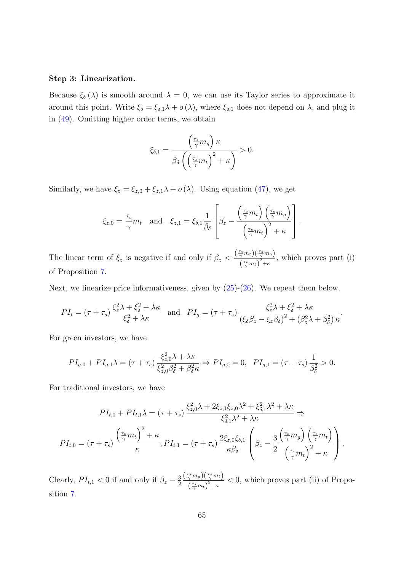### Step 3: Linearization.

Because  $\xi_{\delta}(\lambda)$  is smooth around  $\lambda = 0$ , we can use its Taylor series to approximate it around this point. Write  $\xi_{\delta} = \xi_{\delta,1} \lambda + o(\lambda)$ , where  $\xi_{\delta,1}$  does not depend on  $\lambda$ , and plug it in [\(49\)](#page-64-0). Omitting higher order terms, we obtain

$$
\xi_{\delta,1} = \frac{\left(\frac{\tau_s}{\gamma}m_g\right)\kappa}{\beta_{\delta}\left(\left(\frac{\tau_s}{\gamma}m_t\right)^2 + \kappa\right)} > 0.
$$

Similarly, we have  $\xi_z = \xi_{z,0} + \xi_{z,1}\lambda + o(\lambda)$ . Using equation [\(47\)](#page-63-0), we get

$$
\xi_{z,0} = \frac{\tau_s}{\gamma} m_t \text{ and } \xi_{z,1} = \xi_{\delta,1} \frac{1}{\beta_{\delta}} \left[ \beta_z - \frac{\left(\frac{\tau_s}{\gamma} m_t\right) \left(\frac{\tau_s}{\gamma} m_g\right)}{\left(\frac{\tau_s}{\gamma} m_t\right)^2 + \kappa} \right].
$$

The linear term of  $\xi_z$  is negative if and only if  $\beta_z < \frac{\left(\frac{\tau_s}{\gamma} m_t\right)\left(\frac{\tau_s}{\gamma} m_g\right)}{\left(\frac{\tau_s}{\gamma}\right)^2}$  $\frac{\gamma^{m_t} \int (\gamma^{m_t})^2}{(\gamma^{m_t})^2 + \kappa}$ , which proves part (i) of Proposition [7.](#page-30-0)

Next, we linearize price informativeness, given by [\(25\)](#page-30-1)-[\(26\)](#page-30-2). We repeat them below.

$$
PI_t = (\tau + \tau_s) \frac{\xi_z^2 \lambda + \xi_\delta^2 + \lambda \kappa}{\xi_\delta^2 + \lambda \kappa} \text{ and } PI_g = (\tau + \tau_s) \frac{\xi_z^2 \lambda + \xi_\delta^2 + \lambda \kappa}{(\xi_\delta \beta_z - \xi_z \beta_\delta)^2 + (\beta_z^2 \lambda + \beta_\delta^2) \kappa}.
$$

For green investors, we have

$$
PI_{g,0} + PI_{g,1}\lambda = (\tau + \tau_s) \frac{\xi_{z,0}^2 \lambda + \lambda \kappa}{\xi_{z,0}^2 \beta_{\delta}^2 + \beta_{\delta}^2 \kappa} \Rightarrow PI_{g,0} = 0, \ \ PI_{g,1} = (\tau + \tau_s) \frac{1}{\beta_{\delta}^2} > 0.
$$

For traditional investors, we have

$$
PI_{t,0} + PI_{t,1}\lambda = (\tau + \tau_s) \frac{\xi_{z,0}^2 \lambda + 2\xi_{z,1}\xi_{z,0}\lambda^2 + \xi_{\delta,1}^2 \lambda^2 + \lambda \kappa}{\xi_{\delta,1}^2 \lambda^2 + \lambda \kappa} \Rightarrow
$$
  
\n
$$
PI_{t,0} = (\tau + \tau_s) \frac{\left(\frac{\tau_s}{\gamma}m_t\right)^2 + \kappa}{\kappa}, PI_{t,1} = (\tau + \tau_s) \frac{2\xi_{z,0}\xi_{\delta,1}}{\kappa \beta_{\delta}} \left(\beta_z - \frac{3}{2} \frac{\left(\frac{\tau_s}{\gamma}m_g\right)\left(\frac{\tau_s}{\gamma}m_t\right)}{\left(\frac{\tau_s}{\gamma}m_t\right)^2 + \kappa}\right).
$$

Clearly,  $PI_{t,1} < 0$  if and only if  $\beta_z - \frac{3}{2}$ 2  $\left(\frac{\tau_s}{\gamma}m_g\right)\left(\frac{\tau_s}{\gamma}m_t\right)$  $\frac{\gamma^{mg} \sqrt{\gamma^{m_t}}}{(\frac{\tau_s}{\gamma}m_t)^2 + \kappa}$  < 0, which proves part (ii) of Proposition [7.](#page-30-0)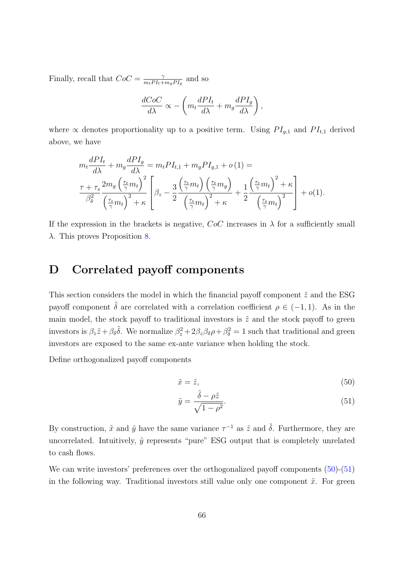Finally, recall that  $CoC = \frac{2}{m_1PL_+}$  $\frac{\gamma}{m_tPI_t+m_gPI_g}$  and so

$$
\frac{dCoC}{d\lambda} \propto -\left(m_t \frac{dPI_t}{d\lambda} + m_g \frac{dPI_g}{d\lambda}\right),\,
$$

where  $\propto$  denotes proportionality up to a positive term. Using  $PI_{g,1}$  and  $PI_{t,1}$  derived above, we have

$$
m_t \frac{dPI_t}{d\lambda} + m_g \frac{dPI_g}{d\lambda} = m_t PI_{t,1} + m_g PI_{g,1} + o(1) =
$$
  

$$
\frac{\tau + \tau_s}{\beta_\delta^2} \frac{2m_g \left(\frac{\tau_s}{\gamma} m_t\right)^2}{\left(\frac{\tau_s}{\gamma} m_t\right)^2 + \kappa} \left[\beta_z - \frac{3}{2} \frac{\left(\frac{\tau_s}{\gamma} m_t\right) \left(\frac{\tau_s}{\gamma} m_g\right)}{\left(\frac{\tau_s}{\gamma} m_t\right)^2 + \kappa} + \frac{1}{2} \frac{\left(\frac{\tau_s}{\gamma} m_t\right)^2 + \kappa}{\left(\frac{\tau_s}{\gamma} m_t\right)^2}\right] + o(1).
$$

If the expression in the brackets is negative,  $CoC$  increases in  $\lambda$  for a sufficiently small λ. This proves Proposition [8.](#page-31-0)

# <span id="page-66-0"></span>D Correlated payoff components

This section considers the model in which the financial payoff component  $\tilde{z}$  and the ESG payoff component  $\tilde{\delta}$  are correlated with a correlation coefficient  $\rho \in (-1,1)$ . As in the main model, the stock payoff to traditional investors is  $\tilde{z}$  and the stock payoff to green investors is  $\beta_z \tilde{z} + \beta_\delta \tilde{\delta}$ . We normalize  $\beta_z^2 + 2\beta_z \beta_\delta \rho + \beta_\delta^2 = 1$  such that traditional and green investors are exposed to the same ex-ante variance when holding the stock.

Define orthogonalized payoff components

<span id="page-66-1"></span>
$$
\tilde{x} = \tilde{z},\tag{50}
$$

<span id="page-66-2"></span>
$$
\tilde{y} = \frac{\tilde{\delta} - \rho \tilde{z}}{\sqrt{1 - \rho^2}}.
$$
\n(51)

By construction,  $\tilde{x}$  and  $\tilde{y}$  have the same variance  $\tau^{-1}$  as  $\tilde{z}$  and  $\tilde{\delta}$ . Furthermore, they are uncorrelated. Intuitively,  $\tilde{y}$  represents "pure" ESG output that is completely unrelated to cash flows.

We can write investors' preferences over the orthogonalized payoff components  $(50)$ - $(51)$ in the following way. Traditional investors still value only one component  $\tilde{x}$ . For green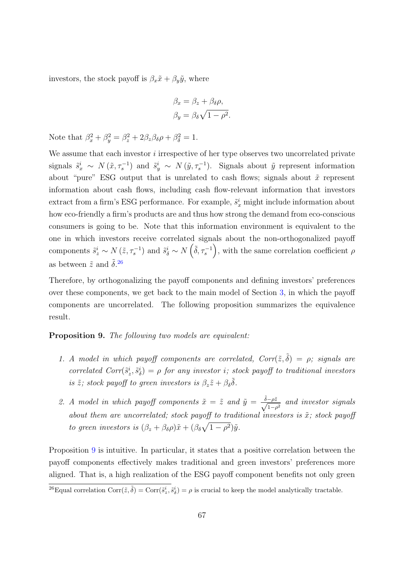investors, the stock payoff is  $\beta_x \tilde{x} + \beta_y \tilde{y}$ , where

$$
\beta_x = \beta_z + \beta_\delta \rho,
$$
  

$$
\beta_y = \beta_\delta \sqrt{1 - \rho^2}.
$$

Note that  $\beta_x^2 + \beta_y^2 = \beta_z^2 + 2\beta_z\beta_\delta\rho + \beta_\delta^2 = 1$ .

We assume that each investor  $i$  irrespective of her type observes two uncorrelated private signals  $\tilde{s}_x^i \sim N(\tilde{x}, \tau_s^{-1})$  and  $\tilde{s}_y^i \sim N(\tilde{y}, \tau_s^{-1})$ . Signals about  $\tilde{y}$  represent information about "pure" ESG output that is unrelated to cash flows; signals about  $\tilde{x}$  represent information about cash flows, including cash flow-relevant information that investors extract from a firm's ESG performance. For example,  $\tilde{s}_x^i$  might include information about how eco-friendly a firm's products are and thus how strong the demand from eco-conscious consumers is going to be. Note that this information environment is equivalent to the one in which investors receive correlated signals about the non-orthogonalized payoff components  $\tilde{s}^i_z \sim N(\tilde{z}, \tau_s^{-1})$  and  $\tilde{s}^i_\delta \sim N(\tilde{\delta}, \tau_s^{-1}),$  with the same correlation coefficient  $\rho$ as between  $\tilde{z}$  and  $\tilde{\delta}$ .<sup>[26](#page-67-0)</sup>

Therefore, by orthogonalizing the payoff components and defining investors' preferences over these components, we get back to the main model of Section [3,](#page-17-0) in which the payoff components are uncorrelated. The following proposition summarizes the equivalence result.

<span id="page-67-1"></span>Proposition 9. The following two models are equivalent:

- 1. A model in which payoff components are correlated,  $Corr(\tilde{z}, \tilde{\delta}) = \rho$ ; signals are correlated  $Corr(\tilde{s}_z^i, \tilde{s}_\delta^i) = \rho$  for any investor i; stock payoff to traditional investors is  $\tilde{z}$ ; stock payoff to green investors is  $\beta_z \tilde{z} + \beta_\delta \tilde{\delta}$ .
- 2. A model in which payoff components  $\tilde{x} = \tilde{z}$  and  $\tilde{y} = \frac{\tilde{\delta} \rho \tilde{z}}{\sqrt{2}}$  $\frac{-\rho z}{1-\rho^2}$  and investor signals about them are uncorrelated; stock payoff to traditional investors is  $\tilde{x}$ ; stock payoff to green investors is  $(\beta_z + \beta_\delta \rho) \tilde{x} + (\beta_\delta \sqrt{1 - \rho^2}) \tilde{y}$ .

Proposition [9](#page-67-1) is intuitive. In particular, it states that a positive correlation between the payoff components effectively makes traditional and green investors' preferences more aligned. That is, a high realization of the ESG payoff component benefits not only green

<span id="page-67-0"></span><sup>&</sup>lt;sup>26</sup>Equal correlation Corr $(\tilde{z}, \tilde{\delta})$  = Corr $(\tilde{s}_z^i, \tilde{s}_\delta^i) = \rho$  is crucial to keep the model analytically tractable.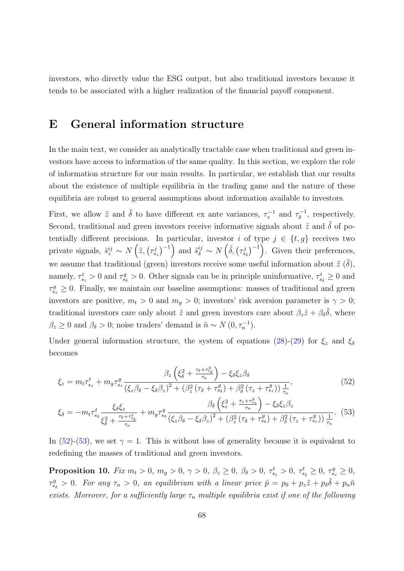investors, who directly value the ESG output, but also traditional investors because it tends to be associated with a higher realization of the financial payoff component.

# <span id="page-68-0"></span>E General information structure

In the main text, we consider an analytically tractable case when traditional and green investors have access to information of the same quality. In this section, we explore the role of information structure for our main results. In particular, we establish that our results about the existence of multiple equilibria in the trading game and the nature of these equilibria are robust to general assumptions about information available to investors.

First, we allow  $\tilde{z}$  and  $\tilde{\delta}$  to have different ex ante variances,  $\tau_z^{-1}$  and  $\tau_\delta^{-1}$  $\delta^{-1}$ , respectively. Second, traditional and green investors receive informative signals about  $\tilde{z}$  and  $\tilde{\delta}$  of potentially different precisions. In particular, investor i of type  $j \in \{t, g\}$  receives two private signals,  $\tilde{s}^{ij}_z \sim N\left(\tilde{z}, \left(\tau_{s_z}^j\right)^{-1}\right)$  and  $\tilde{s}^{ij}_\delta \sim N\left(\tilde{\delta}, \left(\tau_{s_\delta}^j\right)^{-1}\right)$ . Given their preferences, we assume that traditional (green) investors receive some useful information about  $\tilde{z}(\tilde{\delta})$ , namely,  $\tau_{s_z}^t > 0$  and  $\tau_{s_\delta}^g > 0$ . Other signals can be in principle uninformative,  $\tau_{s_\delta}^t \geq 0$  and  $\tau_{s_z}^g \geq 0$ . Finally, we maintain our baseline assumptions: masses of traditional and green investors are positive,  $m_t > 0$  and  $m_g > 0$ ; investors' risk aversion parameter is  $\gamma > 0$ ; traditional investors care only about  $\tilde{z}$  and green investors care about  $\beta_z \tilde{z} + \beta_\delta \tilde{\delta}$ , where  $\beta_z \geq 0$  and  $\beta_\delta > 0$ ; noise traders' demand is  $\tilde{n} \sim N(0, \tau_n^{-1})$ .

Under general information structure, the system of equations [\(28\)](#page-43-3)-[\(29\)](#page-43-4) for  $\xi_z$  and  $\xi_\delta$ becomes

<span id="page-68-1"></span>
$$
\xi_z = m_t \tau_{s_z}^t + m_g \tau_{s_z}^g \frac{\beta_z \left(\xi_\delta^2 + \frac{\tau_\delta + \tau_{s_\delta}^g}{\tau_n}\right) - \xi_\delta \xi_z \beta_\delta}{\left(\xi_z \beta_\delta - \xi_\delta \beta_z\right)^2 + \left(\beta_z^2 \left(\tau_\delta + \tau_{s_\delta}^g\right) + \beta_\delta^2 \left(\tau_z + \tau_{s_z}^g\right)\right) \frac{1}{\tau_n}},\tag{52}
$$

<span id="page-68-2"></span>
$$
\xi_{\delta} = -m_{t}\tau_{ss}^{t} \frac{\xi_{\delta}\xi_{z}}{\xi_{\delta}^{2} + \frac{\tau_{\delta} + \tau_{s_{\delta}}^{t}}{\tau_{n}}} + m_{g}\tau_{ss}^{g} \frac{\beta_{\delta}\left(\xi_{z}^{2} + \frac{\tau_{z} + \tau_{s_{z}}^{g}}{\tau_{n}}\right) - \xi_{\delta}\xi_{z}\beta_{z}}{\left(\xi_{z}\beta_{\delta} - \xi_{\delta}\beta_{z}\right)^{2} + \left(\beta_{z}^{2}\left(\tau_{\delta} + \tau_{s_{\delta}}^{g}\right) + \beta_{\delta}^{2}\left(\tau_{z} + \tau_{s_{z}}^{g}\right)\right)\frac{1}{\tau_{n}}}. \tag{53}
$$

In [\(52\)](#page-68-1)-[\(53\)](#page-68-2), we set  $\gamma = 1$ . This is without loss of generality because it is equivalent to redefining the masses of traditional and green investors.

<span id="page-68-3"></span>**Proposition 10.** Fix  $m_t > 0$ ,  $m_g > 0$ ,  $\gamma > 0$ ,  $\beta_z \ge 0$ ,  $\beta_{\delta} > 0$ ,  $\tau_{s_z}^t > 0$ ,  $\tau_{s_{\delta}}^t \ge 0$ ,  $\tau_{s_z}^g \ge 0$ ,  $\tau_{s\delta}^g > 0$ . For any  $\tau_n > 0$ , an equilibrium with a linear price  $\tilde{p} = p_0 + p_z \tilde{z} + p_\delta \tilde{\delta} + p_n \tilde{n}$ exists. Moreover, for a sufficiently large  $\tau_n$  multiple equilibria exist if one of the following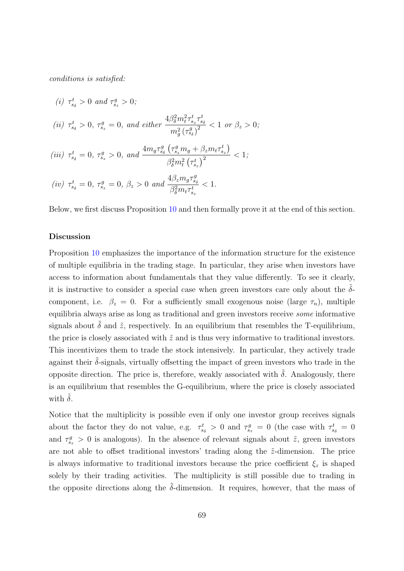conditions is satisfied:

(i) 
$$
\tau_{s_{\delta}}^{t} > 0
$$
 and  $\tau_{s_{z}}^{g} > 0$ ;  
\n(ii)  $\tau_{s_{\delta}}^{t} > 0$ ,  $\tau_{s_{z}}^{g} = 0$ , and either  $\frac{4\beta_{\delta}^{2}m_{t}^{2}\tau_{s_{z}}^{t}\tau_{s_{\delta}}^{t}}{m_{g}^{2}(\tau_{s_{\delta}}^{g})^{2}} < 1$  or  $\beta_{z} > 0$ ;  
\n(iii)  $\tau_{s_{\delta}}^{t} = 0$ ,  $\tau_{s_{z}}^{g} > 0$ , and  $\frac{4m_{g}\tau_{s_{\delta}}^{g}(\tau_{s_{z}}^{g}m_{g} + \beta_{z}m_{t}\tau_{s_{z}}^{t})}{\beta_{\delta}^{2}m_{t}^{2}(\tau_{s_{z}}^{t})^{2}} < 1$ ;  
\n(iv)  $\tau_{s_{\delta}}^{t} = 0$ ,  $\tau_{s_{z}}^{g} = 0$ ,  $\beta_{z} > 0$  and  $\frac{4\beta_{z}m_{g}\tau_{s_{\delta}}^{g}}{\beta_{\delta}^{2}m_{t}\tau_{s_{z}}^{t}} < 1$ .

Below, we first discuss Proposition [10](#page-68-3) and then formally prove it at the end of this section.

## Discussion

Proposition [10](#page-68-3) emphasizes the importance of the information structure for the existence of multiple equilibria in the trading stage. In particular, they arise when investors have access to information about fundamentals that they value differently. To see it clearly, it is instructive to consider a special case when green investors care only about the  $\delta$ component, i.e.  $\beta_z = 0$ . For a sufficiently small exogenous noise (large  $\tau_n$ ), multiple equilibria always arise as long as traditional and green investors receive some informative signals about  $\delta$  and  $\tilde{z}$ , respectively. In an equilibrium that resembles the T-equilibrium, the price is closely associated with  $\tilde{z}$  and is thus very informative to traditional investors. This incentivizes them to trade the stock intensively. In particular, they actively trade against their  $\delta$ -signals, virtually offsetting the impact of green investors who trade in the opposite direction. The price is, therefore, weakly associated with  $\tilde{\delta}$ . Analogously, there is an equilibrium that resembles the G-equilibrium, where the price is closely associated with  $\delta$ .

Notice that the multiplicity is possible even if only one investor group receives signals about the factor they do not value, e.g.  $\tau_{s_{\delta}}^t > 0$  and  $\tau_{s_z}^g = 0$  (the case with  $\tau_{s_{\delta}}^t = 0$ and  $\tau_{s_z}^g > 0$  is analogous). In the absence of relevant signals about  $\tilde{z}$ , green investors are not able to offset traditional investors' trading along the  $\tilde{z}$ -dimension. The price is always informative to traditional investors because the price coefficient  $\xi_z$  is shaped solely by their trading activities. The multiplicity is still possible due to trading in the opposite directions along the  $\delta$ -dimension. It requires, however, that the mass of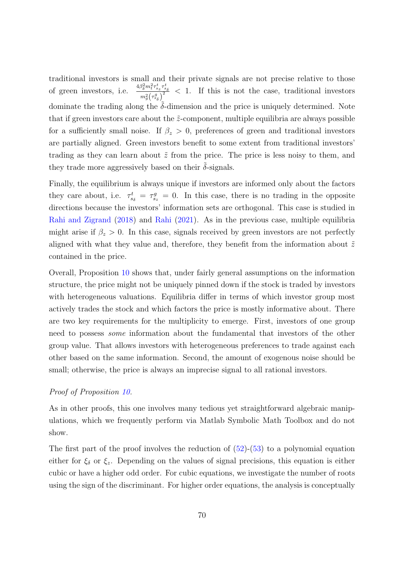traditional investors is small and their private signals are not precise relative to those of green investors, i.e.  $\frac{4\beta_0^2 m_t^2 \tau_{s_z}^t \tau_{s_z}^t}{2\left(\frac{a}{\beta}\right)^2}$  $\frac{\partial_{\delta} m_t \cdot s_z \cdot s_{\delta}}{m_{\delta}^2 (\tau_{s_{\delta}}^g)^2}$  < 1. If this is not the case, traditional investors dominate the trading along the  $\delta$ -dimension and the price is uniquely determined. Note that if green investors care about the  $\tilde{z}$ -component, multiple equilibria are always possible for a sufficiently small noise. If  $\beta_z > 0$ , preferences of green and traditional investors are partially aligned. Green investors benefit to some extent from traditional investors' trading as they can learn about  $\tilde{z}$  from the price. The price is less noisy to them, and they trade more aggressively based on their  $\delta$ -signals.

Finally, the equilibrium is always unique if investors are informed only about the factors they care about, i.e.  $\tau_{s_{\delta}}^t = \tau_{s_z}^g = 0$ . In this case, there is no trading in the opposite directions because the investors' information sets are orthogonal. This case is studied in [Rahi and Zigrand](#page-41-0) [\(2018\)](#page-41-0) and [Rahi](#page-41-1) [\(2021\)](#page-41-1). As in the previous case, multiple equilibria might arise if  $\beta_z > 0$ . In this case, signals received by green investors are not perfectly aligned with what they value and, therefore, they benefit from the information about  $\tilde{z}$ contained in the price.

Overall, Proposition [10](#page-68-3) shows that, under fairly general assumptions on the information structure, the price might not be uniquely pinned down if the stock is traded by investors with heterogeneous valuations. Equilibria differ in terms of which investor group most actively trades the stock and which factors the price is mostly informative about. There are two key requirements for the multiplicity to emerge. First, investors of one group need to possess some information about the fundamental that investors of the other group value. That allows investors with heterogeneous preferences to trade against each other based on the same information. Second, the amount of exogenous noise should be small; otherwise, the price is always an imprecise signal to all rational investors.

## Proof of Proposition [10.](#page-68-3)

As in other proofs, this one involves many tedious yet straightforward algebraic manipulations, which we frequently perform via Matlab Symbolic Math Toolbox and do not show.

The first part of the proof involves the reduction of  $(52)-(53)$  $(52)-(53)$  $(52)-(53)$  to a polynomial equation either for  $\xi_{\delta}$  or  $\xi_z$ . Depending on the values of signal precisions, this equation is either cubic or have a higher odd order. For cubic equations, we investigate the number of roots using the sign of the discriminant. For higher order equations, the analysis is conceptually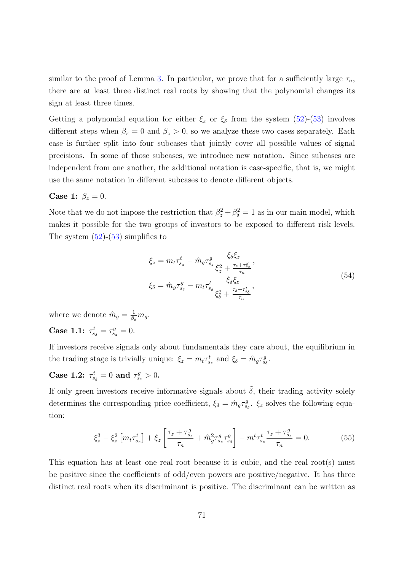similar to the proof of Lemma [3.](#page-48-1) In particular, we prove that for a sufficiently large  $\tau_n$ , there are at least three distinct real roots by showing that the polynomial changes its sign at least three times.

Getting a polynomial equation for either  $\xi_z$  or  $\xi_\delta$  from the system [\(52\)](#page-68-1)-[\(53\)](#page-68-2) involves different steps when  $\beta_z = 0$  and  $\beta_z > 0$ , so we analyze these two cases separately. Each case is further split into four subcases that jointly cover all possible values of signal precisions. In some of those subcases, we introduce new notation. Since subcases are independent from one another, the additional notation is case-specific, that is, we might use the same notation in different subcases to denote different objects.

## Case 1:  $\beta_z = 0$ .

Note that we do not impose the restriction that  $\beta_z^2 + \beta_{\delta}^2 = 1$  as in our main model, which makes it possible for the two groups of investors to be exposed to different risk levels. The system  $(52)-(53)$  $(52)-(53)$  $(52)-(53)$  simplifies to

$$
\xi_{z} = m_{t} \tau_{s_{z}}^{t} - \hat{m}_{g} \tau_{s_{z}}^{g} \frac{\xi_{\delta} \xi_{z}}{\xi_{z}^{2} + \frac{\tau_{z} + \tau_{s_{z}}^{g}}{\tau_{n}}},
$$
\n
$$
\xi_{\delta} = \hat{m}_{g} \tau_{s_{\delta}}^{g} - m_{t} \tau_{s_{\delta}}^{t} \frac{\xi_{\delta} \xi_{z}}{\xi_{\delta}^{2} + \frac{\tau_{\delta} + \tau_{s_{\delta}}^{t}}{\tau_{n}}},
$$
\n(54)

where we denote  $\hat{m}_g = \frac{1}{\beta}$  $\frac{1}{\beta_{\delta}}m_{g}.$ **Case 1.1:**  $\tau_{s_{\delta}}^{t} = \tau_{s_{z}}^{g} = 0.$ 

If investors receive signals only about fundamentals they care about, the equilibrium in the trading stage is trivially unique:  $\xi_z = m_t \tau_{s_z}^t$  and  $\xi_{\delta} = \hat{m}_g \tau_{s_{\delta}}^g$ .

Case 1.2:  $\tau_{s_{\delta}}^{t} = 0$  and  $\tau_{s_{z}}^{g} > 0$ .

If only green investors receive informative signals about  $\tilde{\delta}$ , their trading activity solely determines the corresponding price coefficient,  $\xi_{\delta} = \hat{m}_g \tau_{s_{\delta}}^g$ .  $\xi_z$  solves the following equation:

$$
\xi_z^3 - \xi_z^2 \left[ m_t \tau_{s_z}^t \right] + \xi_z \left[ \frac{\tau_z + \tau_{s_z}^g}{\tau_n} + \hat{m}_g^2 \tau_{s_z}^g \tau_{s_\delta}^g \right] - m^t \tau_{s_z}^t \frac{\tau_z + \tau_{s_z}^g}{\tau_n} = 0. \tag{55}
$$

This equation has at least one real root because it is cubic, and the real root(s) must be positive since the coefficients of odd/even powers are positive/negative. It has three distinct real roots when its discriminant is positive. The discriminant can be written as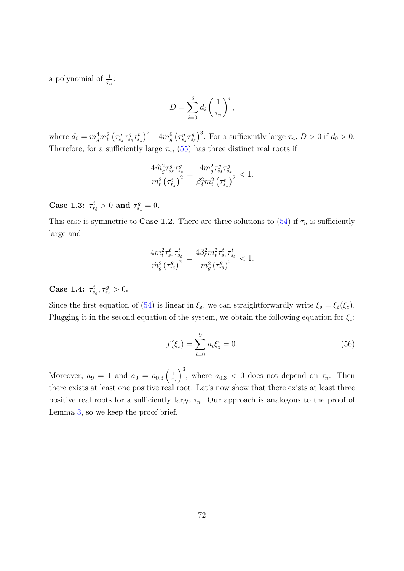a polynomial of  $\frac{1}{\tau_n}$ :

$$
D = \sum_{i=0}^{3} d_i \left(\frac{1}{\tau_n}\right)^i,
$$

where  $d_0 = \hat{m}_g^4 m_t^2 \left(\tau_{s_z}^g \tau_{s_\delta}^g \tau_{s_z}^t\right)^2 - 4 \hat{m}_g^6 \left(\tau_{s_z}^g \tau_{s_\delta}^g\right)^3$ . For a sufficiently large  $\tau_n$ ,  $D > 0$  if  $d_0 > 0$ . Therefore, for a sufficiently large  $\tau_n$ , [\(55\)](#page-71-0) has three distinct real roots if

$$
\frac{4\hat{m}_{g}^{2}\tau_{s_{\delta}}^{g}\tau_{s_{z}}^{g}}{m_{t}^{2}\left(\tau_{s_{z}}^{t}\right)^{2}} = \frac{4m_{g}^{2}\tau_{s_{\delta}}^{g}\tau_{s_{z}}^{g}}{\beta_{\delta}^{2}m_{t}^{2}\left(\tau_{s_{z}}^{t}\right)^{2}} < 1.
$$

Case 1.3:  $\tau_{s\delta}^t > 0$  and  $\tau_{s\delta}^g = 0$ .

This case is symmetric to **Case 1.2**. There are three solutions to [\(54\)](#page-71-1) if  $\tau_n$  is sufficiently large and

$$
\frac{4m_t^2\tau_{s_z}^t\tau_{s_\delta}^t}{\hat{m}_g^2\left(\tau_{s_\delta}^g\right)^2} = \frac{4\beta_\delta^2m_t^2\tau_{s_z}^t\tau_{s_\delta}^t}{m_g^2\left(\tau_{s_\delta}^g\right)^2} < 1.
$$

Case 1.4:  $\tau_{s_{\delta}}^{t}, \tau_{s_{z}}^{g} > 0$ .

Since the first equation of [\(54\)](#page-71-1) is linear in  $\xi_{\delta}$ , we can straightforwardly write  $\xi_{\delta} = \xi_{\delta}(\xi_z)$ . Plugging it in the second equation of the system, we obtain the following equation for  $\xi_z$ :

<span id="page-72-0"></span>
$$
f(\xi_z) = \sum_{i=0}^{9} a_i \xi_z^i = 0.
$$
 (56)

Moreover,  $a_9 = 1$  and  $a_0 = a_{0,3} \left( \frac{1}{\tau_c} \right)$  $\tau_n$  $\int_{0}^{3}$ , where  $a_{0,3} < 0$  does not depend on  $\tau_n$ . Then there exists at least one positive real root. Let's now show that there exists at least three positive real roots for a sufficiently large  $\tau_n$ . Our approach is analogous to the proof of Lemma [3,](#page-48-0) so we keep the proof brief.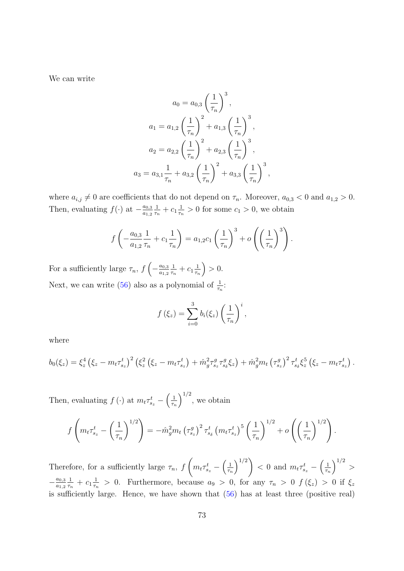We can write

$$
a_0 = a_{0,3} \left(\frac{1}{\tau_n}\right)^3,
$$
  
\n
$$
a_1 = a_{1,2} \left(\frac{1}{\tau_n}\right)^2 + a_{1,3} \left(\frac{1}{\tau_n}\right)^3,
$$
  
\n
$$
a_2 = a_{2,2} \left(\frac{1}{\tau_n}\right)^2 + a_{2,3} \left(\frac{1}{\tau_n}\right)^3,
$$
  
\n
$$
a_3 = a_{3,1} \frac{1}{\tau_n} + a_{3,2} \left(\frac{1}{\tau_n}\right)^2 + a_{3,3} \left(\frac{1}{\tau_n}\right)^3,
$$

where  $a_{i,j} \neq 0$  are coefficients that do not depend on  $\tau_n$ . Moreover,  $a_{0,3} < 0$  and  $a_{1,2} > 0$ . Then, evaluating  $f(\cdot)$  at  $-\frac{a_{0,3}}{a_{1,3}}$  $a_{1,2}$ 1  $\frac{1}{\tau_n} + c_1 \frac{1}{\tau_n}$  $\frac{1}{\tau_n} > 0$  for some  $c_1 > 0$ , we obtain

$$
f\left(-\frac{a_{0,3}}{a_{1,2}}\frac{1}{\tau_n} + c_1 \frac{1}{\tau_n}\right) = a_{1,2}c_1 \left(\frac{1}{\tau_n}\right)^3 + o\left(\left(\frac{1}{\tau_n}\right)^3\right).
$$

For a sufficiently large  $\tau_n$ ,  $f\left(-\frac{a_{0,3}}{a_{1,2}}\right)$  $a_{1,2}$ 1  $\frac{1}{\tau_n} + c_1 \frac{1}{\tau_n}$  $\tau_n$  $\big) > 0.$ Next, we can write [\(56\)](#page-72-0) also as a polynomial of  $\frac{1}{\tau_n}$ :

$$
f(\xi_z) = \sum_{i=0}^3 b_i(\xi_z) \left(\frac{1}{\tau_n}\right)^i,
$$

where

$$
b_0(\xi_z) = \xi_z^4 (\xi_z - m_t \tau_{s_z}^t)^2 (\xi_z^2 (\xi_z - m_t \tau_{s_z}^t) + \hat{m}_g^2 \tau_{s_z}^g \tau_{s_\delta}^g \xi_z) + \hat{m}_g^2 m_t (\tau_{s_z}^g)^2 \tau_{s_\delta}^t \xi_z^5 (\xi_z - m_t \tau_{s_z}^t).
$$

Then, evaluating  $f(\cdot)$  at  $m_t \tau_{s_z}^t - \left(\frac{1}{\tau_t}\right)$  $\tau_n$  $\big)^{1/2}$ , we obtain

$$
f\left(m_t\tau_{s_z}^t - \left(\frac{1}{\tau_n}\right)^{1/2}\right) = -\hat{m}_g^2 m_t \left(\tau_{s_z}^g\right)^2 \tau_{s_\delta}^t \left(m_t\tau_{s_z}^t\right)^5 \left(\frac{1}{\tau_n}\right)^{1/2} + o\left(\left(\frac{1}{\tau_n}\right)^{1/2}\right).
$$

Therefore, for a sufficiently large  $\tau_n$ , f  $\sqrt{ }$  $m_t \tau_{s_z}^t - \left(\frac{1}{\tau_{r_t}}\right)$  $\tau_n$  $\setminus$ <sup>1/2</sup>  $< 0$  and  $m_t \tau_{s_z}^t - \left(\frac{1}{\tau_i}\right)$  $\tau_n$  $\Big)^{1/2} >$  $-\frac{a_{0,3}}{a_{1,2}}$  $a_{1,2}$ 1  $\frac{1}{\tau_n} + c_1 \frac{1}{\tau_n}$  $\frac{1}{\tau_n} > 0$ . Furthermore, because  $a_9 > 0$ , for any  $\tau_n > 0$   $f(\xi_z) > 0$  if  $\xi_z$ is sufficiently large. Hence, we have shown that [\(56\)](#page-72-0) has at least three (positive real)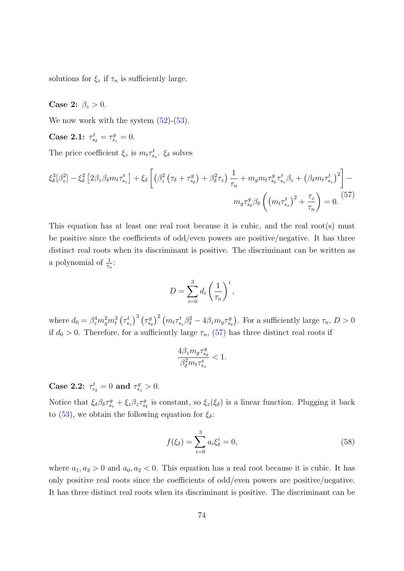solutions for  $\xi_z$  if  $\tau_n$  is sufficiently large.

## Case 2:  $\beta_z > 0$ .

We now work with the system  $(52)-(53)$  $(52)-(53)$  $(52)-(53)$ .

Case 2.1:  $\tau_{s_{\delta}}^t = \tau_{s_z}^g = 0$ .

The price coefficient  $\xi_z$  is  $m_t \tau_{s_z}^t$ .  $\xi_\delta$  solves

$$
\xi_{\delta}^{3}[\beta_{z}^{2}] - \xi_{\delta}^{2} \left[2\beta_{z}\beta_{\delta}m_{t}\tau_{s_{z}}^{t}\right] + \xi_{\delta} \left[\left(\beta_{z}^{2}\left(\tau_{\delta} + \tau_{s_{\delta}}^{g}\right) + \beta_{\delta}^{2}\tau_{z}\right)\frac{1}{\tau_{n}} + m_{g}m_{t}\tau_{s_{\delta}}^{g}\tau_{s_{z}}^{t}\beta_{z} + \left(\beta_{\delta}m_{t}\tau_{s_{z}}^{t}\right)^{2}\right] - m_{g}\tau_{s_{\delta}}^{g}\beta_{\delta}\left(\left(m_{t}\tau_{s_{z}}^{t}\right)^{2} + \frac{\tau_{z}}{\tau_{n}}\right) = 0.
$$
\n<sup>(57)</sup>

This equation has at least one real root because it is cubic, and the real root(s) must be positive since the coefficients of odd/even powers are positive/negative. It has three distinct real roots when its discriminant is positive. The discriminant can be written as a polynomial of  $\frac{1}{\tau_n}$ :

<span id="page-74-0"></span>
$$
D = \sum_{i=0}^{3} d_i \left(\frac{1}{\tau_n}\right)^i,
$$

where  $d_0 = \beta_z^4 m_g^2 m_t^3 (\tau_{s_z}^t)^3 (\tau_{s_\delta}^g)^2 (m_t \tau_{s_z}^t \beta_\delta^2 - 4 \beta_z m_g \tau_{s_\delta}^g)$ . For a sufficiently large  $\tau_n$ ,  $D > 0$ if  $d_0 > 0$ . Therefore, for a sufficiently large  $\tau_n$ , [\(57\)](#page-74-0) has three distinct real roots if

$$
\frac{4\beta_{z}m_{g}\tau_{s_{\delta}}^{g}}{\beta_{\delta}^{2}m_{t}\tau_{s_{z}}^{t}}<1.
$$

Case 2.2:  $\tau_{s_{\delta}}^{t} = 0$  and  $\tau_{s_{z}}^{g} > 0$ .

Notice that  $\xi_\delta \beta_\delta \tau_{s_z}^g + \xi_z \beta_z \tau_{s_\delta}^g$  is constant, so  $\xi_z(\xi_\delta)$  is a linear function. Plugging it back to [\(53\)](#page-68-1), we obtain the following equation for  $\xi_{\delta}$ :

<span id="page-74-1"></span>
$$
f(\xi_{\delta}) = \sum_{i=0}^{3} a_i \xi_{\delta}^i = 0,
$$
\n(58)

where  $a_1, a_3 > 0$  and  $a_0, a_2 < 0$ . This equation has a real root because it is cubic. It has only positive real roots since the coefficients of odd/even powers are positive/negative. It has three distinct real roots when its discriminant is positive. The discriminant can be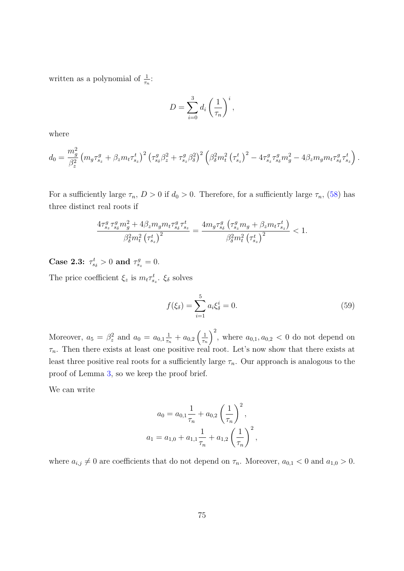written as a polynomial of  $\frac{1}{\tau_n}$ :

$$
D = \sum_{i=0}^{3} d_i \left(\frac{1}{\tau_n}\right)^i,
$$

where

$$
d_0 = \frac{m_g^2}{\beta_z^2} \left( m_g \tau_{s_z}^g + \beta_z m_t \tau_{s_z}^t \right)^2 \left( \tau_{s_\delta}^g \beta_z^2 + \tau_{s_z}^g \beta_\delta^2 \right)^2 \left( \beta_\delta^2 m_t^2 \left( \tau_{s_z}^t \right)^2 - 4 \tau_{s_z}^g \tau_{s_\delta}^g m_g^2 - 4 \beta_z m_g m_t \tau_{s_\delta}^g \tau_{s_z}^t \right).
$$

For a sufficiently large  $\tau_n$ ,  $D > 0$  if  $d_0 > 0$ . Therefore, for a sufficiently large  $\tau_n$ , [\(58\)](#page-74-1) has three distinct real roots if

$$
\frac{4\tau_{s_{z}}^{g}\tau_{s_{\delta}}^{g}m_{g}^{2} + 4\beta_{z}m_{g}m_{t}\tau_{s_{\delta}}^{g}\tau_{s_{z}}^{t}}{\beta_{\delta}^{2}m_{t}^{2}\left(\tau_{s_{z}}^{t}\right)^{2}} = \frac{4m_{g}\tau_{s_{\delta}}^{g}\left(\tau_{s_{z}}^{g}m_{g} + \beta_{z}m_{t}\tau_{s_{z}}^{t}\right)}{\beta_{\delta}^{2}m_{t}^{2}\left(\tau_{s_{z}}^{t}\right)^{2}} < 1.
$$

Case 2.3:  $\tau_{s}^{t} > 0$  and  $\tau_{s}^{g} = 0$ .

The price coefficient  $\xi_z$  is  $m_t \tau_{s_z}^t$ .  $\xi_{\delta}$  solves

<span id="page-75-0"></span>
$$
f(\xi_{\delta}) = \sum_{i=1}^{5} a_i \xi_{\delta}^i = 0.
$$
 (59)

Moreover,  $a_5 = \beta_z^2$  and  $a_0 = a_{0,1} \frac{1}{\tau_r}$  $\frac{1}{\tau_n}+a_{0,2}\left(\frac{1}{\tau_n}\right)$  $\tau_n$  $\int_0^2$ , where  $a_{0,1}, a_{0,2} < 0$  do not depend on  $\tau_n$ . Then there exists at least one positive real root. Let's now show that there exists at least three positive real roots for a sufficiently large  $\tau_n$ . Our approach is analogous to the proof of Lemma [3,](#page-48-0) so we keep the proof brief.

We can write

$$
a_0 = a_{0,1} \frac{1}{\tau_n} + a_{0,2} \left(\frac{1}{\tau_n}\right)^2,
$$
  

$$
a_1 = a_{1,0} + a_{1,1} \frac{1}{\tau_n} + a_{1,2} \left(\frac{1}{\tau_n}\right)^2,
$$

where  $a_{i,j} \neq 0$  are coefficients that do not depend on  $\tau_n$ . Moreover,  $a_{0,1} < 0$  and  $a_{1,0} > 0$ .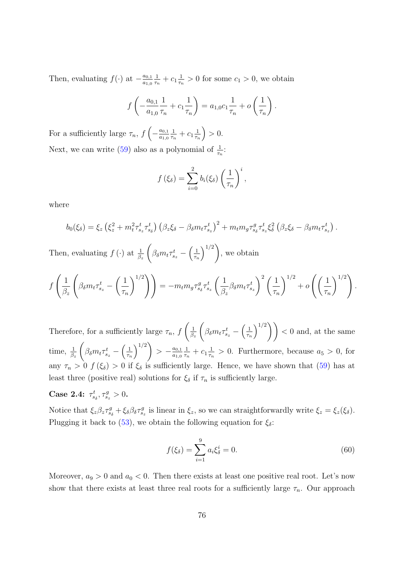Then, evaluating  $f(\cdot)$  at  $-\frac{a_{0,1}}{a_{1,0}}$  $a_{1,0}$ 1  $\frac{1}{\tau_n} + c_1 \frac{1}{\tau_n}$  $\frac{1}{\tau_n} > 0$  for some  $c_1 > 0$ , we obtain

$$
f\left(-\frac{a_{0,1}}{a_{1,0}}\frac{1}{\tau_n} + c_1 \frac{1}{\tau_n}\right) = a_{1,0}c_1 \frac{1}{\tau_n} + o\left(\frac{1}{\tau_n}\right).
$$

For a sufficiently large  $\tau_n$ ,  $f\left(-\frac{a_{0,1}}{a_{1,0}}\right)$  $a_{1,0}$ 1  $\frac{1}{\tau_n} + c_1 \frac{1}{\tau_n}$  $\tau_n$  $\big) > 0.$ Next, we can write [\(59\)](#page-75-0) also as a polynomial of  $\frac{1}{\tau_n}$ :

$$
f(\xi_{\delta}) = \sum_{i=0}^{2} b_{i}(\xi_{\delta}) \left(\frac{1}{\tau_{n}}\right)^{i},
$$

where

$$
b_0(\xi_{\delta}) = \xi_z \left(\xi_z^2 + m_t^2 \tau_{s_z}^t \tau_{s_{\delta}}^t\right) \left(\beta_z \xi_{\delta} - \beta_{\delta} m_t \tau_{s_z}^t\right)^2 + m_t m_g \tau_{s_{\delta}}^g \tau_{s_z}^t \xi_{\delta}^2 \left(\beta_z \xi_{\delta} - \beta_{\delta} m_t \tau_{s_z}^t\right).
$$

Then, evaluating  $f(\cdot)$  at  $\frac{1}{\beta_z}$  $\sqrt{ }$  $\beta_\delta m_t \tau_{s_z}^t - \Big(\frac{1}{\tau_\eta}$  $\tau_n$  $\setminus$ <sup>1/2</sup>) , we obtain

$$
f\left(\frac{1}{\beta_z}\left(\beta_{\delta}m_t\tau_{s_z}^t - \left(\frac{1}{\tau_n}\right)^{1/2}\right)\right) = -m_t m_g \tau_{s_{\delta}}^g \tau_{s_z}^t \left(\frac{1}{\beta_z}\beta_{\delta}m_t\tau_{s_z}^t\right)^2 \left(\frac{1}{\tau_n}\right)^{1/2} + o\left(\left(\frac{1}{\tau_n}\right)^{1/2}\right).
$$

Therefore, for a sufficiently large  $\tau_n$ , f  $\left( \begin{array}{c} 1 \end{array} \right)$  $\beta_z$  $\sqrt{ }$  $\beta_\delta m_t \tau_{s_z}^t - \Big(\frac{1}{\tau_{\eta}}$  $\tau_n$  $\binom{1/2}{1}$  < 0 and, at the same time,  $\frac{1}{\beta_z}$  $\sqrt{ }$  $\beta_\delta m_t \tau_{s_z}^t - \Big(\frac{1}{\tau_r}$  $\tau_n$  $\setminus$ <sup>1/2</sup>)  $> -\frac{a_{0,1}}{a_{1,0}}$  $a_{1,0}$ 1  $\frac{1}{\tau_n} + c_1 \frac{1}{\tau_n}$  $\frac{1}{\tau_n} > 0$ . Furthermore, because  $a_5 > 0$ , for any  $\tau_n > 0$   $f(\xi_\delta) > 0$  if  $\xi_\delta$  is sufficiently large. Hence, we have shown that [\(59\)](#page-75-0) has at least three (positive real) solutions for  $\xi_{\delta}$  if  $\tau_n$  is sufficiently large.

## Case 2.4:  $\tau_{s_{\delta}}^{t}, \tau_{s_{z}}^{g} > 0$ .

Notice that  $\xi_z \beta_z \tau_{s_{\delta}}^g + \xi_{\delta} \beta_{\delta} \tau_{s_z}^g$  is linear in  $\xi_z$ , so we can straightforwardly write  $\xi_z = \xi_z(\xi_{\delta})$ . Plugging it back to [\(53\)](#page-68-1), we obtain the following equation for  $\xi_{\delta}$ :

<span id="page-76-0"></span>
$$
f(\xi_{\delta}) = \sum_{i=1}^{9} a_i \xi_{\delta}^i = 0.
$$
 (60)

Moreover,  $a_9 > 0$  and  $a_0 < 0$ . Then there exists at least one positive real root. Let's now show that there exists at least three real roots for a sufficiently large  $\tau_n$ . Our approach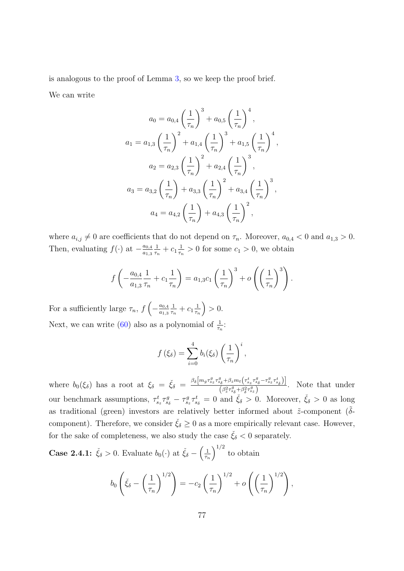is analogous to the proof of Lemma [3,](#page-48-0) so we keep the proof brief.

We can write

$$
a_0 = a_{0,4} \left(\frac{1}{\tau_n}\right)^3 + a_{0,5} \left(\frac{1}{\tau_n}\right)^4,
$$
  
\n
$$
a_1 = a_{1,3} \left(\frac{1}{\tau_n}\right)^2 + a_{1,4} \left(\frac{1}{\tau_n}\right)^3 + a_{1,5} \left(\frac{1}{\tau_n}\right)^4,
$$
  
\n
$$
a_2 = a_{2,3} \left(\frac{1}{\tau_n}\right)^2 + a_{2,4} \left(\frac{1}{\tau_n}\right)^3,
$$
  
\n
$$
a_3 = a_{3,2} \left(\frac{1}{\tau_n}\right) + a_{3,3} \left(\frac{1}{\tau_n}\right)^2 + a_{3,4} \left(\frac{1}{\tau_n}\right)^3,
$$
  
\n
$$
a_4 = a_{4,2} \left(\frac{1}{\tau_n}\right) + a_{4,3} \left(\frac{1}{\tau_n}\right)^2,
$$

where  $a_{i,j} \neq 0$  are coefficients that do not depend on  $\tau_n$ . Moreover,  $a_{0,4} < 0$  and  $a_{1,3} > 0$ . Then, evaluating  $f(\cdot)$  at  $-\frac{a_{0,4}}{a_{1,2}}$  $a_{1,3}$ 1  $\frac{1}{\tau_n}+c_1\frac{1}{\tau_n}$  $\frac{1}{\tau_n} > 0$  for some  $c_1 > 0$ , we obtain

$$
f\left(-\frac{a_{0,4}}{a_{1,3}}\frac{1}{\tau_n} + c_1\frac{1}{\tau_n}\right) = a_{1,3}c_1\left(\frac{1}{\tau_n}\right)^3 + o\left(\left(\frac{1}{\tau_n}\right)^3\right).
$$

For a sufficiently large  $\tau_n$ ,  $f\left(-\frac{a_{0,4}}{a_{1,3}}\right)$  $a_{1,3}$ 1  $\frac{1}{\tau_n} + c_1 \frac{1}{\tau_n}$  $\tau_n$  $\big) > 0.$ Next, we can write [\(60\)](#page-76-0) also as a polynomial of  $\frac{1}{\tau_n}$ :

$$
f(\xi_{\delta}) = \sum_{i=0}^{4} b_{i}(\xi_{\delta}) \left(\frac{1}{\tau_{n}}\right)^{i},
$$

where  $b_0(\xi_\delta)$  has a root at  $\xi_\delta = \xi_\delta = \frac{\beta_\delta [m_g \tau_{sz}^g \tau_{sz}^g + \beta_z m_t (\tau_{sz}^t \tau_{sz}^g - \tau_{sz}^g \tau_{sz}^t)]}{\beta_\delta^2 \tau_{sz}^g \tau_{sz}^g}$  $\frac{\left(\beta_z^2 \tau_{s\delta}^g + \beta_\delta^2 \tau_{s\delta}^g / s_\delta \right)}{\left(\beta_z^2 \tau_{s\delta}^g + \beta_\delta^2 \tau_{s\delta}^g\right)}$ . Note that under our benchmark assumptions,  $\tau_{s_z}^t \tau_{s_{\delta}}^g - \tau_{s_z}^g \tau_{s_{\delta}}^t = 0$  and  $\check{\xi}_{\delta} > 0$ . Moreover,  $\check{\xi}_{\delta} > 0$  as long as traditional (green) investors are relatively better informed about  $\tilde{z}$ -component ( $\delta$ component). Therefore, we consider  $\zeta_{\delta} \geq 0$  as a more empirically relevant case. However, for the sake of completeness, we also study the case  $\check{\xi}_\delta < 0$  separately.

**Case 2.4.1:**  $\check{\xi}_{\delta} > 0$ . Evaluate  $b_0(\cdot)$  at  $\check{\xi}_{\delta} - \left(\frac{1}{\tau_{\delta}}\right)$  $\tau_n$  $\int_0^{1/2}$  to obtain

$$
b_0\left(\check{\xi}_\delta-\left(\frac{1}{\tau_n}\right)^{1/2}\right)=-c_2\left(\frac{1}{\tau_n}\right)^{1/2}+o\left(\left(\frac{1}{\tau_n}\right)^{1/2}\right),\,
$$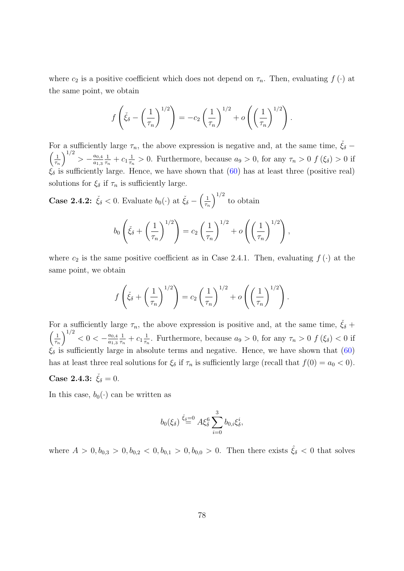where  $c_2$  is a positive coefficient which does not depend on  $\tau_n$ . Then, evaluating  $f(\cdot)$  at the same point, we obtain

$$
f\left(\check{\xi}_{\delta} - \left(\frac{1}{\tau_n}\right)^{1/2}\right) = -c_2 \left(\frac{1}{\tau_n}\right)^{1/2} + o\left(\left(\frac{1}{\tau_n}\right)^{1/2}\right).
$$

For a sufficiently large  $\tau_n$ , the above expression is negative and, at the same time,  $\check{\xi}_\delta$  –  $\frac{1}{2}$  $\tau_n$  $\bigg\{\frac{1}{2}\bigg\} - \frac{a_{0,4}}{a_{1,2}}$  $a_{1,3}$ 1  $\frac{1}{\tau_n} + c_1 \frac{1}{\tau_n}$  $\frac{1}{\tau_n} > 0$ . Furthermore, because  $a_9 > 0$ , for any  $\tau_n > 0$   $f(\xi_\delta) > 0$  if  $\hat{\xi}_{\delta}$  is sufficiently large. Hence, we have shown that [\(60\)](#page-76-0) has at least three (positive real) solutions for  $\xi_{\delta}$  if  $\tau_n$  is sufficiently large.

**Case 2.4.2:**  $\check{\xi}_{\delta} < 0$ . Evaluate  $b_0(\cdot)$  at  $\check{\xi}_{\delta} - \left(\frac{1}{\tau_{\delta}}\right)$  $\tau_n$  $\int_0^{1/2}$  to obtain

$$
b_0\left(\check{\xi}_{\delta}+\left(\frac{1}{\tau_n}\right)^{1/2}\right)=c_2\left(\frac{1}{\tau_n}\right)^{1/2}+o\left(\left(\frac{1}{\tau_n}\right)^{1/2}\right),\,
$$

where  $c_2$  is the same positive coefficient as in Case 2.4.1. Then, evaluating  $f(\cdot)$  at the same point, we obtain

$$
f\left(\check{\xi}_{\delta} + \left(\frac{1}{\tau_n}\right)^{1/2}\right) = c_2 \left(\frac{1}{\tau_n}\right)^{1/2} + o\left(\left(\frac{1}{\tau_n}\right)^{1/2}\right).
$$

For a sufficiently large  $\tau_n$ , the above expression is positive and, at the same time,  $\check{\xi}_{\delta}$  +  $\frac{1}{2}$  $\tau_n$  $\bigg\{\bigg\}^{1/2} < 0 < -\frac{a_{0,4}}{a_{1,2}}$  $a_{1,3}$ 1  $\frac{1}{\tau_n} + c_1 \frac{1}{\tau_n}$  $\frac{1}{\tau_n}$ . Furthermore, because  $a_9 > 0$ , for any  $\tau_n > 0$   $f(\xi_\delta) < 0$  if  $\xi_{\delta}$  is sufficiently large in absolute terms and negative. Hence, we have shown that [\(60\)](#page-76-0) has at least three real solutions for  $\xi_{\delta}$  if  $\tau_n$  is sufficiently large (recall that  $f(0) = a_0 < 0$ ).

## Case 2.4.3:  $\check{\xi}_{\delta} = 0$ .

In this case,  $b_0(\cdot)$  can be written as

$$
b_0(\xi_{\delta}) \stackrel{\check{\xi}_{\delta}=0}{=} A \xi_{\delta}^6 \sum_{i=0}^3 b_{0,i} \xi_{\delta}^i,
$$

where  $A > 0, b_{0,3} > 0, b_{0,2} < 0, b_{0,1} > 0, b_{0,0} > 0$ . Then there exists  $\hat{\xi}_{\delta} < 0$  that solves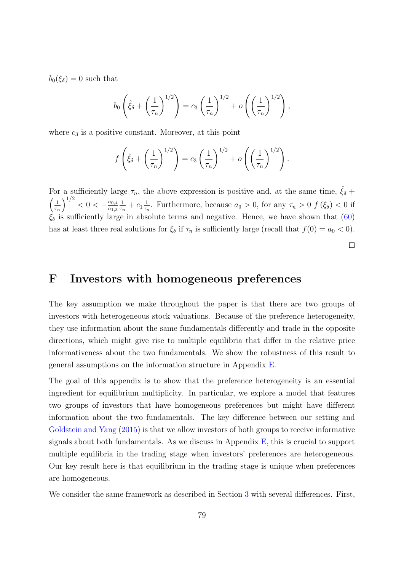$b_0(\xi_\delta) = 0$  such that

$$
b_0 \left(\hat{\xi}_{\delta} + \left(\frac{1}{\tau_n}\right)^{1/2}\right) = c_3 \left(\frac{1}{\tau_n}\right)^{1/2} + o\left(\left(\frac{1}{\tau_n}\right)^{1/2}\right),
$$

where  $c_3$  is a positive constant. Moreover, at this point

$$
f\left(\hat{\xi}_{\delta} + \left(\frac{1}{\tau_n}\right)^{1/2}\right) = c_3 \left(\frac{1}{\tau_n}\right)^{1/2} + o\left(\left(\frac{1}{\tau_n}\right)^{1/2}\right).
$$

For a sufficiently large  $\tau_n$ , the above expression is positive and, at the same time,  $\hat{\xi}_\delta$  +  $\frac{1}{2}$  $\tau_n$  $\bigg\{\bigg\}^{1/2} < 0 < -\frac{a_{0,4}}{a_{1,2}}$  $a_{1,3}$ 1  $\frac{1}{\tau_n} + c_1 \frac{1}{\tau_n}$  $\frac{1}{\tau_n}$ . Furthermore, because  $a_9 > 0$ , for any  $\tau_n > 0$   $f(\xi_\delta) < 0$  if  $\xi_{\delta}$  is sufficiently large in absolute terms and negative. Hence, we have shown that [\(60\)](#page-76-0) has at least three real solutions for  $\xi_{\delta}$  if  $\tau_n$  is sufficiently large (recall that  $f(0) = a_0 < 0$ ).

 $\Box$ 

## F Investors with homogeneous preferences

The key assumption we make throughout the paper is that there are two groups of investors with heterogeneous stock valuations. Because of the preference heterogeneity, they use information about the same fundamentals differently and trade in the opposite directions, which might give rise to multiple equilibria that differ in the relative price informativeness about the two fundamentals. We show the robustness of this result to general assumptions on the information structure in Appendix [E.](#page-68-2)

The goal of this appendix is to show that the preference heterogeneity is an essential ingredient for equilibrium multiplicity. In particular, we explore a model that features two groups of investors that have homogeneous preferences but might have different information about the two fundamentals. The key difference between our setting and [Goldstein and Yang](#page-38-0) [\(2015\)](#page-38-0) is that we allow investors of both groups to receive informative signals about both fundamentals. As we discuss in Appendix  $E$ , this is crucial to support multiple equilibria in the trading stage when investors' preferences are heterogeneous. Our key result here is that equilibrium in the trading stage is unique when preferences are homogeneous.

We consider the same framework as described in Section [3](#page-17-0) with several differences. First,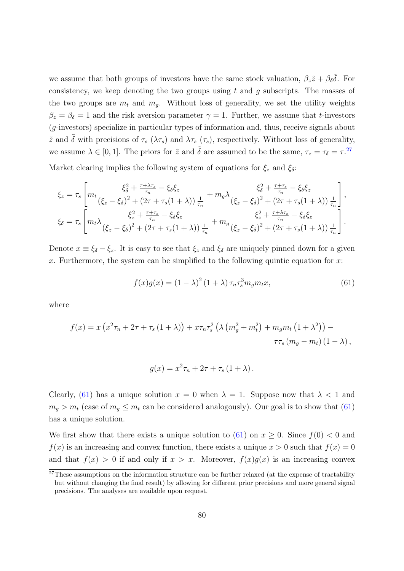we assume that both groups of investors have the same stock valuation,  $\beta_z \tilde{z} + \beta_\delta \tilde{\delta}$ . For consistency, we keep denoting the two groups using  $t$  and  $q$  subscripts. The masses of the two groups are  $m_t$  and  $m_q$ . Without loss of generality, we set the utility weights  $\beta_z = \beta_\delta = 1$  and the risk aversion parameter  $\gamma = 1$ . Further, we assume that t-investors (g-investors) specialize in particular types of information and, thus, receive signals about  $\tilde{z}$  and  $\tilde{\delta}$  with precisions of  $\tau_s$  ( $\lambda \tau_s$ ) and  $\lambda \tau_s$  ( $\tau_s$ ), respectively. Without loss of generality, we assume  $\lambda \in [0,1]$ . The priors for  $\tilde{z}$  and  $\tilde{\delta}$  are assumed to be the same,  $\tau_z = \tau_\delta = \tau$ .<sup>[27](#page-80-0)</sup>

Market clearing implies the following system of equations for  $\xi_z$  and  $\xi_\delta$ :

$$
\xi_{z} = \tau_{s} \left[ m_{t} \frac{\xi_{\delta}^{2} + \frac{\tau + \lambda \tau_{s}}{\tau_{n}} - \xi_{\delta} \xi_{z}}{\left(\xi_{z} - \xi_{\delta}\right)^{2} + \left(2\tau + \tau_{s}(1 + \lambda)\right) \frac{1}{\tau_{n}}} + m_{g} \lambda \frac{\xi_{\delta}^{2} + \frac{\tau + \tau_{s}}{\tau_{n}} - \xi_{\delta} \xi_{z}}{\left(\xi_{z} - \xi_{\delta}\right)^{2} + \left(2\tau + \tau_{s}(1 + \lambda)\right) \frac{1}{\tau_{n}}} \right],
$$
\n
$$
\xi_{\delta} = \tau_{s} \left[ m_{t} \lambda \frac{\xi_{z}^{2} + \frac{\tau + \tau_{s}}{\tau_{n}} - \xi_{\delta} \xi_{z}}{\left(\xi_{z} - \xi_{\delta}\right)^{2} + \left(2\tau + \tau_{s}(1 + \lambda)\right) \frac{1}{\tau_{n}}} + m_{g} \frac{\xi_{z}^{2} + \frac{\tau + \lambda \tau_{s}}{\tau_{n}} - \xi_{\delta} \xi_{z}}{\left(\xi_{z} - \xi_{\delta}\right)^{2} + \left(2\tau + \tau_{s}(1 + \lambda)\right) \frac{1}{\tau_{n}}} \right].
$$

Denote  $x \equiv \xi_{\delta} - \xi_{z}$ . It is easy to see that  $\xi_{z}$  and  $\xi_{\delta}$  are uniquely pinned down for a given x. Furthermore, the system can be simplified to the following quintic equation for x:

<span id="page-80-1"></span>
$$
f(x)g(x) = (1 - \lambda)^2 (1 + \lambda) \tau_n \tau_s^3 m_g m_t x,
$$
\n(61)

where

$$
f(x) = x (x^{2} \tau_{n} + 2\tau + \tau_{s} (1 + \lambda)) + x \tau_{n} \tau_{s}^{2} (\lambda (m_{g}^{2} + m_{t}^{2}) + m_{g} m_{t} (1 + \lambda^{2})) - \tau \tau_{s} (m_{g} - m_{t}) (1 - \lambda),
$$

$$
g(x) = x^2 \tau_n + 2\tau + \tau_s (1 + \lambda).
$$

Clearly, [\(61\)](#page-80-1) has a unique solution  $x = 0$  when  $\lambda = 1$ . Suppose now that  $\lambda < 1$  and  $m_g > m_t$  (case of  $m_g \leq m_t$  can be considered analogously). Our goal is to show that [\(61\)](#page-80-1) has a unique solution.

We first show that there exists a unique solution to [\(61\)](#page-80-1) on  $x \geq 0$ . Since  $f(0) < 0$  and  $f(x)$  is an increasing and convex function, there exists a unique  $x > 0$  such that  $f(x) = 0$ and that  $f(x) > 0$  if and only if  $x > x$ . Moreover,  $f(x)g(x)$  is an increasing convex

<span id="page-80-0"></span> $27$ These assumptions on the information structure can be further relaxed (at the expense of tractability but without changing the final result) by allowing for different prior precisions and more general signal precisions. The analyses are available upon request.